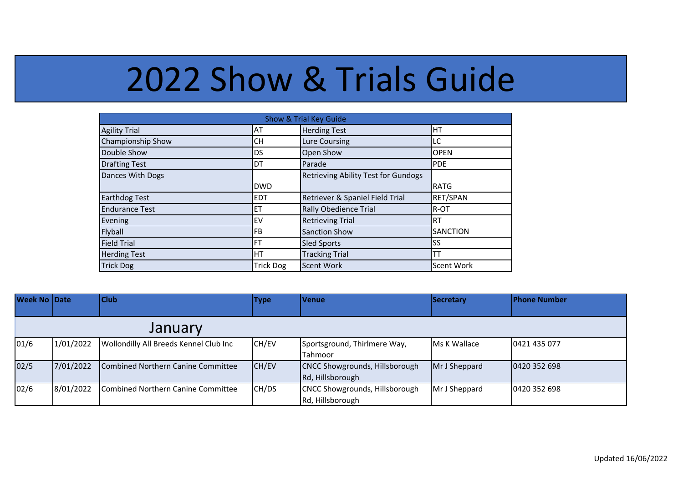## 2022 Show & Trials Guide

| Show & Trial Key Guide |                  |                                            |                   |  |  |  |  |
|------------------------|------------------|--------------------------------------------|-------------------|--|--|--|--|
| <b>Agility Trial</b>   | AT               | <b>Herding Test</b>                        | HT                |  |  |  |  |
| Championship Show      | CН               | Lure Coursing                              | LC                |  |  |  |  |
| Double Show            | DS               | Open Show                                  | <b>OPEN</b>       |  |  |  |  |
| <b>Drafting Test</b>   | DT               | Parade                                     | <b>PDE</b>        |  |  |  |  |
| Dances With Dogs       |                  | <b>Retrieving Ability Test for Gundogs</b> |                   |  |  |  |  |
|                        | <b>DWD</b>       |                                            | <b>RATG</b>       |  |  |  |  |
| <b>Earthdog Test</b>   | <b>EDT</b>       | Retriever & Spaniel Field Trial            | RET/SPAN          |  |  |  |  |
| <b>Endurance Test</b>  | ET               | <b>Rally Obedience Trial</b>               | R-OT              |  |  |  |  |
| Evening                | EV               | <b>Retrieving Trial</b>                    | <b>RT</b>         |  |  |  |  |
| Flyball                | FB               | <b>Sanction Show</b>                       | <b>SANCTION</b>   |  |  |  |  |
| <b>Field Trial</b>     | FT               | <b>Sled Sports</b>                         | SS                |  |  |  |  |
| <b>Herding Test</b>    | НT               | <b>Tracking Trial</b>                      |                   |  |  |  |  |
| <b>Trick Dog</b>       | <b>Trick Dog</b> | <b>Scent Work</b>                          | <b>Scent Work</b> |  |  |  |  |

| <b>Week No Date</b> |           | <b>Club</b>                               | <b>Type</b> | <b>Venue</b>                   | Secretary     | <b>Phone Number</b> |  |  |
|---------------------|-----------|-------------------------------------------|-------------|--------------------------------|---------------|---------------------|--|--|
|                     | January   |                                           |             |                                |               |                     |  |  |
| 01/6                | 1/01/2022 | Wollondilly All Breeds Kennel Club Inc    | CH/EV       | Sportsground, Thirlmere Way,   | Ms K Wallace  | 0421 435 077        |  |  |
|                     |           |                                           |             | Tahmoor                        |               |                     |  |  |
| 02/5                | 7/01/2022 | Combined Northern Canine Committee        | CH/EV       | CNCC Showgrounds, Hillsborough | Mr J Sheppard | 0420 352 698        |  |  |
|                     |           |                                           |             | Rd, Hillsborough               |               |                     |  |  |
| 02/6                | 8/01/2022 | <b>Combined Northern Canine Committee</b> | CH/DS       | CNCC Showgrounds, Hillsborough | Mr J Sheppard | 0420 352 698        |  |  |
|                     |           |                                           |             | Rd, Hillsborough               |               |                     |  |  |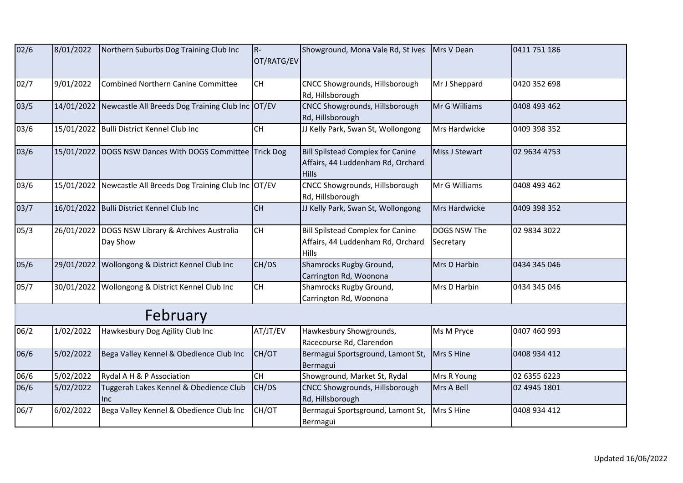| 02/6 | 8/01/2022 | Northern Suburbs Dog Training Club Inc                       | $R -$<br>OT/RATG/EV | Showground, Mona Vale Rd, St Ives                                                             | Mrs V Dean                | 0411 751 186 |
|------|-----------|--------------------------------------------------------------|---------------------|-----------------------------------------------------------------------------------------------|---------------------------|--------------|
| 02/7 | 9/01/2022 | <b>Combined Northern Canine Committee</b>                    | <b>CH</b>           | <b>CNCC Showgrounds, Hillsborough</b><br>Rd, Hillsborough                                     | Mr J Sheppard             | 0420 352 698 |
| 03/5 |           | 14/01/2022 Newcastle All Breeds Dog Training Club Inc OT/EV  |                     | CNCC Showgrounds, Hillsborough<br>Rd, Hillsborough                                            | Mr G Williams             | 0408 493 462 |
| 03/6 |           | 15/01/2022 Bulli District Kennel Club Inc                    | CH                  | JJ Kelly Park, Swan St, Wollongong                                                            | Mrs Hardwicke             | 0409 398 352 |
| 03/6 |           | 15/01/2022 DOGS NSW Dances With DOGS Committee Trick Dog     |                     | Bill Spilstead Complex for Canine<br>Affairs, 44 Luddenham Rd, Orchard<br><b>Hills</b>        | Miss J Stewart            | 02 9634 4753 |
| 03/6 |           | 15/01/2022 Newcastle All Breeds Dog Training Club Inc OT/EV  |                     | CNCC Showgrounds, Hillsborough<br>Rd, Hillsborough                                            | Mr G Williams             | 0408 493 462 |
| 03/7 |           | 16/01/2022 Bulli District Kennel Club Inc                    | <b>CH</b>           | JJ Kelly Park, Swan St, Wollongong                                                            | Mrs Hardwicke             | 0409 398 352 |
| 05/3 |           | 26/01/2022 DOGS NSW Library & Archives Australia<br>Day Show | <b>CH</b>           | <b>Bill Spilstead Complex for Canine</b><br>Affairs, 44 Luddenham Rd, Orchard<br><b>Hills</b> | DOGS NSW The<br>Secretary | 02 9834 3022 |
| 05/6 |           | 29/01/2022 Wollongong & District Kennel Club Inc             | CH/DS               | Shamrocks Rugby Ground,<br>Carrington Rd, Woonona                                             | Mrs D Harbin              | 0434 345 046 |
| 05/7 |           | 30/01/2022 Wollongong & District Kennel Club Inc             | <b>CH</b>           | Shamrocks Rugby Ground,<br>Carrington Rd, Woonona                                             | Mrs D Harbin              | 0434 345 046 |
|      |           | February                                                     |                     |                                                                                               |                           |              |
| 06/2 | 1/02/2022 | Hawkesbury Dog Agility Club Inc                              | AT/JT/EV            | Hawkesbury Showgrounds,<br>Racecourse Rd, Clarendon                                           | Ms M Pryce                | 0407 460 993 |
| 06/6 | 5/02/2022 | Bega Valley Kennel & Obedience Club Inc                      | CH/OT               | Bermagui Sportsground, Lamont St,<br>Bermagui                                                 | Mrs S Hine                | 0408 934 412 |
| 06/6 | 5/02/2022 | Rydal A H & P Association                                    | <b>CH</b>           | Showground, Market St, Rydal                                                                  | Mrs R Young               | 02 6355 6223 |
| 06/6 | 5/02/2022 | Tuggerah Lakes Kennel & Obedience Club<br>Inc                | CH/DS               | <b>CNCC Showgrounds, Hillsborough</b><br>Rd, Hillsborough                                     | Mrs A Bell                | 02 4945 1801 |
| 06/7 | 6/02/2022 | Bega Valley Kennel & Obedience Club Inc                      | CH/OT               | Bermagui Sportsground, Lamont St,<br>Bermagui                                                 | Mrs S Hine                | 0408 934 412 |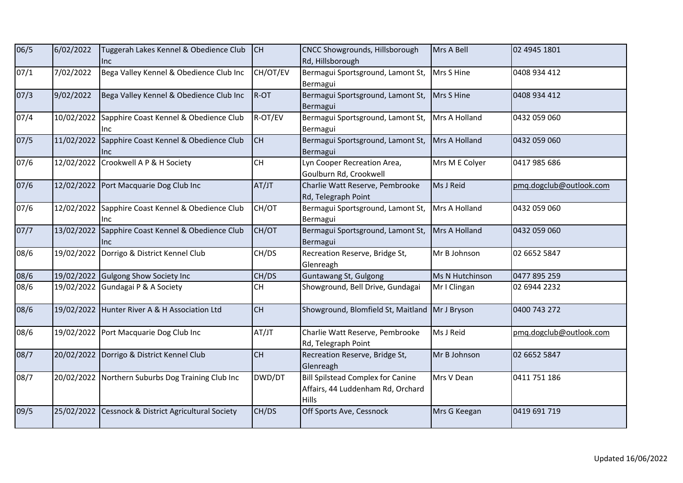| 06/5 | 6/02/2022  | Tuggerah Lakes Kennel & Obedience Club<br>Inc                   | <b>CH</b> | CNCC Showgrounds, Hillsborough<br>Rd, Hillsborough                                     | Mrs A Bell      | 02 4945 1801            |
|------|------------|-----------------------------------------------------------------|-----------|----------------------------------------------------------------------------------------|-----------------|-------------------------|
| 07/1 | 7/02/2022  | Bega Valley Kennel & Obedience Club Inc                         | CH/OT/EV  | Bermagui Sportsground, Lamont St,<br>Bermagui                                          | Mrs S Hine      | 0408 934 412            |
| 07/3 | 9/02/2022  | Bega Valley Kennel & Obedience Club Inc                         | $R-OT$    | Bermagui Sportsground, Lamont St,<br>Bermagui                                          | Mrs S Hine      | 0408 934 412            |
| 07/4 | 10/02/2022 | Sapphire Coast Kennel & Obedience Club<br>Inc.                  | R-OT/EV   | Bermagui Sportsground, Lamont St,<br>Bermagui                                          | Mrs A Holland   | 0432 059 060            |
| 07/5 |            | 11/02/2022 Sapphire Coast Kennel & Obedience Club<br><b>Inc</b> | <b>CH</b> | Bermagui Sportsground, Lamont St,<br>Bermagui                                          | Mrs A Holland   | 0432 059 060            |
| 07/6 |            | 12/02/2022 Crookwell A P & H Society                            | CH        | Lyn Cooper Recreation Area,<br>Goulburn Rd, Crookwell                                  | Mrs M E Colyer  | 0417 985 686            |
| 07/6 |            | 12/02/2022 Port Macquarie Dog Club Inc                          | AT/JT     | Charlie Watt Reserve, Pembrooke<br>Rd, Telegraph Point                                 | Ms J Reid       | pmg.dogclub@outlook.com |
| 07/6 |            | 12/02/2022 Sapphire Coast Kennel & Obedience Club<br>Inc        | CH/OT     | Bermagui Sportsground, Lamont St,<br>Bermagui                                          | Mrs A Holland   | 0432 059 060            |
| 07/7 | 13/02/2022 | Sapphire Coast Kennel & Obedience Club<br>Inc                   | CH/OT     | Bermagui Sportsground, Lamont St,<br>Bermagui                                          | Mrs A Holland   | 0432 059 060            |
| 08/6 |            | 19/02/2022 Dorrigo & District Kennel Club                       | CH/DS     | Recreation Reserve, Bridge St,<br>Glenreagh                                            | Mr B Johnson    | 02 6652 5847            |
| 08/6 |            | 19/02/2022 Gulgong Show Society Inc                             | CH/DS     | Guntawang St, Gulgong                                                                  | Ms N Hutchinson | 0477 895 259            |
| 08/6 |            | 19/02/2022 Gundagai P & A Society                               | <b>CH</b> | Showground, Bell Drive, Gundagai                                                       | Mr I Clingan    | 02 6944 2232            |
| 08/6 |            | 19/02/2022 Hunter River A & H Association Ltd                   | <b>CH</b> | Showground, Blomfield St, Maitland                                                     | Mr J Bryson     | 0400 743 272            |
| 08/6 |            | 19/02/2022 Port Macquarie Dog Club Inc                          | AT/JT     | Charlie Watt Reserve, Pembrooke<br>Rd, Telegraph Point                                 | Ms J Reid       | pmg.dogclub@outlook.com |
| 08/7 |            | 20/02/2022 Dorrigo & District Kennel Club                       | <b>CH</b> | Recreation Reserve, Bridge St,<br>Glenreagh                                            | Mr B Johnson    | 02 6652 5847            |
| 08/7 |            | 20/02/2022 Northern Suburbs Dog Training Club Inc               | DWD/DT    | <b>Bill Spilstead Complex for Canine</b><br>Affairs, 44 Luddenham Rd, Orchard<br>Hills | Mrs V Dean      | 0411 751 186            |
| 09/5 |            | 25/02/2022 Cessnock & District Agricultural Society             | CH/DS     | Off Sports Ave, Cessnock                                                               | Mrs G Keegan    | 0419 691 719            |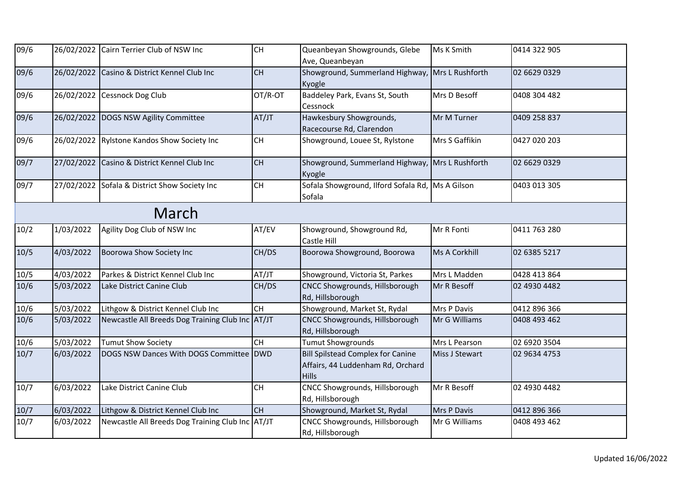| 09/6   |            | 26/02/2022 Cairn Terrier Club of NSW Inc         | CH        | Queanbeyan Showgrounds, Glebe<br>Ave, Queanbeyan                                              | Ms K Smith     | 0414 322 905 |  |
|--------|------------|--------------------------------------------------|-----------|-----------------------------------------------------------------------------------------------|----------------|--------------|--|
| 09/6   | 26/02/2022 | Casino & District Kennel Club Inc                | <b>CH</b> | Showground, Summerland Highway, Mrs L Rushforth<br>Kyogle                                     |                | 02 6629 0329 |  |
| 09/6   | 26/02/2022 | Cessnock Dog Club                                | OT/R-OT   | Baddeley Park, Evans St, South<br>Cessnock                                                    | Mrs D Besoff   | 0408 304 482 |  |
| 09/6   |            | 26/02/2022 DOGS NSW Agility Committee            | AT/JT     | Hawkesbury Showgrounds,<br>Racecourse Rd, Clarendon                                           | Mr M Turner    | 0409 258 837 |  |
| 09/6   | 26/02/2022 | <b>Rylstone Kandos Show Society Inc</b>          | <b>CH</b> | Showground, Louee St, Rylstone                                                                | Mrs S Gaffikin | 0427 020 203 |  |
| 09/7   | 27/02/2022 | Casino & District Kennel Club Inc                | <b>CH</b> | Showground, Summerland Highway, Mrs L Rushforth<br>Kyogle                                     |                | 02 6629 0329 |  |
| 09/7   | 27/02/2022 | Sofala & District Show Society Inc               | CH        | Sofala Showground, Ilford Sofala Rd,<br>Sofala                                                | Ms A Gilson    | 0403 013 305 |  |
| March  |            |                                                  |           |                                                                                               |                |              |  |
| 10/2   | 1/03/2022  | Agility Dog Club of NSW Inc                      | AT/EV     | Showground, Showground Rd,<br>Castle Hill                                                     | Mr R Fonti     | 0411 763 280 |  |
| 10/5   | 4/03/2022  | Boorowa Show Society Inc                         | CH/DS     | Boorowa Showground, Boorowa                                                                   | Ms A Corkhill  | 02 6385 5217 |  |
| 10/5   | 4/03/2022  | Parkes & District Kennel Club Inc                | AT/JT     | Showground, Victoria St, Parkes                                                               | Mrs L Madden   | 0428 413 864 |  |
| 10/6   | 5/03/2022  | Lake District Canine Club                        | CH/DS     | CNCC Showgrounds, Hillsborough<br>Rd, Hillsborough                                            | Mr R Besoff    | 02 4930 4482 |  |
| $10/6$ | 5/03/2022  | Lithgow & District Kennel Club Inc               | <b>CH</b> | Showground, Market St, Rydal                                                                  | Mrs P Davis    | 0412 896 366 |  |
| 10/6   | 5/03/2022  | Newcastle All Breeds Dog Training Club Inc AT/JT |           | CNCC Showgrounds, Hillsborough<br>Rd, Hillsborough                                            | Mr G Williams  | 0408 493 462 |  |
| 10/6   | 5/03/2022  | <b>Tumut Show Society</b>                        | <b>CH</b> | <b>Tumut Showgrounds</b>                                                                      | Mrs L Pearson  | 02 6920 3504 |  |
| 10/7   | 6/03/2022  | DOGS NSW Dances With DOGS Committee DWD          |           | <b>Bill Spilstead Complex for Canine</b><br>Affairs, 44 Luddenham Rd, Orchard<br><b>Hills</b> | Miss J Stewart | 02 9634 4753 |  |
| 10/7   | 6/03/2022  | Lake District Canine Club                        | <b>CH</b> | CNCC Showgrounds, Hillsborough<br>Rd, Hillsborough                                            | Mr R Besoff    | 02 4930 4482 |  |
| 10/7   | 6/03/2022  | Lithgow & District Kennel Club Inc               | <b>CH</b> | Showground, Market St, Rydal                                                                  | Mrs P Davis    | 0412 896 366 |  |
| 10/7   | 6/03/2022  | Newcastle All Breeds Dog Training Club Inc AT/JT |           | CNCC Showgrounds, Hillsborough<br>Rd, Hillsborough                                            | Mr G Williams  | 0408 493 462 |  |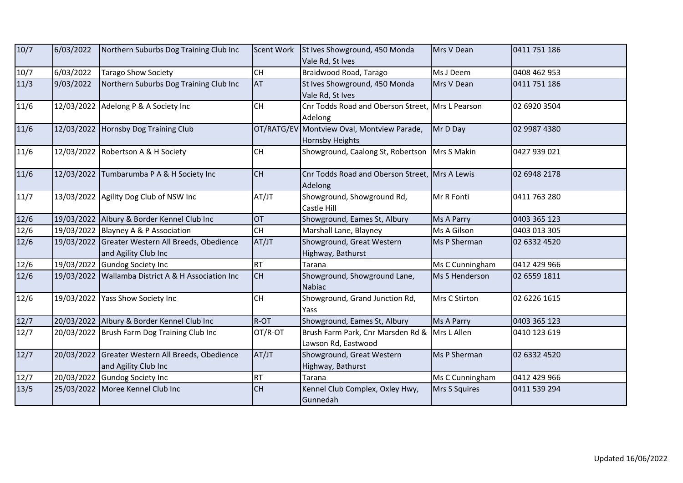| 10/7           | 6/03/2022  | Northern Suburbs Dog Training Club Inc                                   | <b>Scent Work</b> | St Ives Showground, 450 Monda<br>Vale Rd, St Ives                    | Mrs V Dean      | 0411 751 186 |
|----------------|------------|--------------------------------------------------------------------------|-------------------|----------------------------------------------------------------------|-----------------|--------------|
| 10/7           | 6/03/2022  | <b>Tarago Show Society</b>                                               | CH                | Braidwood Road, Tarago                                               | Ms J Deem       | 0408 462 953 |
| 11/3           | 9/03/2022  | Northern Suburbs Dog Training Club Inc                                   | <b>AT</b>         | St Ives Showground, 450 Monda<br>Vale Rd, St Ives                    | Mrs V Dean      | 0411 751 186 |
| $11/6$         |            | 12/03/2022 Adelong P & A Society Inc                                     | CH                | Cnr Todds Road and Oberson Street, Mrs L Pearson<br>Adelong          |                 | 02 6920 3504 |
| 11/6           |            | 12/03/2022 Hornsby Dog Training Club                                     |                   | OT/RATG/EV Montview Oval, Montview Parade,<br><b>Hornsby Heights</b> | Mr D Day        | 02 9987 4380 |
| 11/6           |            | 12/03/2022 Robertson A & H Society                                       | <b>CH</b>         | Showground, Caalong St, Robertson                                    | Mrs S Makin     | 0427 939 021 |
| $11/6$         |            | 12/03/2022 Tumbarumba P A & H Society Inc                                | <b>CH</b>         | Cnr Todds Road and Oberson Street, Mrs A Lewis<br>Adelong            |                 | 02 6948 2178 |
| 11/7           |            | 13/03/2022 Agility Dog Club of NSW Inc                                   | AT/JT             | Showground, Showground Rd,<br>Castle Hill                            | Mr R Fonti      | 0411 763 280 |
| $12/6$         |            | 19/03/2022 Albury & Border Kennel Club Inc                               | OT                | Showground, Eames St, Albury                                         | Ms A Parry      | 0403 365 123 |
| 12/6           |            | 19/03/2022 Blayney A & P Association                                     | <b>CH</b>         | Marshall Lane, Blayney                                               | Ms A Gilson     | 0403 013 305 |
| 12/6           |            | 19/03/2022 Greater Western All Breeds, Obedience<br>and Agility Club Inc | AT/JT             | Showground, Great Western<br>Highway, Bathurst                       | Ms P Sherman    | 02 6332 4520 |
| $12/6$         |            | 19/03/2022 Gundog Society Inc                                            | <b>RT</b>         | Tarana                                                               | Ms C Cunningham | 0412 429 966 |
| $\frac{12}{6}$ |            | 19/03/2022 Wallamba District A & H Association Inc                       | <b>CH</b>         | Showground, Showground Lane,<br><b>Nabiac</b>                        | Ms S Henderson  | 02 6559 1811 |
| $12/6$         | 19/03/2022 | Yass Show Society Inc                                                    | CH                | Showground, Grand Junction Rd,<br>Yass                               | Mrs C Stirton   | 02 6226 1615 |
| 12/7           |            | 20/03/2022 Albury & Border Kennel Club Inc                               | R-OT              | Showground, Eames St, Albury                                         | Ms A Parry      | 0403 365 123 |
| 12/7           |            | 20/03/2022 Brush Farm Dog Training Club Inc                              | OT/R-OT           | Brush Farm Park, Cnr Marsden Rd &<br>Lawson Rd, Eastwood             | Mrs L Allen     | 0410 123 619 |
| 12/7           |            | 20/03/2022 Greater Western All Breeds, Obedience<br>and Agility Club Inc | AT/JT             | Showground, Great Western<br>Highway, Bathurst                       | Ms P Sherman    | 02 6332 4520 |
| 12/7           |            | 20/03/2022 Gundog Society Inc                                            | RT                | Tarana                                                               | Ms C Cunningham | 0412 429 966 |
| 13/5           |            | 25/03/2022 Moree Kennel Club Inc                                         | CH                | Kennel Club Complex, Oxley Hwy,<br>Gunnedah                          | Mrs S Squires   | 0411 539 294 |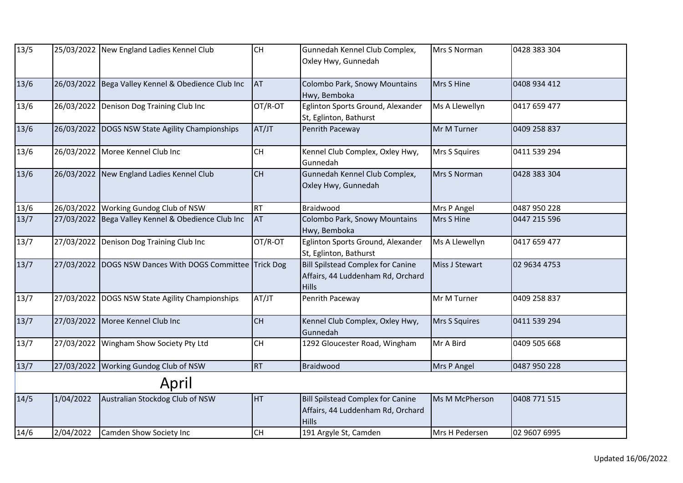| 13/5   |            | 25/03/2022 New England Ladies Kennel Club                | <b>CH</b> | Gunnedah Kennel Club Complex,<br>Oxley Hwy, Gunnedah                                          | Mrs S Norman   | 0428 383 304 |
|--------|------------|----------------------------------------------------------|-----------|-----------------------------------------------------------------------------------------------|----------------|--------------|
| 13/6   |            | 26/03/2022 Bega Valley Kennel & Obedience Club Inc       | <b>AT</b> | Colombo Park, Snowy Mountains<br>Hwy, Bemboka                                                 | Mrs S Hine     | 0408 934 412 |
| 13/6   |            | 26/03/2022 Denison Dog Training Club Inc                 | OT/R-OT   | Eglinton Sports Ground, Alexander<br>St, Eglinton, Bathurst                                   | Ms A Llewellyn | 0417 659 477 |
| 13/6   |            | 26/03/2022 DOGS NSW State Agility Championships          | AT/JT     | Penrith Paceway                                                                               | Mr M Turner    | 0409 258 837 |
| 13/6   |            | 26/03/2022 Moree Kennel Club Inc                         | CH        | Kennel Club Complex, Oxley Hwy,<br>Gunnedah                                                   | Mrs S Squires  | 0411 539 294 |
| $13/6$ |            | 26/03/2022 New England Ladies Kennel Club                | <b>CH</b> | Gunnedah Kennel Club Complex,<br>Oxley Hwy, Gunnedah                                          | Mrs S Norman   | 0428 383 304 |
| $13/6$ |            | 26/03/2022 Working Gundog Club of NSW                    | <b>RT</b> | Braidwood                                                                                     | Mrs P Angel    | 0487 950 228 |
| $13/7$ |            | 27/03/2022 Bega Valley Kennel & Obedience Club Inc       | <b>AT</b> | Colombo Park, Snowy Mountains<br>Hwy, Bemboka                                                 | Mrs S Hine     | 0447 215 596 |
| 13/7   |            | 27/03/2022 Denison Dog Training Club Inc                 | OT/R-OT   | Eglinton Sports Ground, Alexander<br>St, Eglinton, Bathurst                                   | Ms A Llewellyn | 0417 659 477 |
| $13/7$ |            | 27/03/2022 DOGS NSW Dances With DOGS Committee Trick Dog |           | <b>Bill Spilstead Complex for Canine</b><br>Affairs, 44 Luddenham Rd, Orchard<br><b>Hills</b> | Miss J Stewart | 02 9634 4753 |
| 13/7   | 27/03/2022 | DOGS NSW State Agility Championships                     | AT/JT     | Penrith Paceway                                                                               | Mr M Turner    | 0409 258 837 |
| 13/7   |            | 27/03/2022 Moree Kennel Club Inc                         | <b>CH</b> | Kennel Club Complex, Oxley Hwy,<br>Gunnedah                                                   | Mrs S Squires  | 0411 539 294 |
| 13/7   |            | 27/03/2022 Wingham Show Society Pty Ltd                  | CH        | 1292 Gloucester Road, Wingham                                                                 | Mr A Bird      | 0409 505 668 |
| $13/7$ |            | 27/03/2022 Working Gundog Club of NSW                    | <b>RT</b> | Braidwood                                                                                     | Mrs P Angel    | 0487 950 228 |
|        |            | April                                                    |           |                                                                                               |                |              |
| 14/5   | 1/04/2022  | Australian Stockdog Club of NSW                          | <b>HT</b> | <b>Bill Spilstead Complex for Canine</b><br>Affairs, 44 Luddenham Rd, Orchard<br><b>Hills</b> | Ms M McPherson | 0408 771 515 |
| 14/6   | 2/04/2022  | Camden Show Society Inc                                  | <b>CH</b> | 191 Argyle St, Camden                                                                         | Mrs H Pedersen | 02 9607 6995 |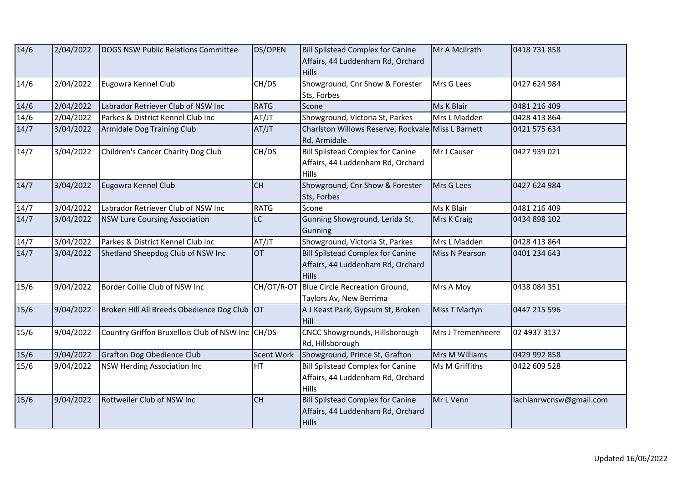| 14/6           | 2/04/2022 | DOGS NSW Public Relations Committee              | <b>DS/OPEN</b>    | <b>Bill Spilstead Complex for Canine</b><br>Affairs, 44 Luddenham Rd, Orchard<br><b>Hills</b> | Mr A McIlrath         | 0418 731 858            |
|----------------|-----------|--------------------------------------------------|-------------------|-----------------------------------------------------------------------------------------------|-----------------------|-------------------------|
| 14/6           | 2/04/2022 | Eugowra Kennel Club                              | CH/DS             | Showground, Cnr Show & Forester<br>Sts, Forbes                                                | Mrs G Lees            | 0427 624 984            |
| $14/6$         | 2/04/2022 | Labrador Retriever Club of NSW Inc               | <b>RATG</b>       | Scone                                                                                         | Ms K Blair            | 0481 216 409            |
| 14/6           | 2/04/2022 | Parkes & District Kennel Club Inc                | AT/JT             | Showground, Victoria St, Parkes                                                               | Mrs L Madden          | 0428 413 864            |
| 14/7           | 3/04/2022 | Armidale Dog Training Club                       | AT/JT             | Charlston Willows Reserve, Rockvale Miss L Barnett<br>Rd, Armidale                            |                       | 0421 575 634            |
| 14/7           | 3/04/2022 | Children's Cancer Charity Dog Club               | CH/DS             | <b>Bill Spilstead Complex for Canine</b><br>Affairs, 44 Luddenham Rd, Orchard<br>Hills        | Mr J Causer           | 0427 939 021            |
| $\frac{14}{7}$ | 3/04/2022 | Eugowra Kennel Club                              | <b>CH</b>         | Showground, Cnr Show & Forester<br>Sts, Forbes                                                | Mrs G Lees            | 0427 624 984            |
| 14/7           | 3/04/2022 | Labrador Retriever Club of NSW Inc               | <b>RATG</b>       | Scone                                                                                         | Ms K Blair            | 0481 216 409            |
| 14/7           | 3/04/2022 | <b>NSW Lure Coursing Association</b>             | LC                | Gunning Showground, Lerida St,<br>Gunning                                                     | Mrs K Craig           | 0434 898 102            |
| 14/7           | 3/04/2022 | Parkes & District Kennel Club Inc                | AT/JT             | Showground, Victoria St, Parkes                                                               | Mrs L Madden          | 0428 413 864            |
| 14/7           | 3/04/2022 | Shetland Sheepdog Club of NSW Inc                | <b>OT</b>         | <b>Bill Spilstead Complex for Canine</b><br>Affairs, 44 Luddenham Rd, Orchard<br><b>Hills</b> | <b>Miss N Pearson</b> | 0401 234 643            |
| 15/6           | 9/04/2022 | Border Collie Club of NSW Inc                    | CH/OT/R-OT        | Blue Circle Recreation Ground,<br>Taylors Av, New Berrima                                     | Mrs A Moy             | 0438 084 351            |
| 15/6           | 9/04/2022 | Broken Hill All Breeds Obedience Dog Club OT     |                   | A J Keast Park, Gypsum St, Broken<br>Hill                                                     | Miss T Martyn         | 0447 215 596            |
| 15/6           | 9/04/2022 | Country Griffon Bruxellois Club of NSW Inc CH/DS |                   | CNCC Showgrounds, Hillsborough<br>Rd, Hillsborough                                            | Mrs J Tremenheere     | 02 4937 3137            |
| $15/6$         | 9/04/2022 | Grafton Dog Obedience Club                       | <b>Scent Work</b> | Showground, Prince St, Grafton                                                                | Mrs M Williams        | 0429 992 858            |
| 15/6           | 9/04/2022 | <b>NSW Herding Association Inc</b>               | HT                | <b>Bill Spilstead Complex for Canine</b><br>Affairs, 44 Luddenham Rd, Orchard<br>Hills        | Ms M Griffiths        | 0422 609 528            |
| 15/6           | 9/04/2022 | Rottweiler Club of NSW Inc                       | <b>CH</b>         | <b>Bill Spilstead Complex for Canine</b><br>Affairs, 44 Luddenham Rd, Orchard<br><b>Hills</b> | Mr L Venn             | lachlanrwcnsw@gmail.com |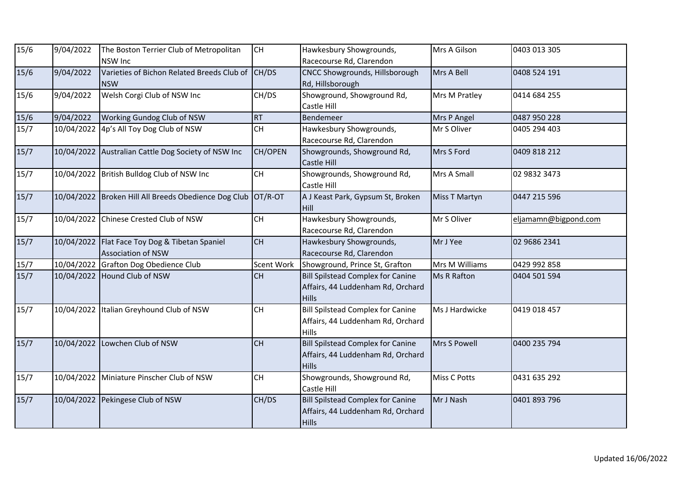| 15/6   | 9/04/2022  | The Boston Terrier Club of Metropolitan<br><b>NSW Inc</b>        | <b>CH</b>  | Hawkesbury Showgrounds,<br>Racecourse Rd, Clarendon                                           | Mrs A Gilson   | 0403 013 305         |
|--------|------------|------------------------------------------------------------------|------------|-----------------------------------------------------------------------------------------------|----------------|----------------------|
| 15/6   | 9/04/2022  | Varieties of Bichon Related Breeds Club of<br><b>NSW</b>         | CH/DS      | CNCC Showgrounds, Hillsborough<br>Rd, Hillsborough                                            | Mrs A Bell     | 0408 524 191         |
| 15/6   | 9/04/2022  | Welsh Corgi Club of NSW Inc                                      | CH/DS      | Showground, Showground Rd,<br>Castle Hill                                                     | Mrs M Pratley  | 0414 684 255         |
| 15/6   | 9/04/2022  | Working Gundog Club of NSW                                       | <b>RT</b>  | Bendemeer                                                                                     | Mrs P Angel    | 0487 950 228         |
| 15/7   | 10/04/2022 | 4p's All Toy Dog Club of NSW                                     | <b>CH</b>  | Hawkesbury Showgrounds,<br>Racecourse Rd, Clarendon                                           | Mr S Oliver    | 0405 294 403         |
| $15/7$ |            | 10/04/2022 Australian Cattle Dog Society of NSW Inc              | CH/OPEN    | Showgrounds, Showground Rd,<br><b>Castle Hill</b>                                             | Mrs S Ford     | 0409 818 212         |
| 15/7   | 10/04/2022 | British Bulldog Club of NSW Inc                                  | <b>CH</b>  | Showgrounds, Showground Rd,<br>Castle Hill                                                    | Mrs A Small    | 02 9832 3473         |
| $15/7$ |            | 10/04/2022 Broken Hill All Breeds Obedience Dog Club OT/R-OT     |            | A J Keast Park, Gypsum St, Broken<br>Hill                                                     | Miss T Martyn  | 0447 215 596         |
| 15/7   | 10/04/2022 | Chinese Crested Club of NSW                                      | CH         | Hawkesbury Showgrounds,<br>Racecourse Rd, Clarendon                                           | Mr S Oliver    | eljamamn@bigpond.com |
| 15/7   | 10/04/2022 | Flat Face Toy Dog & Tibetan Spaniel<br><b>Association of NSW</b> | CH         | Hawkesbury Showgrounds,<br>Racecourse Rd, Clarendon                                           | Mr J Yee       | 02 9686 2341         |
| 15/7   |            | 10/04/2022 Grafton Dog Obedience Club                            | Scent Work | Showground, Prince St, Grafton                                                                | Mrs M Williams | 0429 992 858         |
| 15/7   | 10/04/2022 | Hound Club of NSW                                                | CH         | <b>Bill Spilstead Complex for Canine</b><br>Affairs, 44 Luddenham Rd, Orchard<br><b>Hills</b> | Ms R Rafton    | 0404 501 594         |
| 15/7   |            | 10/04/2022 Italian Greyhound Club of NSW                         | <b>CH</b>  | <b>Bill Spilstead Complex for Canine</b><br>Affairs, 44 Luddenham Rd, Orchard<br><b>Hills</b> | Ms J Hardwicke | 0419 018 457         |
| 15/7   | 10/04/2022 | Lowchen Club of NSW                                              | CH         | <b>Bill Spilstead Complex for Canine</b><br>Affairs, 44 Luddenham Rd, Orchard<br><b>Hills</b> | Mrs S Powell   | 0400 235 794         |
| 15/7   | 10/04/2022 | Miniature Pinscher Club of NSW                                   | CH         | Showgrounds, Showground Rd,<br>Castle Hill                                                    | Miss C Potts   | 0431 635 292         |
| 15/7   | 10/04/2022 | Pekingese Club of NSW                                            | CH/DS      | <b>Bill Spilstead Complex for Canine</b><br>Affairs, 44 Luddenham Rd, Orchard<br><b>Hills</b> | Mr J Nash      | 0401 893 796         |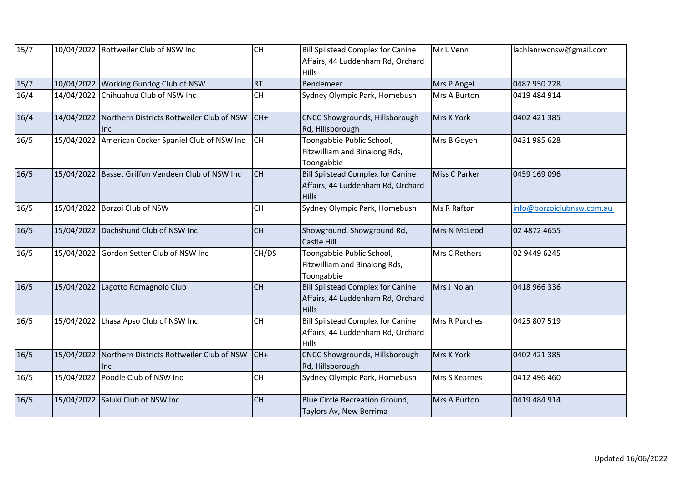| 15/7 |            | 10/04/2022 Rottweiler Club of NSW Inc                              | <b>CH</b> | <b>Bill Spilstead Complex for Canine</b><br>Affairs, 44 Luddenham Rd, Orchard<br>Hills        | Mr L Venn            | lachlanrwcnsw@gmail.com   |
|------|------------|--------------------------------------------------------------------|-----------|-----------------------------------------------------------------------------------------------|----------------------|---------------------------|
| 15/7 | 10/04/2022 | Working Gundog Club of NSW                                         | <b>RT</b> | Bendemeer                                                                                     | Mrs P Angel          | 0487 950 228              |
| 16/4 | 14/04/2022 | Chihuahua Club of NSW Inc                                          | <b>CH</b> | Sydney Olympic Park, Homebush                                                                 | Mrs A Burton         | 0419 484 914              |
| 16/4 |            | 14/04/2022 Northern Districts Rottweiler Club of NSW<br><b>Inc</b> | $CH+$     | CNCC Showgrounds, Hillsborough<br>Rd, Hillsborough                                            | Mrs K York           | 0402 421 385              |
| 16/5 |            | 15/04/2022 American Cocker Spaniel Club of NSW Inc                 | <b>CH</b> | Toongabbie Public School,<br>Fitzwilliam and Binalong Rds,<br>Toongabbie                      | Mrs B Goyen          | 0431 985 628              |
| 16/5 |            | 15/04/2022 Basset Griffon Vendeen Club of NSW Inc                  | <b>CH</b> | <b>Bill Spilstead Complex for Canine</b><br>Affairs, 44 Luddenham Rd, Orchard<br><b>Hills</b> | <b>Miss C Parker</b> | 0459 169 096              |
| 16/5 |            | 15/04/2022 Borzoi Club of NSW                                      | <b>CH</b> | Sydney Olympic Park, Homebush                                                                 | <b>Ms R Rafton</b>   | info@borzoiclubnsw.com.au |
| 16/5 |            | 15/04/2022 Dachshund Club of NSW Inc                               | <b>CH</b> | Showground, Showground Rd,<br>Castle Hill                                                     | Mrs N McLeod         | 02 4872 4655              |
| 16/5 |            | 15/04/2022 Gordon Setter Club of NSW Inc                           | CH/DS     | Toongabbie Public School,<br>Fitzwilliam and Binalong Rds,<br>Toongabbie                      | Mrs C Rethers        | 02 9449 6245              |
| 16/5 | 15/04/2022 | Lagotto Romagnolo Club                                             | CH        | <b>Bill Spilstead Complex for Canine</b><br>Affairs, 44 Luddenham Rd, Orchard<br>Hills        | Mrs J Nolan          | 0418 966 336              |
| 16/5 |            | 15/04/2022 Lhasa Apso Club of NSW Inc                              | <b>CH</b> | <b>Bill Spilstead Complex for Canine</b><br>Affairs, 44 Luddenham Rd, Orchard<br><b>Hills</b> | Mrs R Purches        | 0425 807 519              |
| 16/5 | 15/04/2022 | Northern Districts Rottweiler Club of NSW<br><b>Inc</b>            | $CH+$     | CNCC Showgrounds, Hillsborough<br>Rd, Hillsborough                                            | Mrs K York           | 0402 421 385              |
| 16/5 |            | 15/04/2022 Poodle Club of NSW Inc                                  | <b>CH</b> | Sydney Olympic Park, Homebush                                                                 | Mrs S Kearnes        | 0412 496 460              |
| 16/5 |            | 15/04/2022 Saluki Club of NSW Inc                                  | <b>CH</b> | <b>Blue Circle Recreation Ground,</b><br>Taylors Av, New Berrima                              | Mrs A Burton         | 0419 484 914              |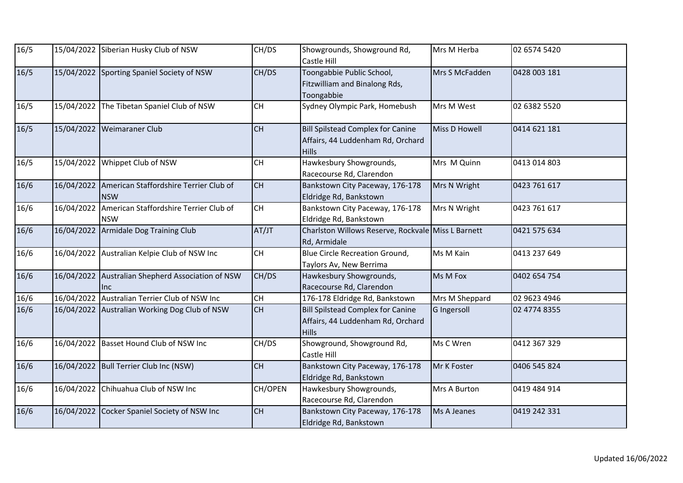| 16/5   |            | 15/04/2022 Siberian Husky Club of NSW                           | CH/DS                                    | Showgrounds, Showground Rd,<br><b>Castle Hill</b>                                             | Mrs M Herba          | 02 6574 5420 |
|--------|------------|-----------------------------------------------------------------|------------------------------------------|-----------------------------------------------------------------------------------------------|----------------------|--------------|
| 16/5   |            | 15/04/2022 Sporting Spaniel Society of NSW                      | CH/DS                                    | Toongabbie Public School,<br>Fitzwilliam and Binalong Rds,<br>Toongabbie                      | Mrs S McFadden       | 0428 003 181 |
| 16/5   | 15/04/2022 | The Tibetan Spaniel Club of NSW                                 | <b>CH</b>                                | Sydney Olympic Park, Homebush                                                                 | Mrs M West           | 02 6382 5520 |
| 16/5   | 15/04/2022 | Weimaraner Club                                                 | <b>CH</b>                                | <b>Bill Spilstead Complex for Canine</b><br>Affairs, 44 Luddenham Rd, Orchard<br>Hills        | <b>Miss D Howell</b> | 0414 621 181 |
| 16/5   | 15/04/2022 | Whippet Club of NSW                                             | $\mathsf{CH}% \left( \mathcal{M}\right)$ | Hawkesbury Showgrounds,<br>Racecourse Rd, Clarendon                                           | Mrs M Quinn          | 0413 014 803 |
| $16/6$ | 16/04/2022 | American Staffordshire Terrier Club of<br><b>NSW</b>            | <b>CH</b>                                | Bankstown City Paceway, 176-178<br>Eldridge Rd, Bankstown                                     | Mrs N Wright         | 0423 761 617 |
| 16/6   |            | 16/04/2022 American Staffordshire Terrier Club of<br><b>NSW</b> | <b>CH</b>                                | Bankstown City Paceway, 176-178<br>Eldridge Rd, Bankstown                                     | Mrs N Wright         | 0423 761 617 |
| 16/6   | 16/04/2022 | Armidale Dog Training Club                                      | AT/JT                                    | Charlston Willows Reserve, Rockvale Miss L Barnett<br>Rd, Armidale                            |                      | 0421 575 634 |
| 16/6   |            | 16/04/2022 Australian Kelpie Club of NSW Inc                    | CH                                       | <b>Blue Circle Recreation Ground,</b><br>Taylors Av, New Berrima                              | Ms M Kain            | 0413 237 649 |
| 16/6   |            | 16/04/2022 Australian Shepherd Association of NSW<br><b>Inc</b> | CH/DS                                    | Hawkesbury Showgrounds,<br>Racecourse Rd, Clarendon                                           | Ms M Fox             | 0402 654 754 |
| 16/6   |            | 16/04/2022 Australian Terrier Club of NSW Inc                   | CH                                       | 176-178 Eldridge Rd, Bankstown                                                                | Mrs M Sheppard       | 02 9623 4946 |
| 16/6   |            | 16/04/2022 Australian Working Dog Club of NSW                   | CH                                       | <b>Bill Spilstead Complex for Canine</b><br>Affairs, 44 Luddenham Rd, Orchard<br><b>Hills</b> | G Ingersoll          | 02 4774 8355 |
| 16/6   | 16/04/2022 | Basset Hound Club of NSW Inc                                    | CH/DS                                    | Showground, Showground Rd,<br><b>Castle Hill</b>                                              | Ms C Wren            | 0412 367 329 |
| 16/6   | 16/04/2022 | Bull Terrier Club Inc (NSW)                                     | <b>CH</b>                                | Bankstown City Paceway, 176-178<br>Eldridge Rd, Bankstown                                     | Mr K Foster          | 0406 545 824 |
| 16/6   | 16/04/2022 | Chihuahua Club of NSW Inc                                       | CH/OPEN                                  | Hawkesbury Showgrounds,<br>Racecourse Rd, Clarendon                                           | Mrs A Burton         | 0419 484 914 |
| 16/6   | 16/04/2022 | Cocker Spaniel Society of NSW Inc                               | CH                                       | Bankstown City Paceway, 176-178<br>Eldridge Rd, Bankstown                                     | Ms A Jeanes          | 0419 242 331 |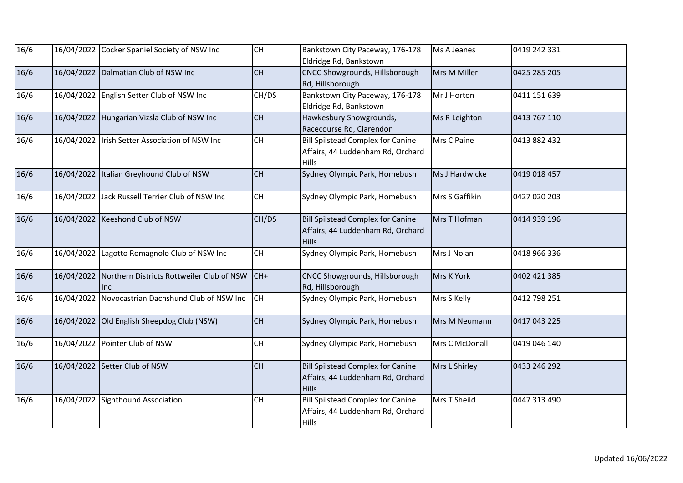| 16/6   |            | 16/04/2022 Cocker Spaniel Society of NSW Inc      | <b>CH</b> | Bankstown City Paceway, 176-178<br>Eldridge Rd, Bankstown                                     | Ms A Jeanes    | 0419 242 331 |
|--------|------------|---------------------------------------------------|-----------|-----------------------------------------------------------------------------------------------|----------------|--------------|
| 16/6   | 16/04/2022 | Dalmatian Club of NSW Inc                         | <b>CH</b> | <b>CNCC Showgrounds, Hillsborough</b><br>Rd, Hillsborough                                     | Mrs M Miller   | 0425 285 205 |
| 16/6   |            | 16/04/2022 English Setter Club of NSW Inc         | CH/DS     | Bankstown City Paceway, 176-178<br>Eldridge Rd, Bankstown                                     | Mr J Horton    | 0411 151 639 |
| 16/6   | 16/04/2022 | Hungarian Vizsla Club of NSW Inc                  | <b>CH</b> | Hawkesbury Showgrounds,<br>Racecourse Rd, Clarendon                                           | Ms R Leighton  | 0413 767 110 |
| 16/6   |            | 16/04/2022 Irish Setter Association of NSW Inc    | CH        | <b>Bill Spilstead Complex for Canine</b><br>Affairs, 44 Luddenham Rd, Orchard<br><b>Hills</b> | Mrs C Paine    | 0413 882 432 |
| 16/6   | 16/04/2022 | Italian Greyhound Club of NSW                     | <b>CH</b> | Sydney Olympic Park, Homebush                                                                 | Ms J Hardwicke | 0419 018 457 |
| 16/6   | 16/04/2022 | Jack Russell Terrier Club of NSW Inc              | <b>CH</b> | Sydney Olympic Park, Homebush                                                                 | Mrs S Gaffikin | 0427 020 203 |
| 16/6   |            | 16/04/2022 Keeshond Club of NSW                   | CH/DS     | <b>Bill Spilstead Complex for Canine</b><br>Affairs, 44 Luddenham Rd, Orchard<br><b>Hills</b> | Mrs T Hofman   | 0414 939 196 |
| 16/6   | 16/04/2022 | Lagotto Romagnolo Club of NSW Inc                 | <b>CH</b> | Sydney Olympic Park, Homebush                                                                 | Mrs J Nolan    | 0418 966 336 |
| 16/6   | 16/04/2022 | Northern Districts Rottweiler Club of NSW<br>llnc | $CH+$     | CNCC Showgrounds, Hillsborough<br>Rd, Hillsborough                                            | Mrs K York     | 0402 421 385 |
| 16/6   | 16/04/2022 | Novocastrian Dachshund Club of NSW Inc            | lсн       | Sydney Olympic Park, Homebush                                                                 | Mrs S Kelly    | 0412 798 251 |
| 16/6   | 16/04/2022 | Old English Sheepdog Club (NSW)                   | <b>CH</b> | Sydney Olympic Park, Homebush                                                                 | Mrs M Neumann  | 0417 043 225 |
| 16/6   | 16/04/2022 | Pointer Club of NSW                               | CH        | Sydney Olympic Park, Homebush                                                                 | Mrs C McDonall | 0419 046 140 |
| $16/6$ |            | 16/04/2022 Setter Club of NSW                     | CH        | <b>Bill Spilstead Complex for Canine</b><br>Affairs, 44 Luddenham Rd, Orchard<br><b>Hills</b> | Mrs L Shirley  | 0433 246 292 |
| 16/6   | 16/04/2022 | Sighthound Association                            | CH        | <b>Bill Spilstead Complex for Canine</b><br>Affairs, 44 Luddenham Rd, Orchard<br><b>Hills</b> | Mrs T Sheild   | 0447 313 490 |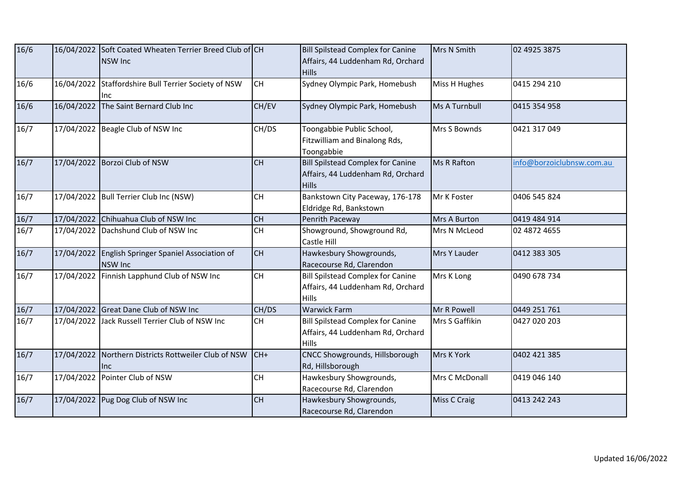| 16/6 |            | 16/04/2022 Soft Coated Wheaten Terrier Breed Club of CH<br><b>NSW Inc</b> |           | <b>Bill Spilstead Complex for Canine</b><br>Affairs, 44 Luddenham Rd, Orchard<br><b>Hills</b> | Mrs N Smith          | 02 4925 3875              |
|------|------------|---------------------------------------------------------------------------|-----------|-----------------------------------------------------------------------------------------------|----------------------|---------------------------|
| 16/6 | 16/04/2022 | Staffordshire Bull Terrier Society of NSW<br>llnc                         | <b>CH</b> | Sydney Olympic Park, Homebush                                                                 | Miss H Hughes        | 0415 294 210              |
| 16/6 | 16/04/2022 | The Saint Bernard Club Inc                                                | CH/EV     | Sydney Olympic Park, Homebush                                                                 | <b>Ms A Turnbull</b> | 0415 354 958              |
| 16/7 |            | 17/04/2022 Beagle Club of NSW Inc                                         | CH/DS     | Toongabbie Public School,<br>Fitzwilliam and Binalong Rds,<br>Toongabbie                      | Mrs S Bownds         | 0421 317 049              |
| 16/7 |            | 17/04/2022 Borzoi Club of NSW                                             | <b>CH</b> | <b>Bill Spilstead Complex for Canine</b><br>Affairs, 44 Luddenham Rd, Orchard<br><b>Hills</b> | Ms R Rafton          | info@borzoiclubnsw.com.au |
| 16/7 | 17/04/2022 | Bull Terrier Club Inc (NSW)                                               | CH        | Bankstown City Paceway, 176-178<br>Eldridge Rd, Bankstown                                     | Mr K Foster          | 0406 545 824              |
| 16/7 |            | 17/04/2022 Chihuahua Club of NSW Inc                                      | CH        | Penrith Paceway                                                                               | Mrs A Burton         | 0419 484 914              |
| 16/7 | 17/04/2022 | Dachshund Club of NSW Inc                                                 | <b>CH</b> | Showground, Showground Rd,<br>Castle Hill                                                     | Mrs N McLeod         | 02 4872 4655              |
| 16/7 | 17/04/2022 | English Springer Spaniel Association of<br><b>NSW Inc</b>                 | <b>CH</b> | Hawkesbury Showgrounds,<br>Racecourse Rd, Clarendon                                           | Mrs Y Lauder         | 0412 383 305              |
| 16/7 | 17/04/2022 | Finnish Lapphund Club of NSW Inc                                          | <b>CH</b> | <b>Bill Spilstead Complex for Canine</b><br>Affairs, 44 Luddenham Rd, Orchard<br><b>Hills</b> | Mrs K Long           | 0490 678 734              |
| 16/7 |            | 17/04/2022 Great Dane Club of NSW Inc                                     | CH/DS     | <b>Warwick Farm</b>                                                                           | Mr R Powell          | 0449 251 761              |
| 16/7 |            | 17/04/2022 Jack Russell Terrier Club of NSW Inc                           | <b>CH</b> | <b>Bill Spilstead Complex for Canine</b><br>Affairs, 44 Luddenham Rd, Orchard<br><b>Hills</b> | Mrs S Gaffikin       | 0427 020 203              |
| 16/7 | 17/04/2022 | Northern Districts Rottweiler Club of NSW<br>llnc.                        | $CH+$     | CNCC Showgrounds, Hillsborough<br>Rd, Hillsborough                                            | Mrs K York           | 0402 421 385              |
| 16/7 |            | 17/04/2022 Pointer Club of NSW                                            | CH        | Hawkesbury Showgrounds,<br>Racecourse Rd, Clarendon                                           | Mrs C McDonall       | 0419 046 140              |
| 16/7 |            | 17/04/2022 Pug Dog Club of NSW Inc                                        | <b>CH</b> | Hawkesbury Showgrounds,<br>Racecourse Rd, Clarendon                                           | <b>Miss C Craig</b>  | 0413 242 243              |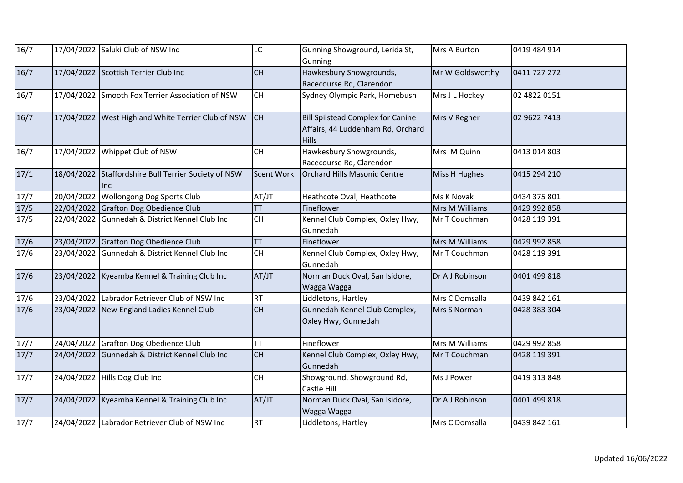| 16/7              |            | 17/04/2022 Saluki Club of NSW Inc                 | LC                | Gunning Showground, Lerida St,<br>Gunning                                                     | Mrs A Burton     | 0419 484 914 |
|-------------------|------------|---------------------------------------------------|-------------------|-----------------------------------------------------------------------------------------------|------------------|--------------|
| 16/7              |            | 17/04/2022 Scottish Terrier Club Inc              | CH                | Hawkesbury Showgrounds,<br>Racecourse Rd, Clarendon                                           | Mr W Goldsworthy | 0411 727 272 |
| 16/7              |            | 17/04/2022 Smooth Fox Terrier Association of NSW  | <b>CH</b>         | Sydney Olympic Park, Homebush                                                                 | Mrs J L Hockey   | 02 4822 0151 |
| 16/7              | 17/04/2022 | West Highland White Terrier Club of NSW           | <b>CH</b>         | <b>Bill Spilstead Complex for Canine</b><br>Affairs, 44 Luddenham Rd, Orchard<br><b>Hills</b> | Mrs V Regner     | 02 9622 7413 |
| 16/7              |            | 17/04/2022 Whippet Club of NSW                    | <b>CH</b>         | Hawkesbury Showgrounds,<br>Racecourse Rd, Clarendon                                           | Mrs M Quinn      | 0413 014 803 |
| 17/1              | 18/04/2022 | Staffordshire Bull Terrier Society of NSW<br>llnc | <b>Scent Work</b> | Orchard Hills Masonic Centre                                                                  | Miss H Hughes    | 0415 294 210 |
| 17/7              |            | 20/04/2022 Wollongong Dog Sports Club             | AT/JT             | Heathcote Oval, Heathcote                                                                     | Ms K Novak       | 0434 375 801 |
| $\overline{17}/5$ |            | 22/04/2022 Grafton Dog Obedience Club             | <b>TT</b>         | Fineflower                                                                                    | Mrs M Williams   | 0429 992 858 |
| 17/5              | 22/04/2022 | Gunnedah & District Kennel Club Inc               | CH                | Kennel Club Complex, Oxley Hwy,<br>Gunnedah                                                   | Mr T Couchman    | 0428 119 391 |
| 17/6              |            | 23/04/2022 Grafton Dog Obedience Club             | <b>TT</b>         | Fineflower                                                                                    | Mrs M Williams   | 0429 992 858 |
| $17/6$            |            | 23/04/2022 Gunnedah & District Kennel Club Inc    | <b>CH</b>         | Kennel Club Complex, Oxley Hwy,<br>Gunnedah                                                   | Mr T Couchman    | 0428 119 391 |
| 17/6              |            | 23/04/2022 Kyeamba Kennel & Training Club Inc     | AT/JT             | Norman Duck Oval, San Isidore,<br>Wagga Wagga                                                 | Dr A J Robinson  | 0401 499 818 |
| 17/6              | 23/04/2022 | Labrador Retriever Club of NSW Inc                | <b>RT</b>         | Liddletons, Hartley                                                                           | Mrs C Domsalla   | 0439 842 161 |
| 17/6              |            | 23/04/2022 New England Ladies Kennel Club         | CH                | Gunnedah Kennel Club Complex,<br>Oxley Hwy, Gunnedah                                          | Mrs S Norman     | 0428 383 304 |
| 17/7              |            | 24/04/2022 Grafton Dog Obedience Club             | <b>TT</b>         | Fineflower                                                                                    | Mrs M Williams   | 0429 992 858 |
| 17/7              | 24/04/2022 | Gunnedah & District Kennel Club Inc               | <b>CH</b>         | Kennel Club Complex, Oxley Hwy,<br>Gunnedah                                                   | Mr T Couchman    | 0428 119 391 |
| 17/7              |            | 24/04/2022 Hills Dog Club Inc                     | CH                | Showground, Showground Rd,<br>Castle Hill                                                     | Ms J Power       | 0419 313 848 |
| 17/7              |            | 24/04/2022 Kyeamba Kennel & Training Club Inc     | AT/JT             | Norman Duck Oval, San Isidore,<br>Wagga Wagga                                                 | Dr A J Robinson  | 0401 499 818 |
| $17/7$            |            | 24/04/2022 Labrador Retriever Club of NSW Inc     | <b>RT</b>         | Liddletons, Hartley                                                                           | Mrs C Domsalla   | 0439 842 161 |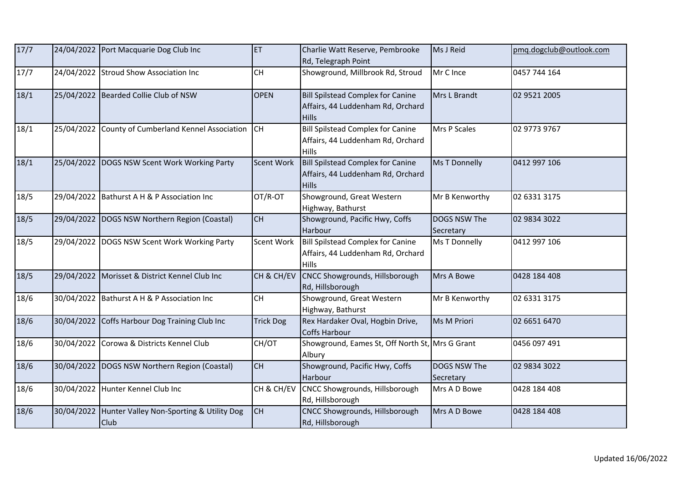| 17/7 |            | 24/04/2022 Port Macquarie Dog Club Inc           | <b>ET</b>         | Charlie Watt Reserve, Pembrooke<br>Rd, Telegraph Point                                        | Ms J Reid                 | pmq.dogclub@outlook.com |
|------|------------|--------------------------------------------------|-------------------|-----------------------------------------------------------------------------------------------|---------------------------|-------------------------|
| 17/7 |            | 24/04/2022 Stroud Show Association Inc           | <b>CH</b>         | Showground, Millbrook Rd, Stroud                                                              | Mr C Ince                 | 0457 744 164            |
| 18/1 |            | 25/04/2022 Bearded Collie Club of NSW            | <b>OPEN</b>       | <b>Bill Spilstead Complex for Canine</b><br>Affairs, 44 Luddenham Rd, Orchard<br><b>Hills</b> | Mrs L Brandt              | 02 9521 2005            |
| 18/1 | 25/04/2022 | County of Cumberland Kennel Association CH       |                   | <b>Bill Spilstead Complex for Canine</b><br>Affairs, 44 Luddenham Rd, Orchard<br><b>Hills</b> | Mrs P Scales              | 02 9773 9767            |
| 18/1 |            | 25/04/2022 DOGS NSW Scent Work Working Party     | <b>Scent Work</b> | <b>Bill Spilstead Complex for Canine</b><br>Affairs, 44 Luddenham Rd, Orchard<br><b>Hills</b> | Ms T Donnelly             | 0412 997 106            |
| 18/5 | 29/04/2022 | Bathurst A H & P Association Inc                 | OT/R-OT           | Showground, Great Western<br>Highway, Bathurst                                                | Mr B Kenworthy            | 02 6331 3175            |
| 18/5 |            | 29/04/2022 DOGS NSW Northern Region (Coastal)    | <b>CH</b>         | Showground, Pacific Hwy, Coffs<br>Harbour                                                     | DOGS NSW The<br>Secretary | 02 9834 3022            |
| 18/5 |            | 29/04/2022 DOGS NSW Scent Work Working Party     | Scent Work        | <b>Bill Spilstead Complex for Canine</b><br>Affairs, 44 Luddenham Rd, Orchard<br><b>Hills</b> | <b>Ms T Donnelly</b>      | 0412 997 106            |
| 18/5 |            | 29/04/2022 Morisset & District Kennel Club Inc   | CH & CH/EV        | CNCC Showgrounds, Hillsborough<br>Rd, Hillsborough                                            | Mrs A Bowe                | 0428 184 408            |
| 18/6 |            | 30/04/2022 Bathurst A H & P Association Inc      | <b>CH</b>         | Showground, Great Western<br>Highway, Bathurst                                                | Mr B Kenworthy            | 02 6331 3175            |
| 18/6 |            | 30/04/2022 Coffs Harbour Dog Training Club Inc   | <b>Trick Dog</b>  | Rex Hardaker Oval, Hogbin Drive,<br>Coffs Harbour                                             | Ms M Priori               | 02 6651 6470            |
| 18/6 | 30/04/2022 | Corowa & Districts Kennel Club                   | CH/OT             | Showground, Eames St, Off North St, Mrs G Grant<br>Albury                                     |                           | 0456 097 491            |
| 18/6 |            | 30/04/2022 DOGS NSW Northern Region (Coastal)    | <b>CH</b>         | Showground, Pacific Hwy, Coffs<br>Harbour                                                     | DOGS NSW The<br>Secretary | 02 9834 3022            |
| 18/6 |            | 30/04/2022 Hunter Kennel Club Inc                | CH & CH/EV        | CNCC Showgrounds, Hillsborough<br>Rd, Hillsborough                                            | Mrs A D Bowe              | 0428 184 408            |
| 18/6 | 30/04/2022 | Hunter Valley Non-Sporting & Utility Dog<br>Club | <b>CH</b>         | CNCC Showgrounds, Hillsborough<br>Rd, Hillsborough                                            | Mrs A D Bowe              | 0428 184 408            |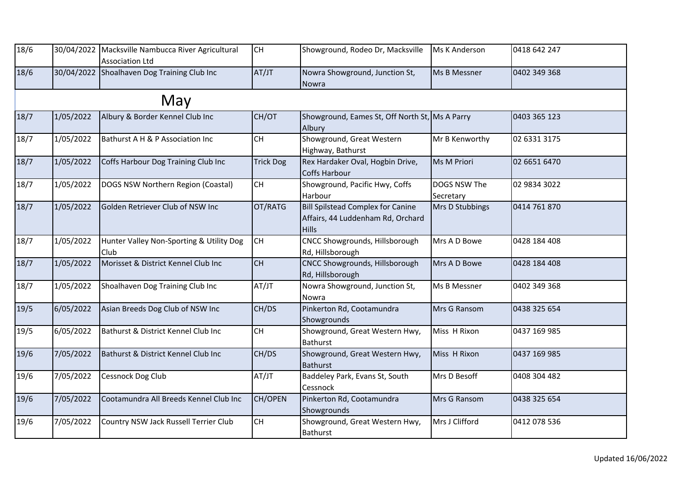| 18/6 |           | 30/04/2022 Macksville Nambucca River Agricultural<br><b>Association Ltd</b> | <b>CH</b>        | Showground, Rodeo Dr, Macksville                                                       | <b>Ms K Anderson</b>      | 0418 642 247 |
|------|-----------|-----------------------------------------------------------------------------|------------------|----------------------------------------------------------------------------------------|---------------------------|--------------|
| 18/6 |           | 30/04/2022 Shoalhaven Dog Training Club Inc                                 | AT/JT            | Nowra Showground, Junction St,<br>Nowra                                                | Ms B Messner              | 0402 349 368 |
|      |           | May                                                                         |                  |                                                                                        |                           |              |
| 18/7 | 1/05/2022 | Albury & Border Kennel Club Inc                                             | CH/OT            | Showground, Eames St, Off North St, Ms A Parry<br>Albury                               |                           | 0403 365 123 |
| 18/7 | 1/05/2022 | Bathurst A H & P Association Inc                                            | <b>CH</b>        | Showground, Great Western<br>Highway, Bathurst                                         | Mr B Kenworthy            | 02 6331 3175 |
| 18/7 | 1/05/2022 | Coffs Harbour Dog Training Club Inc                                         | <b>Trick Dog</b> | Rex Hardaker Oval, Hogbin Drive,<br>Coffs Harbour                                      | Ms M Priori               | 02 6651 6470 |
| 18/7 | 1/05/2022 | DOGS NSW Northern Region (Coastal)                                          | <b>CH</b>        | Showground, Pacific Hwy, Coffs<br>Harbour                                              | DOGS NSW The<br>Secretary | 02 9834 3022 |
| 18/7 | 1/05/2022 | Golden Retriever Club of NSW Inc                                            | OT/RATG          | Bill Spilstead Complex for Canine<br>Affairs, 44 Luddenham Rd, Orchard<br><b>Hills</b> | Mrs D Stubbings           | 0414 761 870 |
| 18/7 | 1/05/2022 | Hunter Valley Non-Sporting & Utility Dog<br>Club                            | <b>CH</b>        | CNCC Showgrounds, Hillsborough<br>Rd, Hillsborough                                     | Mrs A D Bowe              | 0428 184 408 |
| 18/7 | 1/05/2022 | Morisset & District Kennel Club Inc                                         | <b>CH</b>        | CNCC Showgrounds, Hillsborough<br>Rd, Hillsborough                                     | Mrs A D Bowe              | 0428 184 408 |
| 18/7 | 1/05/2022 | Shoalhaven Dog Training Club Inc                                            | AT/JT            | Nowra Showground, Junction St,<br>Nowra                                                | Ms B Messner              | 0402 349 368 |
| 19/5 | 6/05/2022 | Asian Breeds Dog Club of NSW Inc                                            | CH/DS            | Pinkerton Rd, Cootamundra<br>Showgrounds                                               | Mrs G Ransom              | 0438 325 654 |
| 19/5 | 6/05/2022 | Bathurst & District Kennel Club Inc                                         | CH               | Showground, Great Western Hwy,<br><b>Bathurst</b>                                      | Miss H Rixon              | 0437 169 985 |
| 19/6 | 7/05/2022 | Bathurst & District Kennel Club Inc                                         | CH/DS            | Showground, Great Western Hwy,<br><b>Bathurst</b>                                      | Miss H Rixon              | 0437 169 985 |
| 19/6 | 7/05/2022 | Cessnock Dog Club                                                           | AT/JT            | Baddeley Park, Evans St, South<br>Cessnock                                             | Mrs D Besoff              | 0408 304 482 |
| 19/6 | 7/05/2022 | Cootamundra All Breeds Kennel Club Inc                                      | CH/OPEN          | Pinkerton Rd, Cootamundra<br>Showgrounds                                               | Mrs G Ransom              | 0438 325 654 |
| 19/6 | 7/05/2022 | Country NSW Jack Russell Terrier Club                                       | <b>CH</b>        | Showground, Great Western Hwy,<br><b>Bathurst</b>                                      | Mrs J Clifford            | 0412 078 536 |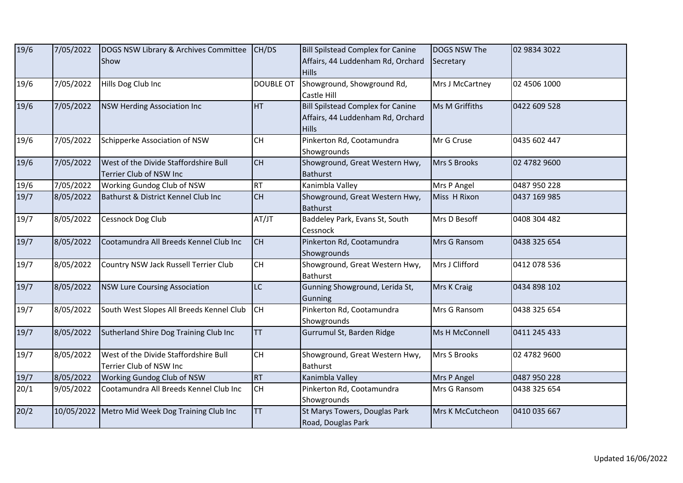| 19/6 | 7/05/2022 | DOGS NSW Library & Archives Committee                            | CH/DS            | <b>Bill Spilstead Complex for Canine</b>                                                      | DOGS NSW The     | 02 9834 3022 |
|------|-----------|------------------------------------------------------------------|------------------|-----------------------------------------------------------------------------------------------|------------------|--------------|
|      |           | <b>Show</b>                                                      |                  | Affairs, 44 Luddenham Rd, Orchard<br><b>Hills</b>                                             | Secretary        |              |
| 19/6 | 7/05/2022 | Hills Dog Club Inc                                               | <b>DOUBLE OT</b> | Showground, Showground Rd,<br>Castle Hill                                                     | Mrs J McCartney  | 02 4506 1000 |
| 19/6 | 7/05/2022 | <b>NSW Herding Association Inc</b>                               | HT               | <b>Bill Spilstead Complex for Canine</b><br>Affairs, 44 Luddenham Rd, Orchard<br><b>Hills</b> | Ms M Griffiths   | 0422 609 528 |
| 19/6 | 7/05/2022 | Schipperke Association of NSW                                    | <b>CH</b>        | Pinkerton Rd, Cootamundra<br>Showgrounds                                                      | Mr G Cruse       | 0435 602 447 |
| 19/6 | 7/05/2022 | West of the Divide Staffordshire Bull<br>Terrier Club of NSW Inc | <b>CH</b>        | Showground, Great Western Hwy,<br><b>Bathurst</b>                                             | Mrs S Brooks     | 02 4782 9600 |
| 19/6 | 7/05/2022 | Working Gundog Club of NSW                                       | <b>RT</b>        | Kanimbla Valley                                                                               | Mrs P Angel      | 0487 950 228 |
| 19/7 | 8/05/2022 | Bathurst & District Kennel Club Inc                              | <b>CH</b>        | Showground, Great Western Hwy,<br><b>Bathurst</b>                                             | Miss H Rixon     | 0437 169 985 |
| 19/7 | 8/05/2022 | Cessnock Dog Club                                                | AT/JT            | Baddeley Park, Evans St, South<br>Cessnock                                                    | Mrs D Besoff     | 0408 304 482 |
| 19/7 | 8/05/2022 | Cootamundra All Breeds Kennel Club Inc                           | <b>CH</b>        | Pinkerton Rd, Cootamundra<br>Showgrounds                                                      | Mrs G Ransom     | 0438 325 654 |
| 19/7 | 8/05/2022 | Country NSW Jack Russell Terrier Club                            | <b>CH</b>        | Showground, Great Western Hwy,<br><b>Bathurst</b>                                             | Mrs J Clifford   | 0412 078 536 |
| 19/7 | 8/05/2022 | <b>NSW Lure Coursing Association</b>                             | <b>LC</b>        | Gunning Showground, Lerida St,<br>Gunning                                                     | Mrs K Craig      | 0434 898 102 |
| 19/7 | 8/05/2022 | South West Slopes All Breeds Kennel Club                         | lсн              | Pinkerton Rd, Cootamundra<br>Showgrounds                                                      | Mrs G Ransom     | 0438 325 654 |
| 19/7 | 8/05/2022 | Sutherland Shire Dog Training Club Inc                           | <b>TT</b>        | Gurrumul St, Barden Ridge                                                                     | Ms H McConnell   | 0411 245 433 |
| 19/7 | 8/05/2022 | West of the Divide Staffordshire Bull<br>Terrier Club of NSW Inc | <b>CH</b>        | Showground, Great Western Hwy,<br><b>Bathurst</b>                                             | Mrs S Brooks     | 02 4782 9600 |
| 19/7 | 8/05/2022 | Working Gundog Club of NSW                                       | <b>RT</b>        | Kanimbla Valley                                                                               | Mrs P Angel      | 0487 950 228 |
| 20/1 | 9/05/2022 | Cootamundra All Breeds Kennel Club Inc                           | <b>CH</b>        | Pinkerton Rd, Cootamundra<br>Showgrounds                                                      | Mrs G Ransom     | 0438 325 654 |
| 20/2 |           | 10/05/2022 Metro Mid Week Dog Training Club Inc                  | <b>TT</b>        | St Marys Towers, Douglas Park<br>Road, Douglas Park                                           | Mrs K McCutcheon | 0410 035 667 |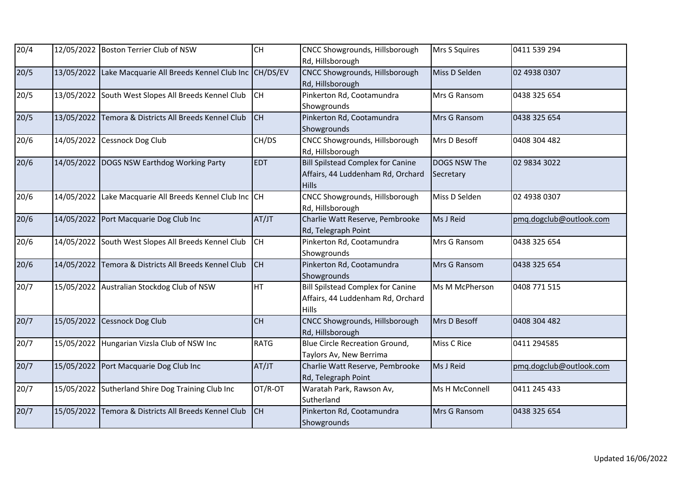| 20/4 |            | 12/05/2022 Boston Terrier Club of NSW                         | CH          | <b>CNCC Showgrounds, Hillsborough</b><br>Rd, Hillsborough                                     | Mrs S Squires             | 0411 539 294            |
|------|------------|---------------------------------------------------------------|-------------|-----------------------------------------------------------------------------------------------|---------------------------|-------------------------|
| 20/5 |            | 13/05/2022 Lake Macquarie All Breeds Kennel Club Inc CH/DS/EV |             | CNCC Showgrounds, Hillsborough<br>Rd, Hillsborough                                            | Miss D Selden             | 02 4938 0307            |
| 20/5 |            | 13/05/2022 South West Slopes All Breeds Kennel Club           | <b>CH</b>   | Pinkerton Rd, Cootamundra<br>Showgrounds                                                      | Mrs G Ransom              | 0438 325 654            |
| 20/5 | 13/05/2022 | Temora & Districts All Breeds Kennel Club                     | <b>CH</b>   | Pinkerton Rd, Cootamundra<br>Showgrounds                                                      | Mrs G Ransom              | 0438 325 654            |
| 20/6 |            | 14/05/2022 Cessnock Dog Club                                  | CH/DS       | CNCC Showgrounds, Hillsborough<br>Rd, Hillsborough                                            | Mrs D Besoff              | 0408 304 482            |
| 20/6 |            | 14/05/2022 DOGS NSW Earthdog Working Party                    | <b>EDT</b>  | <b>Bill Spilstead Complex for Canine</b><br>Affairs, 44 Luddenham Rd, Orchard<br><b>Hills</b> | DOGS NSW The<br>Secretary | 02 9834 3022            |
| 20/6 | 14/05/2022 | Lake Macquarie All Breeds Kennel Club Inc CH                  |             | CNCC Showgrounds, Hillsborough<br>Rd, Hillsborough                                            | Miss D Selden             | 02 4938 0307            |
| 20/6 |            | 14/05/2022 Port Macquarie Dog Club Inc                        | AT/JT       | Charlie Watt Reserve, Pembrooke<br>Rd, Telegraph Point                                        | Ms J Reid                 | pmg.dogclub@outlook.com |
| 20/6 |            | 14/05/2022 South West Slopes All Breeds Kennel Club           | <b>CH</b>   | Pinkerton Rd, Cootamundra<br>Showgrounds                                                      | Mrs G Ransom              | 0438 325 654            |
| 20/6 |            | 14/05/2022 Temora & Districts All Breeds Kennel Club          | <b>CH</b>   | Pinkerton Rd, Cootamundra<br>Showgrounds                                                      | Mrs G Ransom              | 0438 325 654            |
| 20/7 |            | 15/05/2022 Australian Stockdog Club of NSW                    | HT          | <b>Bill Spilstead Complex for Canine</b><br>Affairs, 44 Luddenham Rd, Orchard<br><b>Hills</b> | Ms M McPherson            | 0408 771 515            |
| 20/7 |            | 15/05/2022 Cessnock Dog Club                                  | CH          | CNCC Showgrounds, Hillsborough<br>Rd, Hillsborough                                            | Mrs D Besoff              | 0408 304 482            |
| 20/7 |            | 15/05/2022 Hungarian Vizsla Club of NSW Inc                   | <b>RATG</b> | <b>Blue Circle Recreation Ground,</b><br>Taylors Av, New Berrima                              | <b>Miss C Rice</b>        | 0411 294585             |
| 20/7 |            | 15/05/2022 Port Macquarie Dog Club Inc                        | AT/JT       | Charlie Watt Reserve, Pembrooke<br>Rd, Telegraph Point                                        | Ms J Reid                 | pmq.dogclub@outlook.com |
| 20/7 |            | 15/05/2022 Sutherland Shire Dog Training Club Inc             | OT/R-OT     | Waratah Park, Rawson Av,<br>Sutherland                                                        | Ms H McConnell            | 0411 245 433            |
| 20/7 | 15/05/2022 | Temora & Districts All Breeds Kennel Club                     | <b>CH</b>   | Pinkerton Rd, Cootamundra<br>Showgrounds                                                      | Mrs G Ransom              | 0438 325 654            |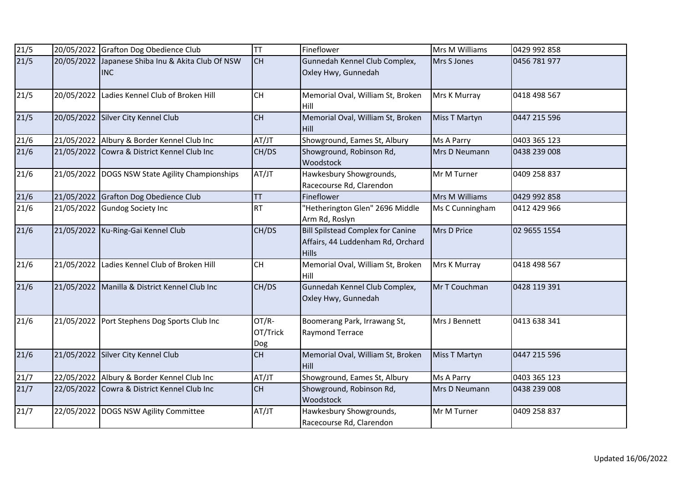| 21/5              |            | 20/05/2022 Grafton Dog Obedience Club                | TT                       | Fineflower                                                                                    | Mrs M Williams       | 0429 992 858 |
|-------------------|------------|------------------------------------------------------|--------------------------|-----------------------------------------------------------------------------------------------|----------------------|--------------|
| 21/5              | 20/05/2022 | Japanese Shiba Inu & Akita Club Of NSW<br><b>INC</b> | <b>CH</b>                | Gunnedah Kennel Club Complex,<br>Oxley Hwy, Gunnedah                                          | Mrs S Jones          | 0456 781 977 |
| 21/5              | 20/05/2022 | Ladies Kennel Club of Broken Hill                    | CH                       | Memorial Oval, William St, Broken<br>Hill                                                     | Mrs K Murray         | 0418 498 567 |
| 21/5              | 20/05/2022 | Silver City Kennel Club                              | CH                       | Memorial Oval, William St, Broken<br>Hill                                                     | Miss T Martyn        | 0447 215 596 |
| 21/6              |            | 21/05/2022 Albury & Border Kennel Club Inc           | AT/JT                    | Showground, Eames St, Albury                                                                  | Ms A Parry           | 0403 365 123 |
| 21/6              |            | 21/05/2022 Cowra & District Kennel Club Inc          | CH/DS                    | Showground, Robinson Rd,<br>Woodstock                                                         | Mrs D Neumann        | 0438 239 008 |
| 21/6              | 21/05/2022 | DOGS NSW State Agility Championships                 | AT/JT                    | Hawkesbury Showgrounds,<br>Racecourse Rd, Clarendon                                           | Mr M Turner          | 0409 258 837 |
| 21/6              |            | 21/05/2022 Grafton Dog Obedience Club                | <b>TT</b>                | Fineflower                                                                                    | Mrs M Williams       | 0429 992 858 |
| $\overline{21/6}$ |            | 21/05/2022 Gundog Society Inc                        | <b>RT</b>                | "Hetherington Glen" 2696 Middle<br>Arm Rd, Roslyn                                             | Ms C Cunningham      | 0412 429 966 |
| 21/6              | 21/05/2022 | Ku-Ring-Gai Kennel Club                              | CH/DS                    | <b>Bill Spilstead Complex for Canine</b><br>Affairs, 44 Luddenham Rd, Orchard<br><b>Hills</b> | Mrs D Price          | 02 9655 1554 |
| 21/6              | 21/05/2022 | Ladies Kennel Club of Broken Hill                    | <b>CH</b>                | Memorial Oval, William St, Broken<br>Hill                                                     | Mrs K Murray         | 0418 498 567 |
| 21/6              |            | 21/05/2022 Manilla & District Kennel Club Inc        | CH/DS                    | Gunnedah Kennel Club Complex,<br>Oxley Hwy, Gunnedah                                          | Mr T Couchman        | 0428 119 391 |
| 21/6              |            | 21/05/2022 Port Stephens Dog Sports Club Inc         | OT/R-<br>OT/Trick<br>Dog | Boomerang Park, Irrawang St,<br>Raymond Terrace                                               | Mrs J Bennett        | 0413 638 341 |
| 21/6              | 21/05/2022 | Silver City Kennel Club                              | CH                       | Memorial Oval, William St, Broken<br>Hill                                                     | <b>Miss T Martyn</b> | 0447 215 596 |
| 21/7              |            | 22/05/2022 Albury & Border Kennel Club Inc           | AT/JT                    | Showground, Eames St, Albury                                                                  | Ms A Parry           | 0403 365 123 |
| 21/7              |            | 22/05/2022 Cowra & District Kennel Club Inc          | CH                       | Showground, Robinson Rd,<br>Woodstock                                                         | Mrs D Neumann        | 0438 239 008 |
| 21/7              |            | 22/05/2022 DOGS NSW Agility Committee                | AT/JT                    | Hawkesbury Showgrounds,<br>Racecourse Rd, Clarendon                                           | Mr M Turner          | 0409 258 837 |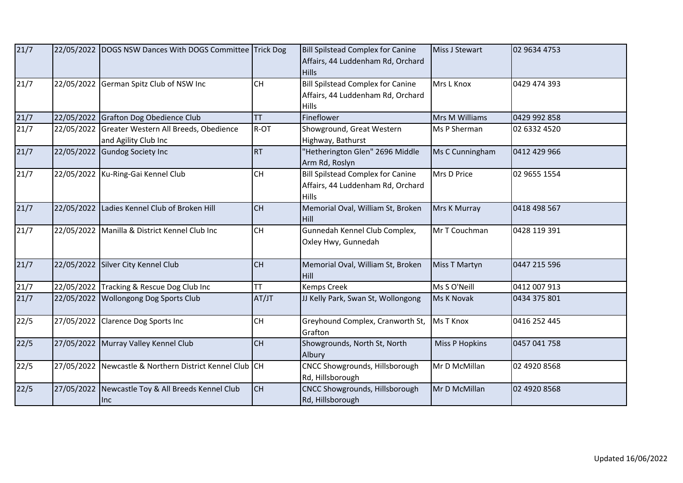| 21/7 |            | 22/05/2022 DOGS NSW Dances With DOGS Committee Trick Dog      |           | <b>Bill Spilstead Complex for Canine</b><br>Affairs, 44 Luddenham Rd, Orchard<br><b>Hills</b> | <b>Miss J Stewart</b> | 02 9634 4753 |
|------|------------|---------------------------------------------------------------|-----------|-----------------------------------------------------------------------------------------------|-----------------------|--------------|
| 21/7 | 22/05/2022 | German Spitz Club of NSW Inc                                  | <b>CH</b> | <b>Bill Spilstead Complex for Canine</b><br>Affairs, 44 Luddenham Rd, Orchard<br><b>Hills</b> | Mrs L Knox            | 0429 474 393 |
| 21/7 |            | 22/05/2022 Grafton Dog Obedience Club                         | <b>TT</b> | Fineflower                                                                                    | Mrs M Williams        | 0429 992 858 |
| 21/7 | 22/05/2022 | Greater Western All Breeds, Obedience<br>and Agility Club Inc | R-OT      | Showground, Great Western<br>Highway, Bathurst                                                | Ms P Sherman          | 02 6332 4520 |
| 21/7 | 22/05/2022 | <b>Gundog Society Inc</b>                                     | <b>RT</b> | "Hetherington Glen" 2696 Middle<br>Arm Rd, Roslyn                                             | Ms C Cunningham       | 0412 429 966 |
| 21/7 |            | 22/05/2022 Ku-Ring-Gai Kennel Club                            | <b>CH</b> | <b>Bill Spilstead Complex for Canine</b><br>Affairs, 44 Luddenham Rd, Orchard<br>Hills        | Mrs D Price           | 02 9655 1554 |
| 21/7 |            | 22/05/2022 Ladies Kennel Club of Broken Hill                  | <b>CH</b> | Memorial Oval, William St, Broken<br><b>Hill</b>                                              | Mrs K Murray          | 0418 498 567 |
| 21/7 |            | 22/05/2022 Manilla & District Kennel Club Inc                 | <b>CH</b> | Gunnedah Kennel Club Complex,<br>Oxley Hwy, Gunnedah                                          | Mr T Couchman         | 0428 119 391 |
| 21/7 |            | 22/05/2022 Silver City Kennel Club                            | <b>CH</b> | Memorial Oval, William St, Broken<br><b>Hill</b>                                              | Miss T Martyn         | 0447 215 596 |
| 21/7 |            | 22/05/2022 Tracking & Rescue Dog Club Inc                     | <b>TT</b> | Kemps Creek                                                                                   | Ms S O'Neill          | 0412 007 913 |
| 21/7 |            | 22/05/2022 Wollongong Dog Sports Club                         | AT/JT     | JJ Kelly Park, Swan St, Wollongong                                                            | Ms K Novak            | 0434 375 801 |
| 22/5 | 27/05/2022 | <b>Clarence Dog Sports Inc</b>                                | CH        | Greyhound Complex, Cranworth St,<br>Grafton                                                   | <b>Ms T Knox</b>      | 0416 252 445 |
| 22/5 |            | 27/05/2022 Murray Valley Kennel Club                          | CH        | Showgrounds, North St, North<br>Albury                                                        | <b>Miss P Hopkins</b> | 0457 041 758 |
| 22/5 | 27/05/2022 | Newcastle & Northern District Kennel Club CH                  |           | CNCC Showgrounds, Hillsborough<br>Rd, Hillsborough                                            | Mr D McMillan         | 02 4920 8568 |
| 22/5 | 27/05/2022 | Newcastle Toy & All Breeds Kennel Club<br>Inc                 | <b>CH</b> | CNCC Showgrounds, Hillsborough<br>Rd, Hillsborough                                            | Mr D McMillan         | 02 4920 8568 |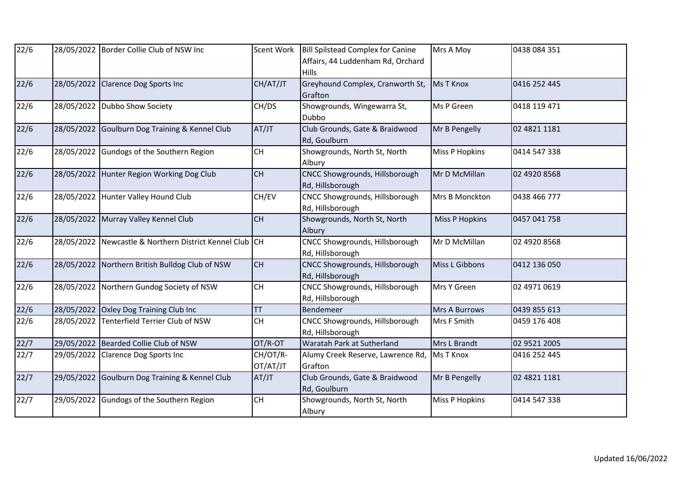| 22/6          |            | 28/05/2022 Border Collie Club of NSW Inc       | Scent Work           | Bill Spilstead Complex for Canine<br>Affairs, 44 Luddenham Rd, Orchard<br><b>Hills</b> | Mrs A Moy             | 0438 084 351 |
|---------------|------------|------------------------------------------------|----------------------|----------------------------------------------------------------------------------------|-----------------------|--------------|
| 22/6          | 28/05/2022 | <b>Clarence Dog Sports Inc</b>                 | CH/AT/JT             | Greyhound Complex, Cranworth St,<br>Grafton                                            | <b>Ms T Knox</b>      | 0416 252 445 |
| 22/6          | 28/05/2022 | Dubbo Show Society                             | CH/DS                | Showgrounds, Wingewarra St,<br>Dubbo                                                   | Ms P Green            | 0418 119 471 |
| 22/6          |            | 28/05/2022 Goulburn Dog Training & Kennel Club | AT/JT                | Club Grounds, Gate & Braidwood<br>Rd, Goulburn                                         | Mr B Pengelly         | 02 4821 1181 |
| 22/6          | 28/05/2022 | Gundogs of the Southern Region                 | CH                   | Showgrounds, North St, North<br>Albury                                                 | <b>Miss P Hopkins</b> | 0414 547 338 |
| 22/6          |            | 28/05/2022 Hunter Region Working Dog Club      | CH                   | CNCC Showgrounds, Hillsborough<br>Rd, Hillsborough                                     | Mr D McMillan         | 02 4920 8568 |
| $\sqrt{22}/6$ |            | 28/05/2022 Hunter Valley Hound Club            | CH/EV                | CNCC Showgrounds, Hillsborough<br>Rd, Hillsborough                                     | Mrs B Monckton        | 0438 466 777 |
| 22/6          |            | 28/05/2022 Murray Valley Kennel Club           | <b>CH</b>            | Showgrounds, North St, North<br>Albury                                                 | <b>Miss P Hopkins</b> | 0457 041 758 |
| 22/6          | 28/05/2022 | Newcastle & Northern District Kennel Club CH   |                      | <b>CNCC Showgrounds, Hillsborough</b><br>Rd, Hillsborough                              | Mr D McMillan         | 02 4920 8568 |
| 22/6          | 28/05/2022 | Northern British Bulldog Club of NSW           | <b>CH</b>            | CNCC Showgrounds, Hillsborough<br>Rd, Hillsborough                                     | Miss L Gibbons        | 0412 136 050 |
| 22/6          | 28/05/2022 | Northern Gundog Society of NSW                 | <b>CH</b>            | CNCC Showgrounds, Hillsborough<br>Rd, Hillsborough                                     | Mrs Y Green           | 02 4971 0619 |
| 22/6          |            | 28/05/2022 Oxley Dog Training Club Inc         | <b>TT</b>            | Bendemeer                                                                              | <b>Mrs A Burrows</b>  | 0439 855 613 |
| 22/6          | 28/05/2022 | <b>Tenterfield Terrier Club of NSW</b>         | <b>CH</b>            | CNCC Showgrounds, Hillsborough<br>Rd, Hillsborough                                     | Mrs F Smith           | 0459 176 408 |
| 22/7          |            | 29/05/2022 Bearded Collie Club of NSW          | OT/R-OT              | Waratah Park at Sutherland                                                             | Mrs L Brandt          | 02 9521 2005 |
| 22/7          | 29/05/2022 | <b>Clarence Dog Sports Inc</b>                 | CH/OT/R-<br>OT/AT/JT | Alumy Creek Reserve, Lawrence Rd,<br>Grafton                                           | <b>Ms T Knox</b>      | 0416 252 445 |
| 22/7          | 29/05/2022 | Goulburn Dog Training & Kennel Club            | AT/JT                | Club Grounds, Gate & Braidwood<br>Rd, Goulburn                                         | Mr B Pengelly         | 02 4821 1181 |
| 22/7          | 29/05/2022 | Gundogs of the Southern Region                 | <b>CH</b>            | Showgrounds, North St, North<br>Albury                                                 | <b>Miss P Hopkins</b> | 0414 547 338 |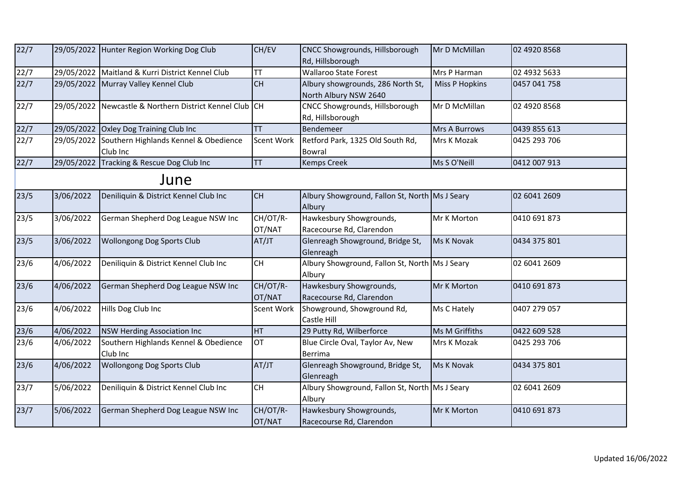| 22/7 |            | 29/05/2022 Hunter Region Working Dog Club                    | CH/EV              | CNCC Showgrounds, Hillsborough<br>Rd, Hillsborough         | Mr D McMillan         | 02 4920 8568 |  |  |  |
|------|------------|--------------------------------------------------------------|--------------------|------------------------------------------------------------|-----------------------|--------------|--|--|--|
| 22/7 |            | 29/05/2022 Maitland & Kurri District Kennel Club             | <b>TT</b>          | <b>Wallaroo State Forest</b>                               | Mrs P Harman          | 02 4932 5633 |  |  |  |
| 22/7 |            | 29/05/2022 Murray Valley Kennel Club                         | <b>CH</b>          | Albury showgrounds, 286 North St,<br>North Albury NSW 2640 | <b>Miss P Hopkins</b> | 0457 041 758 |  |  |  |
| 22/7 |            | 29/05/2022 Newcastle & Northern District Kennel Club CH      |                    | CNCC Showgrounds, Hillsborough<br>Rd, Hillsborough         | Mr D McMillan         | 02 4920 8568 |  |  |  |
| 22/7 |            | 29/05/2022 Oxley Dog Training Club Inc                       | <b>TT</b>          | Bendemeer                                                  | Mrs A Burrows         | 0439 855 613 |  |  |  |
| 22/7 |            | 29/05/2022 Southern Highlands Kennel & Obedience<br>Club Inc | <b>Scent Work</b>  | Retford Park, 1325 Old South Rd,<br><b>Bowral</b>          | Mrs K Mozak           | 0425 293 706 |  |  |  |
| 22/7 | 29/05/2022 | Tracking & Rescue Dog Club Inc                               | <b>TT</b>          | <b>Kemps Creek</b>                                         | Ms S O'Neill          | 0412 007 913 |  |  |  |
|      | June       |                                                              |                    |                                                            |                       |              |  |  |  |
| 23/5 | 3/06/2022  | Deniliquin & District Kennel Club Inc                        | <b>CH</b>          | Albury Showground, Fallon St, North Ms J Seary<br>Albury   |                       | 02 6041 2609 |  |  |  |
| 23/5 | 3/06/2022  | German Shepherd Dog League NSW Inc                           | CH/OT/R-<br>OT/NAT | Hawkesbury Showgrounds,<br>Racecourse Rd, Clarendon        | Mr K Morton           | 0410 691 873 |  |  |  |
| 23/5 | 3/06/2022  | <b>Wollongong Dog Sports Club</b>                            | AT/JT              | Glenreagh Showground, Bridge St,<br>Glenreagh              | Ms K Novak            | 0434 375 801 |  |  |  |
| 23/6 | 4/06/2022  | Deniliquin & District Kennel Club Inc                        | CH                 | Albury Showground, Fallon St, North Ms J Seary<br>Albury   |                       | 02 6041 2609 |  |  |  |
| 23/6 | 4/06/2022  | German Shepherd Dog League NSW Inc                           | CH/OT/R-<br>OT/NAT | Hawkesbury Showgrounds,<br>Racecourse Rd, Clarendon        | Mr K Morton           | 0410 691 873 |  |  |  |
| 23/6 | 4/06/2022  | Hills Dog Club Inc                                           | <b>Scent Work</b>  | Showground, Showground Rd,<br>Castle Hill                  | Ms C Hately           | 0407 279 057 |  |  |  |
| 23/6 | 4/06/2022  | <b>NSW Herding Association Inc</b>                           | <b>HT</b>          | 29 Putty Rd, Wilberforce                                   | Ms M Griffiths        | 0422 609 528 |  |  |  |
| 23/6 | 4/06/2022  | Southern Highlands Kennel & Obedience<br>Club Inc            | <b>OT</b>          | Blue Circle Oval, Taylor Av, New<br>Berrima                | Mrs K Mozak           | 0425 293 706 |  |  |  |
| 23/6 | 4/06/2022  | <b>Wollongong Dog Sports Club</b>                            | AT/JT              | Glenreagh Showground, Bridge St,<br>Glenreagh              | Ms K Novak            | 0434 375 801 |  |  |  |
| 23/7 | 5/06/2022  | Deniliquin & District Kennel Club Inc                        | <b>CH</b>          | Albury Showground, Fallon St, North Ms J Seary<br>Albury   |                       | 02 6041 2609 |  |  |  |
| 23/7 | 5/06/2022  | German Shepherd Dog League NSW Inc                           | CH/OT/R-<br>OT/NAT | Hawkesbury Showgrounds,<br>Racecourse Rd, Clarendon        | Mr K Morton           | 0410 691 873 |  |  |  |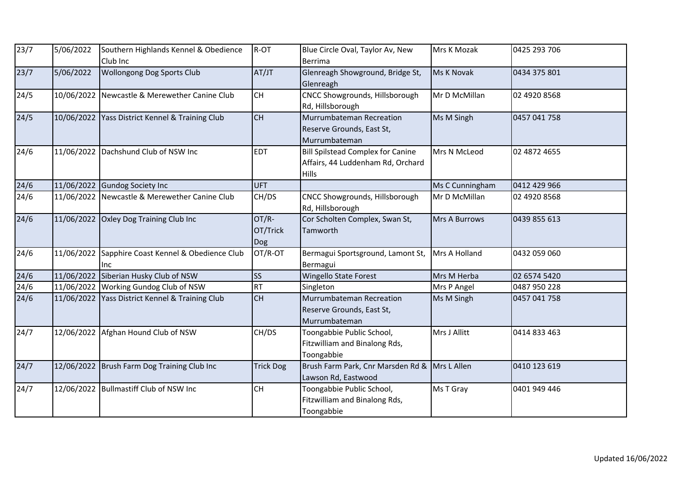| 23/7           | 5/06/2022  | Southern Highlands Kennel & Obedience<br>Club Inc | R-OT                     | Blue Circle Oval, Taylor Av, New<br>Berrima                                                   | Mrs K Mozak          | 0425 293 706 |
|----------------|------------|---------------------------------------------------|--------------------------|-----------------------------------------------------------------------------------------------|----------------------|--------------|
| 23/7           | 5/06/2022  | Wollongong Dog Sports Club                        | AT/JT                    | Glenreagh Showground, Bridge St,<br>Glenreagh                                                 | Ms K Novak           | 0434 375 801 |
| 24/5           | 10/06/2022 | Newcastle & Merewether Canine Club                | <b>CH</b>                | CNCC Showgrounds, Hillsborough<br>Rd, Hillsborough                                            | Mr D McMillan        | 02 4920 8568 |
| 24/5           |            | 10/06/2022 Yass District Kennel & Training Club   | <b>CH</b>                | Murrumbateman Recreation<br>Reserve Grounds, East St,<br>Murrumbateman                        | Ms M Singh           | 0457 041 758 |
| 24/6           |            | 11/06/2022 Dachshund Club of NSW Inc              | <b>EDT</b>               | <b>Bill Spilstead Complex for Canine</b><br>Affairs, 44 Luddenham Rd, Orchard<br><b>Hills</b> | Mrs N McLeod         | 02 4872 4655 |
| 24/6           | 11/06/2022 | <b>Gundog Society Inc</b>                         | <b>UFT</b>               |                                                                                               | Ms C Cunningham      | 0412 429 966 |
| 24/6           | 11/06/2022 | Newcastle & Merewether Canine Club                | CH/DS                    | CNCC Showgrounds, Hillsborough<br>Rd, Hillsborough                                            | Mr D McMillan        | 02 4920 8568 |
| 24/6           | 11/06/2022 | <b>Oxley Dog Training Club Inc</b>                | OT/R-<br>OT/Trick<br>Dog | Cor Scholten Complex, Swan St,<br>Tamworth                                                    | <b>Mrs A Burrows</b> | 0439 855 613 |
| 24/6           | 11/06/2022 | Sapphire Coast Kennel & Obedience Club<br>Inc     | OT/R-OT                  | Bermagui Sportsground, Lamont St,<br>Bermagui                                                 | Mrs A Holland        | 0432 059 060 |
| 24/6           |            | 11/06/2022 Siberian Husky Club of NSW             | <b>SS</b>                | <b>Wingello State Forest</b>                                                                  | Mrs M Herba          | 02 6574 5420 |
| $\sqrt{24/6}$  |            | 11/06/2022 Working Gundog Club of NSW             | <b>RT</b>                | Singleton                                                                                     | Mrs P Angel          | 0487 950 228 |
| 24/6           | 11/06/2022 | Yass District Kennel & Training Club              | <b>CH</b>                | Murrumbateman Recreation<br>Reserve Grounds, East St,<br>Murrumbateman                        | Ms M Singh           | 0457 041 758 |
| 24/7           |            | 12/06/2022 Afghan Hound Club of NSW               | CH/DS                    | Toongabbie Public School,<br>Fitzwilliam and Binalong Rds,<br>Toongabbie                      | Mrs J Allitt         | 0414 833 463 |
| $\frac{24}{7}$ | 12/06/2022 | Brush Farm Dog Training Club Inc                  | <b>Trick Dog</b>         | Brush Farm Park, Cnr Marsden Rd &<br>Lawson Rd, Eastwood                                      | Mrs L Allen          | 0410 123 619 |
| 24/7           |            | 12/06/2022 Bullmastiff Club of NSW Inc            | <b>CH</b>                | Toongabbie Public School,<br>Fitzwilliam and Binalong Rds,<br>Toongabbie                      | Ms T Gray            | 0401 949 446 |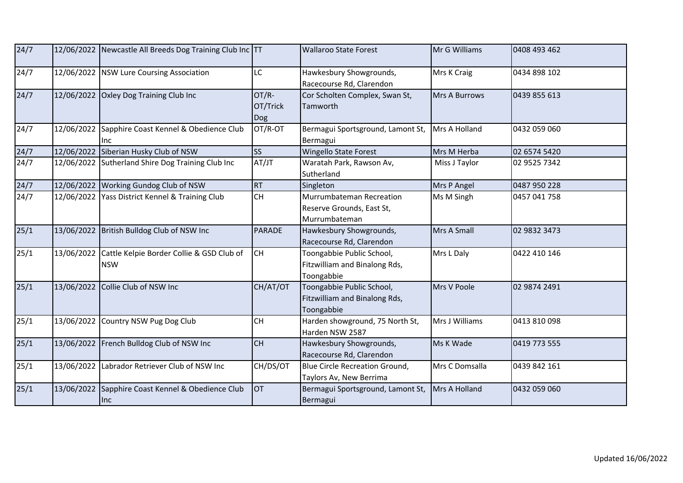| 24/7 |            | 12/06/2022 Newcastle All Breeds Dog Training Club Inc TT |                          | <b>Wallaroo State Forest</b>                                             | Mr G Williams  | 0408 493 462 |
|------|------------|----------------------------------------------------------|--------------------------|--------------------------------------------------------------------------|----------------|--------------|
| 24/7 |            | 12/06/2022   NSW Lure Coursing Association               | LC                       | Hawkesbury Showgrounds,<br>Racecourse Rd, Clarendon                      | Mrs K Craig    | 0434 898 102 |
| 24/7 | 12/06/2022 | <b>Oxley Dog Training Club Inc</b>                       | OT/R-<br>OT/Trick<br>Dog | Cor Scholten Complex, Swan St,<br>Tamworth                               | Mrs A Burrows  | 0439 855 613 |
| 24/7 | 12/06/2022 | Sapphire Coast Kennel & Obedience Club<br>Inc            | OT/R-OT                  | Bermagui Sportsground, Lamont St,<br>Bermagui                            | Mrs A Holland  | 0432 059 060 |
| 24/7 |            | 12/06/2022 Siberian Husky Club of NSW                    | <b>SS</b>                | <b>Wingello State Forest</b>                                             | Mrs M Herba    | 02 6574 5420 |
| 24/7 | 12/06/2022 | Sutherland Shire Dog Training Club Inc                   | AT/JT                    | Waratah Park, Rawson Av,<br>Sutherland                                   | Miss J Taylor  | 02 9525 7342 |
| 24/7 |            | 12/06/2022 Working Gundog Club of NSW                    | <b>RT</b>                | Singleton                                                                | Mrs P Angel    | 0487 950 228 |
| 24/7 | 12/06/2022 | Yass District Kennel & Training Club                     | <b>CH</b>                | Murrumbateman Recreation<br>Reserve Grounds, East St,<br>Murrumbateman   | Ms M Singh     | 0457 041 758 |
| 25/1 | 13/06/2022 | British Bulldog Club of NSW Inc                          | <b>PARADE</b>            | Hawkesbury Showgrounds,<br>Racecourse Rd, Clarendon                      | Mrs A Small    | 02 9832 3473 |
| 25/1 | 13/06/2022 | Cattle Kelpie Border Collie & GSD Club of<br><b>NSW</b>  | <b>CH</b>                | Toongabbie Public School,<br>Fitzwilliam and Binalong Rds,<br>Toongabbie | Mrs L Daly     | 0422 410 146 |
| 25/1 | 13/06/2022 | Collie Club of NSW Inc                                   | CH/AT/OT                 | Toongabbie Public School,<br>Fitzwilliam and Binalong Rds,<br>Toongabbie | Mrs V Poole    | 02 9874 2491 |
| 25/1 | 13/06/2022 | Country NSW Pug Dog Club                                 | CH                       | Harden showground, 75 North St,<br>Harden NSW 2587                       | Mrs J Williams | 0413 810 098 |
| 25/1 |            | 13/06/2022 French Bulldog Club of NSW Inc                | <b>CH</b>                | Hawkesbury Showgrounds,<br>Racecourse Rd, Clarendon                      | Ms K Wade      | 0419 773 555 |
| 25/1 | 13/06/2022 | Labrador Retriever Club of NSW Inc                       | CH/DS/OT                 | <b>Blue Circle Recreation Ground,</b><br>Taylors Av, New Berrima         | Mrs C Domsalla | 0439 842 161 |
| 25/1 | 13/06/2022 | Sapphire Coast Kennel & Obedience Club<br>Inc            | <b>OT</b>                | Bermagui Sportsground, Lamont St,<br>Bermagui                            | Mrs A Holland  | 0432 059 060 |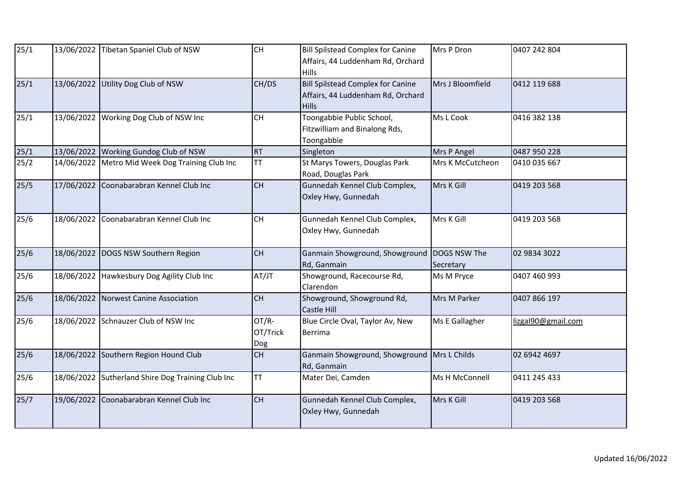| 25/1           | 13/06/2022 | Tibetan Spaniel Club of NSW                       | <b>CH</b>                | <b>Bill Spilstead Complex for Canine</b><br>Affairs, 44 Luddenham Rd, Orchard<br>Hills | Mrs P Dron       | 0407 242 804       |
|----------------|------------|---------------------------------------------------|--------------------------|----------------------------------------------------------------------------------------|------------------|--------------------|
| 25/1           |            | 13/06/2022 Utility Dog Club of NSW                | CH/DS                    | Bill Spilstead Complex for Canine<br>Affairs, 44 Luddenham Rd, Orchard<br><b>Hills</b> | Mrs J Bloomfield | 0412 119 688       |
| 25/1           | 13/06/2022 | Working Dog Club of NSW Inc                       | <b>CH</b>                | Toongabbie Public School,<br>Fitzwilliam and Binalong Rds,<br>Toongabbie               | Ms L Cook        | 0416 382 138       |
| $\frac{25}{1}$ |            | 13/06/2022 Working Gundog Club of NSW             | <b>RT</b>                | Singleton                                                                              | Mrs P Angel      | 0487 950 228       |
| 25/2           | 14/06/2022 | Metro Mid Week Dog Training Club Inc              | <b>TT</b>                | St Marys Towers, Douglas Park<br>Road, Douglas Park                                    | Mrs K McCutcheon | 0410 035 667       |
| 25/5           | 17/06/2022 | Coonabarabran Kennel Club Inc                     | <b>CH</b>                | Gunnedah Kennel Club Complex,<br>Oxley Hwy, Gunnedah                                   | Mrs K Gill       | 0419 203 568       |
| 25/6           | 18/06/2022 | Coonabarabran Kennel Club Inc                     | <b>CH</b>                | Gunnedah Kennel Club Complex,<br>Oxley Hwy, Gunnedah                                   | Mrs K Gill       | 0419 203 568       |
| 25/6           | 18/06/2022 | DOGS NSW Southern Region                          | <b>CH</b>                | Ganmain Showground, Showground DOGS NSW The<br>Rd, Ganmain                             | Secretary        | 02 9834 3022       |
| 25/6           | 18/06/2022 | Hawkesbury Dog Agility Club Inc                   | AT/JT                    | Showground, Racecourse Rd,<br>Clarendon                                                | Ms M Pryce       | 0407 460 993       |
| 25/6           | 18/06/2022 | Norwest Canine Association                        | <b>CH</b>                | Showground, Showground Rd,<br><b>Castle Hill</b>                                       | Mrs M Parker     | 0407 866 197       |
| 25/6           |            | 18/06/2022 Schnauzer Club of NSW Inc              | OT/R-<br>OT/Trick<br>Dog | Blue Circle Oval, Taylor Av, New<br>Berrima                                            | Ms E Gallagher   | lizgal90@gmail.com |
| 25/6           | 18/06/2022 | Southern Region Hound Club                        | <b>CH</b>                | Ganmain Showground, Showground   Mrs L Childs<br>Rd, Ganmain                           |                  | 02 6942 4697       |
| 25/6           |            | 18/06/2022 Sutherland Shire Dog Training Club Inc | <b>TT</b>                | Mater Dei, Camden                                                                      | Ms H McConnell   | 0411 245 433       |
| 25/7           | 19/06/2022 | Coonabarabran Kennel Club Inc                     | <b>CH</b>                | Gunnedah Kennel Club Complex,<br>Oxley Hwy, Gunnedah                                   | Mrs K Gill       | 0419 203 568       |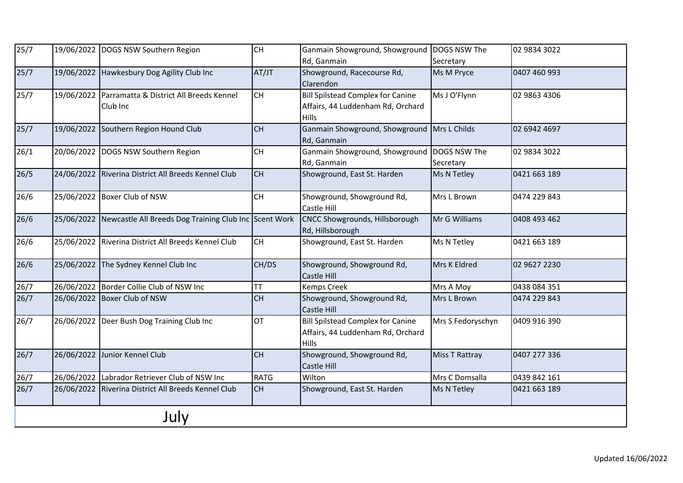| 25/7 |            | 19/06/2022 DOGS NSW Southern Region                   | <b>CH</b>   | Ganmain Showground, Showground   DOGS NSW The |                   | 02 9834 3022 |  |  |  |  |
|------|------------|-------------------------------------------------------|-------------|-----------------------------------------------|-------------------|--------------|--|--|--|--|
|      |            |                                                       |             | Rd, Ganmain                                   | Secretary         |              |  |  |  |  |
| 25/7 |            | 19/06/2022 Hawkesbury Dog Agility Club Inc            | AT/JT       | Showground, Racecourse Rd,                    | Ms M Pryce        | 0407 460 993 |  |  |  |  |
|      |            |                                                       |             | Clarendon                                     |                   |              |  |  |  |  |
| 25/7 |            | 19/06/2022 Parramatta & District All Breeds Kennel    | CH          | <b>Bill Spilstead Complex for Canine</b>      | Ms J O'Flynn      | 02 9863 4306 |  |  |  |  |
|      |            | Club Inc                                              |             | Affairs, 44 Luddenham Rd, Orchard             |                   |              |  |  |  |  |
|      |            |                                                       |             | <b>Hills</b>                                  |                   |              |  |  |  |  |
| 25/7 | 19/06/2022 | Southern Region Hound Club                            | <b>CH</b>   | Ganmain Showground, Showground Mrs L Childs   |                   | 02 6942 4697 |  |  |  |  |
|      |            |                                                       |             | Rd, Ganmain                                   |                   |              |  |  |  |  |
| 26/1 |            | 20/06/2022 DOGS NSW Southern Region                   | CH          | Ganmain Showground, Showground   DOGS NSW The |                   | 02 9834 3022 |  |  |  |  |
|      |            |                                                       |             | Rd, Ganmain                                   | Secretary         |              |  |  |  |  |
| 26/5 | 24/06/2022 | Riverina District All Breeds Kennel Club              | <b>CH</b>   | Showground, East St. Harden                   | Ms N Tetley       | 0421 663 189 |  |  |  |  |
|      |            |                                                       |             |                                               |                   |              |  |  |  |  |
| 26/6 |            | 25/06/2022 Boxer Club of NSW                          | CH          | Showground, Showground Rd,                    | Mrs L Brown       | 0474 229 843 |  |  |  |  |
|      |            |                                                       |             | Castle Hill                                   |                   |              |  |  |  |  |
| 26/6 | 25/06/2022 | Newcastle All Breeds Dog Training Club Inc Scent Work |             | CNCC Showgrounds, Hillsborough                | Mr G Williams     | 0408 493 462 |  |  |  |  |
|      |            |                                                       |             | Rd, Hillsborough                              |                   |              |  |  |  |  |
| 26/6 | 25/06/2022 | Riverina District All Breeds Kennel Club              | <b>CH</b>   | Showground, East St. Harden                   | Ms N Tetley       | 0421 663 189 |  |  |  |  |
|      |            |                                                       |             |                                               |                   |              |  |  |  |  |
| 26/6 |            | 25/06/2022 The Sydney Kennel Club Inc                 | CH/DS       | Showground, Showground Rd,                    | Mrs K Eldred      | 02 9627 2230 |  |  |  |  |
|      |            |                                                       |             | Castle Hill                                   |                   |              |  |  |  |  |
| 26/7 |            | 26/06/2022 Border Collie Club of NSW Inc              | <b>TT</b>   | Kemps Creek                                   | Mrs A Moy         | 0438 084 351 |  |  |  |  |
| 26/7 | 26/06/2022 | Boxer Club of NSW                                     | <b>CH</b>   | Showground, Showground Rd,                    | Mrs L Brown       | 0474 229 843 |  |  |  |  |
|      |            |                                                       |             | Castle Hill                                   |                   |              |  |  |  |  |
| 26/7 |            | 26/06/2022 Deer Bush Dog Training Club Inc            | <b>OT</b>   | <b>Bill Spilstead Complex for Canine</b>      | Mrs S Fedoryschyn | 0409 916 390 |  |  |  |  |
|      |            |                                                       |             | Affairs, 44 Luddenham Rd, Orchard             |                   |              |  |  |  |  |
|      |            |                                                       |             | <b>Hills</b>                                  |                   |              |  |  |  |  |
| 26/7 | 26/06/2022 | Junior Kennel Club                                    | CH          | Showground, Showground Rd,                    | Miss T Rattray    | 0407 277 336 |  |  |  |  |
|      |            |                                                       |             | Castle Hill                                   |                   |              |  |  |  |  |
| 26/7 |            | 26/06/2022 Labrador Retriever Club of NSW Inc         | <b>RATG</b> | Wilton                                        | Mrs C Domsalla    | 0439 842 161 |  |  |  |  |
| 26/7 | 26/06/2022 | Riverina District All Breeds Kennel Club              | <b>CH</b>   | Showground, East St. Harden                   | Ms N Tetley       | 0421 663 189 |  |  |  |  |
|      |            |                                                       |             |                                               |                   |              |  |  |  |  |
|      |            |                                                       |             |                                               |                   |              |  |  |  |  |
|      | July       |                                                       |             |                                               |                   |              |  |  |  |  |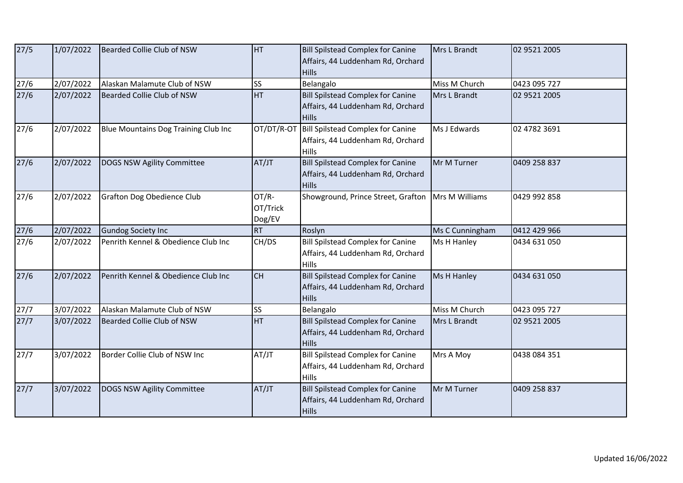| 27/5 | 1/07/2022 | Bearded Collie Club of NSW           | <b>HT</b>                   | <b>Bill Spilstead Complex for Canine</b><br>Affairs, 44 Luddenham Rd, Orchard<br><b>Hills</b> | Mrs L Brandt    | 02 9521 2005 |
|------|-----------|--------------------------------------|-----------------------------|-----------------------------------------------------------------------------------------------|-----------------|--------------|
| 27/6 | 2/07/2022 | Alaskan Malamute Club of NSW         | <b>SS</b>                   | Belangalo                                                                                     | Miss M Church   | 0423 095 727 |
| 27/6 | 2/07/2022 | Bearded Collie Club of NSW           | <b>HT</b>                   | <b>Bill Spilstead Complex for Canine</b><br>Affairs, 44 Luddenham Rd, Orchard<br><b>Hills</b> | Mrs L Brandt    | 02 9521 2005 |
| 27/6 | 2/07/2022 | Blue Mountains Dog Training Club Inc | OT/DT/R-OT                  | Bill Spilstead Complex for Canine<br>Affairs, 44 Luddenham Rd, Orchard<br><b>Hills</b>        | Ms J Edwards    | 02 4782 3691 |
| 27/6 | 2/07/2022 | DOGS NSW Agility Committee           | AT/JT                       | <b>Bill Spilstead Complex for Canine</b><br>Affairs, 44 Luddenham Rd, Orchard<br><b>Hills</b> | Mr M Turner     | 0409 258 837 |
| 27/6 | 2/07/2022 | Grafton Dog Obedience Club           | OT/R-<br>OT/Trick<br>Dog/EV | Showground, Prince Street, Grafton                                                            | Mrs M Williams  | 0429 992 858 |
| 27/6 | 2/07/2022 | <b>Gundog Society Inc</b>            | <b>RT</b>                   | Roslyn                                                                                        | Ms C Cunningham | 0412 429 966 |
| 27/6 | 2/07/2022 | Penrith Kennel & Obedience Club Inc  | CH/DS                       | <b>Bill Spilstead Complex for Canine</b><br>Affairs, 44 Luddenham Rd, Orchard<br><b>Hills</b> | Ms H Hanley     | 0434 631 050 |
| 27/6 | 2/07/2022 | Penrith Kennel & Obedience Club Inc  | <b>CH</b>                   | <b>Bill Spilstead Complex for Canine</b><br>Affairs, 44 Luddenham Rd, Orchard<br><b>Hills</b> | Ms H Hanley     | 0434 631 050 |
| 27/7 | 3/07/2022 | Alaskan Malamute Club of NSW         | <b>SS</b>                   | Belangalo                                                                                     | Miss M Church   | 0423 095 727 |
| 27/7 | 3/07/2022 | Bearded Collie Club of NSW           | <b>HT</b>                   | <b>Bill Spilstead Complex for Canine</b><br>Affairs, 44 Luddenham Rd, Orchard<br><b>Hills</b> | Mrs L Brandt    | 02 9521 2005 |
| 27/7 | 3/07/2022 | Border Collie Club of NSW Inc        | AT/JT                       | <b>Bill Spilstead Complex for Canine</b><br>Affairs, 44 Luddenham Rd, Orchard<br>Hills        | Mrs A Moy       | 0438 084 351 |
| 27/7 | 3/07/2022 | DOGS NSW Agility Committee           | AT/JT                       | <b>Bill Spilstead Complex for Canine</b><br>Affairs, 44 Luddenham Rd, Orchard<br><b>Hills</b> | Mr M Turner     | 0409 258 837 |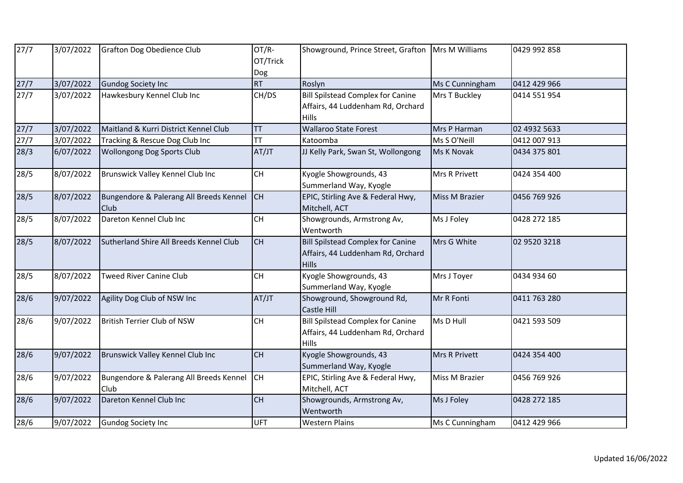| 27/7 | 3/07/2022 | Grafton Dog Obedience Club                             | OT/R-<br>OT/Trick<br>Dog | Showground, Prince Street, Grafton   Mrs M Williams                                           |                       | 0429 992 858 |
|------|-----------|--------------------------------------------------------|--------------------------|-----------------------------------------------------------------------------------------------|-----------------------|--------------|
| 27/7 | 3/07/2022 | <b>Gundog Society Inc</b>                              | <b>RT</b>                | Roslyn                                                                                        | Ms C Cunningham       | 0412 429 966 |
| 27/7 | 3/07/2022 | Hawkesbury Kennel Club Inc                             | CH/DS                    | <b>Bill Spilstead Complex for Canine</b><br>Affairs, 44 Luddenham Rd, Orchard<br><b>Hills</b> | Mrs T Buckley         | 0414 551 954 |
| 27/7 | 3/07/2022 | Maitland & Kurri District Kennel Club                  | TT                       | <b>Wallaroo State Forest</b>                                                                  | Mrs P Harman          | 02 4932 5633 |
| 27/7 | 3/07/2022 | Tracking & Rescue Dog Club Inc                         | <b>TT</b>                | Katoomba                                                                                      | Ms S O'Neill          | 0412 007 913 |
| 28/3 | 6/07/2022 | <b>Wollongong Dog Sports Club</b>                      | AT/JT                    | JJ Kelly Park, Swan St, Wollongong                                                            | Ms K Novak            | 0434 375 801 |
| 28/5 | 8/07/2022 | Brunswick Valley Kennel Club Inc                       | <b>CH</b>                | Kyogle Showgrounds, 43<br>Summerland Way, Kyogle                                              | <b>Mrs R Privett</b>  | 0424 354 400 |
| 28/5 | 8/07/2022 | Bungendore & Palerang All Breeds Kennel<br><b>Club</b> | <b>CH</b>                | EPIC, Stirling Ave & Federal Hwy,<br>Mitchell, ACT                                            | <b>Miss M Brazier</b> | 0456 769 926 |
| 28/5 | 8/07/2022 | Dareton Kennel Club Inc                                | CH                       | Showgrounds, Armstrong Av,<br>Wentworth                                                       | Ms J Foley            | 0428 272 185 |
| 28/5 | 8/07/2022 | Sutherland Shire All Breeds Kennel Club                | <b>CH</b>                | <b>Bill Spilstead Complex for Canine</b><br>Affairs, 44 Luddenham Rd, Orchard<br><b>Hills</b> | Mrs G White           | 02 9520 3218 |
| 28/5 | 8/07/2022 | Tweed River Canine Club                                | <b>CH</b>                | Kyogle Showgrounds, 43<br>Summerland Way, Kyogle                                              | Mrs J Toyer           | 0434 934 60  |
| 28/6 | 9/07/2022 | Agility Dog Club of NSW Inc                            | AT/JT                    | Showground, Showground Rd,<br><b>Castle Hill</b>                                              | Mr R Fonti            | 0411 763 280 |
| 28/6 | 9/07/2022 | British Terrier Club of NSW                            | CH                       | <b>Bill Spilstead Complex for Canine</b><br>Affairs, 44 Luddenham Rd, Orchard<br><b>Hills</b> | Ms D Hull             | 0421 593 509 |
| 28/6 | 9/07/2022 | Brunswick Valley Kennel Club Inc                       | CH                       | Kyogle Showgrounds, 43<br>Summerland Way, Kyogle                                              | Mrs R Privett         | 0424 354 400 |
| 28/6 | 9/07/2022 | Bungendore & Palerang All Breeds Kennel<br>Club        | <b>CH</b>                | EPIC, Stirling Ave & Federal Hwy,<br>Mitchell, ACT                                            | Miss M Brazier        | 0456 769 926 |
| 28/6 | 9/07/2022 | Dareton Kennel Club Inc                                | <b>CH</b>                | Showgrounds, Armstrong Av,<br>Wentworth                                                       | Ms J Foley            | 0428 272 185 |
| 28/6 | 9/07/2022 | <b>Gundog Society Inc</b>                              | <b>UFT</b>               | <b>Western Plains</b>                                                                         | Ms C Cunningham       | 0412 429 966 |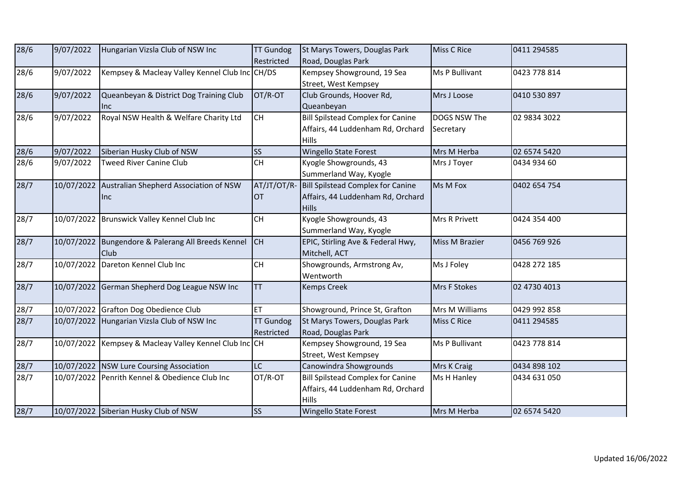| 28/6 | 9/07/2022  | Hungarian Vizsla Club of NSW Inc                       | <b>TT Gundog</b>                         | St Marys Towers, Douglas Park            | Miss C Rice    | 0411 294585  |
|------|------------|--------------------------------------------------------|------------------------------------------|------------------------------------------|----------------|--------------|
|      |            |                                                        | Restricted                               | Road, Douglas Park                       |                |              |
| 28/6 | 9/07/2022  | Kempsey & Macleay Valley Kennel Club Inc CH/DS         |                                          | Kempsey Showground, 19 Sea               | Ms P Bullivant | 0423 778 814 |
|      |            |                                                        |                                          | Street, West Kempsey                     |                |              |
| 28/6 | 9/07/2022  | Queanbeyan & District Dog Training Club                | OT/R-OT                                  | Club Grounds, Hoover Rd,                 | Mrs J Loose    | 0410 530 897 |
|      |            | llnc.                                                  |                                          | Queanbeyan                               |                |              |
| 28/6 | 9/07/2022  | Royal NSW Health & Welfare Charity Ltd                 | <b>CH</b>                                | <b>Bill Spilstead Complex for Canine</b> | DOGS NSW The   | 02 9834 3022 |
|      |            |                                                        |                                          | Affairs, 44 Luddenham Rd, Orchard        | Secretary      |              |
|      |            |                                                        |                                          | <b>Hills</b>                             |                |              |
| 28/6 | 9/07/2022  | Siberian Husky Club of NSW                             | <b>SS</b>                                | <b>Wingello State Forest</b>             | Mrs M Herba    | 02 6574 5420 |
| 28/6 | 9/07/2022  | <b>Tweed River Canine Club</b>                         | <b>CH</b>                                | Kyogle Showgrounds, 43                   | Mrs J Toyer    | 0434 934 60  |
|      |            |                                                        |                                          | Summerland Way, Kyogle                   |                |              |
| 28/7 | 10/07/2022 | Australian Shepherd Association of NSW                 | AT/JT/OT/R                               | <b>Bill Spilstead Complex for Canine</b> | Ms M Fox       | 0402 654 754 |
|      |            | llnc                                                   | <b>OT</b>                                | Affairs, 44 Luddenham Rd, Orchard        |                |              |
|      |            |                                                        |                                          | <b>Hills</b>                             |                |              |
| 28/7 |            | 10/07/2022 Brunswick Valley Kennel Club Inc            | CH                                       | Kyogle Showgrounds, 43                   | Mrs R Privett  | 0424 354 400 |
|      |            |                                                        |                                          | Summerland Way, Kyogle                   |                |              |
| 28/7 |            | 10/07/2022 Bungendore & Palerang All Breeds Kennel     | <b>CH</b>                                | EPIC, Stirling Ave & Federal Hwy,        | Miss M Brazier | 0456 769 926 |
|      |            | <b>Club</b>                                            |                                          | Mitchell, ACT                            |                |              |
| 28/7 | 10/07/2022 | Dareton Kennel Club Inc                                | $\mathsf{CH}% \left( \mathcal{M}\right)$ | Showgrounds, Armstrong Av,               | Ms J Foley     | 0428 272 185 |
|      |            |                                                        |                                          | Wentworth                                |                |              |
| 28/7 |            | 10/07/2022 German Shepherd Dog League NSW Inc          | <b>TT</b>                                | <b>Kemps Creek</b>                       | Mrs F Stokes   | 02 4730 4013 |
|      |            |                                                        |                                          |                                          |                |              |
| 28/7 |            | 10/07/2022 Grafton Dog Obedience Club                  | <b>ET</b>                                | Showground, Prince St, Grafton           | Mrs M Williams | 0429 992 858 |
| 28/7 |            | 10/07/2022 Hungarian Vizsla Club of NSW Inc            | <b>TT Gundog</b>                         | St Marys Towers, Douglas Park            | Miss C Rice    | 0411 294585  |
|      |            |                                                        | Restricted                               | Road, Douglas Park                       |                |              |
| 28/7 |            | 10/07/2022 Kempsey & Macleay Valley Kennel Club Inc CH |                                          | Kempsey Showground, 19 Sea               | Ms P Bullivant | 0423 778 814 |
|      |            |                                                        |                                          | Street, West Kempsey                     |                |              |
| 28/7 |            | 10/07/2022 NSW Lure Coursing Association               | LC                                       | Canowindra Showgrounds                   | Mrs K Craig    | 0434 898 102 |
| 28/7 |            | 10/07/2022 Penrith Kennel & Obedience Club Inc         | OT/R-OT                                  | <b>Bill Spilstead Complex for Canine</b> | Ms H Hanley    | 0434 631 050 |
|      |            |                                                        |                                          | Affairs, 44 Luddenham Rd, Orchard        |                |              |
|      |            |                                                        |                                          | <b>Hills</b>                             |                |              |
| 28/7 |            | 10/07/2022 Siberian Husky Club of NSW                  | <b>SS</b>                                | <b>Wingello State Forest</b>             | Mrs M Herba    | 02 6574 5420 |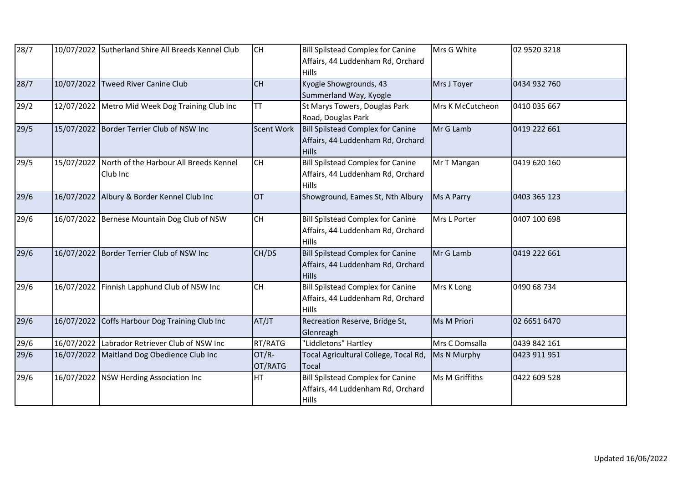| 28/7 |            | 10/07/2022 Sutherland Shire All Breeds Kennel Club | <b>CH</b>         | <b>Bill Spilstead Complex for Canine</b><br>Affairs, 44 Luddenham Rd, Orchard<br><b>Hills</b> | Mrs G White       | 02 9520 3218 |
|------|------------|----------------------------------------------------|-------------------|-----------------------------------------------------------------------------------------------|-------------------|--------------|
| 28/7 | 10/07/2022 | <b>Tweed River Canine Club</b>                     | CH                | Kyogle Showgrounds, 43<br>Summerland Way, Kyogle                                              | Mrs J Toyer       | 0434 932 760 |
| 29/2 |            | 12/07/2022 Metro Mid Week Dog Training Club Inc    | <b>TT</b>         | St Marys Towers, Douglas Park<br>Road, Douglas Park                                           | Mrs K McCutcheon  | 0410 035 667 |
| 29/5 |            | 15/07/2022 Border Terrier Club of NSW Inc          | <b>Scent Work</b> | Bill Spilstead Complex for Canine<br>Affairs, 44 Luddenham Rd, Orchard<br><b>Hills</b>        | Mr G Lamb         | 0419 222 661 |
| 29/5 | 15/07/2022 | North of the Harbour All Breeds Kennel<br>Club Inc | <b>CH</b>         | <b>Bill Spilstead Complex for Canine</b><br>Affairs, 44 Luddenham Rd, Orchard<br><b>Hills</b> | Mr T Mangan       | 0419 620 160 |
| 29/6 | 16/07/2022 | Albury & Border Kennel Club Inc                    | <b>OT</b>         | Showground, Eames St, Nth Albury                                                              | <b>Ms A Parry</b> | 0403 365 123 |
| 29/6 | 16/07/2022 | Bernese Mountain Dog Club of NSW                   | <b>CH</b>         | <b>Bill Spilstead Complex for Canine</b><br>Affairs, 44 Luddenham Rd, Orchard<br><b>Hills</b> | Mrs L Porter      | 0407 100 698 |
| 29/6 | 16/07/2022 | Border Terrier Club of NSW Inc                     | CH/DS             | <b>Bill Spilstead Complex for Canine</b><br>Affairs, 44 Luddenham Rd, Orchard<br><b>Hills</b> | Mr G Lamb         | 0419 222 661 |
| 29/6 | 16/07/2022 | Finnish Lapphund Club of NSW Inc                   | <b>CH</b>         | <b>Bill Spilstead Complex for Canine</b><br>Affairs, 44 Luddenham Rd, Orchard<br><b>Hills</b> | Mrs K Long        | 0490 68 734  |
| 29/6 | 16/07/2022 | Coffs Harbour Dog Training Club Inc                | AT/JT             | Recreation Reserve, Bridge St,<br>Glenreagh                                                   | Ms M Priori       | 02 6651 6470 |
| 29/6 |            | 16/07/2022 Labrador Retriever Club of NSW Inc      | RT/RATG           | "Liddletons" Hartley                                                                          | Mrs C Domsalla    | 0439 842 161 |
| 29/6 | 16/07/2022 | Maitland Dog Obedience Club Inc                    | OT/R-<br>OT/RATG  | Tocal Agricultural College, Tocal Rd,<br><b>Tocal</b>                                         | Ms N Murphy       | 0423 911 951 |
| 29/6 |            | 16/07/2022 NSW Herding Association Inc             | HT                | <b>Bill Spilstead Complex for Canine</b><br>Affairs, 44 Luddenham Rd, Orchard<br><b>Hills</b> | Ms M Griffiths    | 0422 609 528 |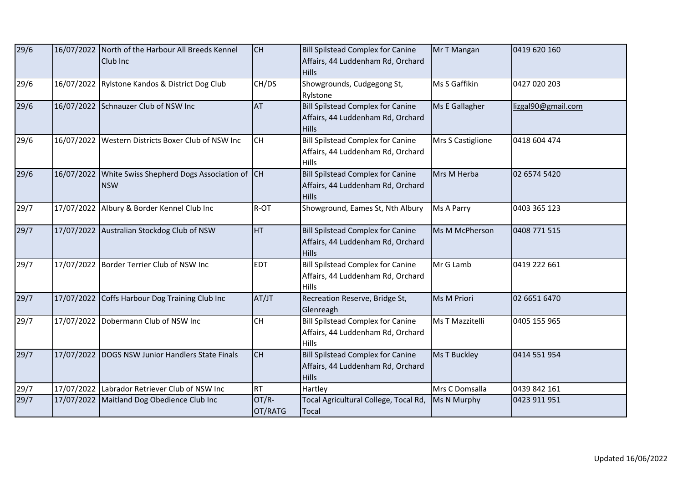| 29/6 |            | 16/07/2022 North of the Harbour All Breeds Kennel<br>Club Inc | <b>CH</b>        | <b>Bill Spilstead Complex for Canine</b><br>Affairs, 44 Luddenham Rd, Orchard<br><b>Hills</b> | Mr T Mangan        | 0419 620 160       |
|------|------------|---------------------------------------------------------------|------------------|-----------------------------------------------------------------------------------------------|--------------------|--------------------|
| 29/6 |            | 16/07/2022 Rylstone Kandos & District Dog Club                | CH/DS            | Showgrounds, Cudgegong St,<br>Rylstone                                                        | Ms S Gaffikin      | 0427 020 203       |
| 29/6 |            | 16/07/2022 Schnauzer Club of NSW Inc                          | <b>AT</b>        | <b>Bill Spilstead Complex for Canine</b><br>Affairs, 44 Luddenham Rd, Orchard<br><b>Hills</b> | Ms E Gallagher     | lizgal90@gmail.com |
| 29/6 | 16/07/2022 | Western Districts Boxer Club of NSW Inc                       | <b>CH</b>        | <b>Bill Spilstead Complex for Canine</b><br>Affairs, 44 Luddenham Rd, Orchard<br><b>Hills</b> | Mrs S Castiglione  | 0418 604 474       |
| 29/6 | 16/07/2022 | White Swiss Shepherd Dogs Association of CH<br><b>NSW</b>     |                  | <b>Bill Spilstead Complex for Canine</b><br>Affairs, 44 Luddenham Rd, Orchard<br><b>Hills</b> | Mrs M Herba        | 02 6574 5420       |
| 29/7 |            | 17/07/2022 Albury & Border Kennel Club Inc                    | R-OT             | Showground, Eames St, Nth Albury                                                              | Ms A Parry         | 0403 365 123       |
| 29/7 |            | 17/07/2022 Australian Stockdog Club of NSW                    | <b>HT</b>        | <b>Bill Spilstead Complex for Canine</b><br>Affairs, 44 Luddenham Rd, Orchard<br><b>Hills</b> | Ms M McPherson     | 0408 771 515       |
| 29/7 |            | 17/07/2022 Border Terrier Club of NSW Inc                     | <b>EDT</b>       | <b>Bill Spilstead Complex for Canine</b><br>Affairs, 44 Luddenham Rd, Orchard<br><b>Hills</b> | Mr G Lamb          | 0419 222 661       |
| 29/7 | 17/07/2022 | Coffs Harbour Dog Training Club Inc                           | AT/JT            | Recreation Reserve, Bridge St,<br>Glenreagh                                                   | <b>Ms M Priori</b> | 02 6651 6470       |
| 29/7 |            | 17/07/2022 Dobermann Club of NSW Inc                          | <b>CH</b>        | <b>Bill Spilstead Complex for Canine</b><br>Affairs, 44 Luddenham Rd, Orchard<br><b>Hills</b> | Ms T Mazzitelli    | 0405 155 965       |
| 29/7 |            | 17/07/2022 DOGS NSW Junior Handlers State Finals              | <b>CH</b>        | <b>Bill Spilstead Complex for Canine</b><br>Affairs, 44 Luddenham Rd, Orchard<br><b>Hills</b> | Ms T Buckley       | 0414 551 954       |
| 29/7 |            | 17/07/2022 Labrador Retriever Club of NSW Inc                 | <b>RT</b>        | Hartley                                                                                       | Mrs C Domsalla     | 0439 842 161       |
| 29/7 | 17/07/2022 | Maitland Dog Obedience Club Inc                               | OT/R-<br>OT/RATG | Tocal Agricultural College, Tocal Rd,<br><b>Tocal</b>                                         | Ms N Murphy        | 0423 911 951       |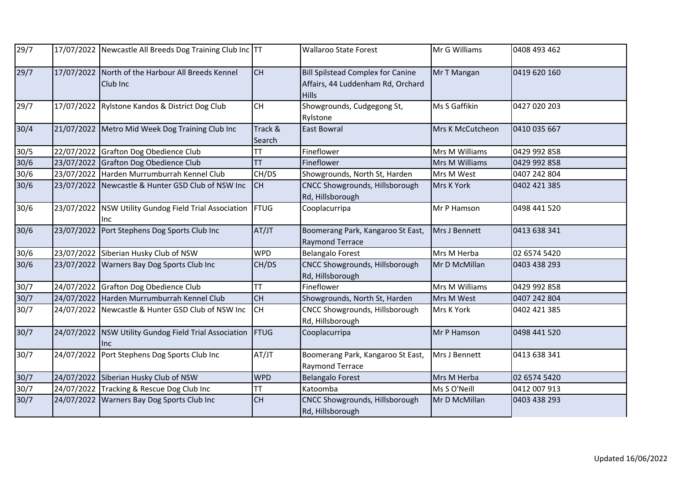| 29/7             |            | 17/07/2022 Newcastle All Breeds Dog Training Club Inc TT      |                   | <b>Wallaroo State Forest</b>                                                                  | Mr G Williams    | 0408 493 462 |
|------------------|------------|---------------------------------------------------------------|-------------------|-----------------------------------------------------------------------------------------------|------------------|--------------|
| 29/7             |            | 17/07/2022 North of the Harbour All Breeds Kennel<br>Club Inc | <b>CH</b>         | <b>Bill Spilstead Complex for Canine</b><br>Affairs, 44 Luddenham Rd, Orchard<br><b>Hills</b> | Mr T Mangan      | 0419 620 160 |
| 29/7             | 17/07/2022 | Rylstone Kandos & District Dog Club                           | <b>CH</b>         | Showgrounds, Cudgegong St,<br>Rylstone                                                        | Ms S Gaffikin    | 0427 020 203 |
| 30/4             |            | 21/07/2022 Metro Mid Week Dog Training Club Inc               | Track &<br>Search | East Bowral                                                                                   | Mrs K McCutcheon | 0410 035 667 |
| 30/5             |            | 22/07/2022 Grafton Dog Obedience Club                         | TT                | Fineflower                                                                                    | Mrs M Williams   | 0429 992 858 |
| $30/6$           |            | 23/07/2022 Grafton Dog Obedience Club                         | TT                | Fineflower                                                                                    | Mrs M Williams   | 0429 992 858 |
| 30/6             |            | 23/07/2022 Harden Murrumburrah Kennel Club                    | CH/DS             | Showgrounds, North St, Harden                                                                 | Mrs M West       | 0407 242 804 |
| $30/6$           | 23/07/2022 | Newcastle & Hunter GSD Club of NSW Inc                        | <b>CH</b>         | CNCC Showgrounds, Hillsborough<br>Rd, Hillsborough                                            | Mrs K York       | 0402 421 385 |
| 30/6             | 23/07/2022 | NSW Utility Gundog Field Trial Association   FTUG<br>Inc      |                   | Cooplacurripa                                                                                 | Mr P Hamson      | 0498 441 520 |
| 30/6             | 23/07/2022 | Port Stephens Dog Sports Club Inc                             | AT/JT             | Boomerang Park, Kangaroo St East,<br><b>Raymond Terrace</b>                                   | Mrs J Bennett    | 0413 638 341 |
| 30/6             |            | 23/07/2022 Siberian Husky Club of NSW                         | <b>WPD</b>        | <b>Belangalo Forest</b>                                                                       | Mrs M Herba      | 02 6574 5420 |
| $\frac{30}{6}$   |            | 23/07/2022 Warners Bay Dog Sports Club Inc                    | CH/DS             | CNCC Showgrounds, Hillsborough<br>Rd, Hillsborough                                            | Mr D McMillan    | 0403 438 293 |
| $\frac{1}{30/7}$ |            | 24/07/2022 Grafton Dog Obedience Club                         | <b>TT</b>         | Fineflower                                                                                    | Mrs M Williams   | 0429 992 858 |
| $30/7$           |            | 24/07/2022 Harden Murrumburrah Kennel Club                    | <b>CH</b>         | Showgrounds, North St, Harden                                                                 | Mrs M West       | 0407 242 804 |
| 30/7             | 24/07/2022 | Newcastle & Hunter GSD Club of NSW Inc                        | <b>CH</b>         | CNCC Showgrounds, Hillsborough<br>Rd, Hillsborough                                            | Mrs K York       | 0402 421 385 |
| 30/7             | 24/07/2022 | NSW Utility Gundog Field Trial Association<br>Inc.            | FTUG              | Cooplacurripa                                                                                 | Mr P Hamson      | 0498 441 520 |
| 30/7             | 24/07/2022 | Port Stephens Dog Sports Club Inc                             | AT/JT             | Boomerang Park, Kangaroo St East,<br><b>Raymond Terrace</b>                                   | Mrs J Bennett    | 0413 638 341 |
| $30/7$           |            | 24/07/2022 Siberian Husky Club of NSW                         | <b>WPD</b>        | <b>Belangalo Forest</b>                                                                       | Mrs M Herba      | 02 6574 5420 |
| 30/7             |            | 24/07/2022 Tracking & Rescue Dog Club Inc                     | TT                | Katoomba                                                                                      | Ms S O'Neill     | 0412 007 913 |
| 30/7             | 24/07/2022 | Warners Bay Dog Sports Club Inc                               | CH                | CNCC Showgrounds, Hillsborough<br>Rd, Hillsborough                                            | Mr D McMillan    | 0403 438 293 |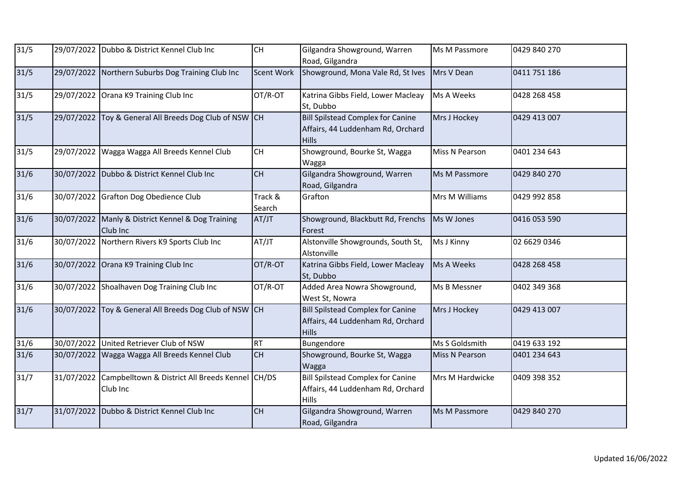| $31/5$ |            | 29/07/2022 Dubbo & District Kennel Club Inc                 | <b>CH</b>         | Gilgandra Showground, Warren<br>Road, Gilgandra                                               | Ms M Passmore         | 0429 840 270 |
|--------|------------|-------------------------------------------------------------|-------------------|-----------------------------------------------------------------------------------------------|-----------------------|--------------|
| $31/5$ |            | 29/07/2022 Northern Suburbs Dog Training Club Inc           | <b>Scent Work</b> | Showground, Mona Vale Rd, St Ives                                                             | Mrs V Dean            | 0411 751 186 |
| $31/5$ | 29/07/2022 | Orana K9 Training Club Inc                                  | OT/R-OT           | Katrina Gibbs Field, Lower Macleay<br>St, Dubbo                                               | Ms A Weeks            | 0428 268 458 |
| $31/5$ | 29/07/2022 | Toy & General All Breeds Dog Club of NSW CH                 |                   | <b>Bill Spilstead Complex for Canine</b><br>Affairs, 44 Luddenham Rd, Orchard<br><b>Hills</b> | Mrs J Hockey          | 0429 413 007 |
| 31/5   | 29/07/2022 | Wagga Wagga All Breeds Kennel Club                          | <b>CH</b>         | Showground, Bourke St, Wagga<br>Wagga                                                         | Miss N Pearson        | 0401 234 643 |
| $31/6$ | 30/07/2022 | Dubbo & District Kennel Club Inc                            | <b>CH</b>         | Gilgandra Showground, Warren<br>Road, Gilgandra                                               | Ms M Passmore         | 0429 840 270 |
| $31/6$ |            | 30/07/2022 Grafton Dog Obedience Club                       | Track &<br>Search | Grafton                                                                                       | Mrs M Williams        | 0429 992 858 |
| $31/6$ | 30/07/2022 | Manly & District Kennel & Dog Training<br>Club Inc          | AT/JT             | Showground, Blackbutt Rd, Frenchs<br>Forest                                                   | Ms W Jones            | 0416 053 590 |
| $31/6$ | 30/07/2022 | Northern Rivers K9 Sports Club Inc                          | AT/JT             | Alstonville Showgrounds, South St,<br>Alstonville                                             | Ms J Kinny            | 02 6629 0346 |
| $31/6$ | 30/07/2022 | Orana K9 Training Club Inc                                  | OT/R-OT           | Katrina Gibbs Field, Lower Macleay<br>St, Dubbo                                               | Ms A Weeks            | 0428 268 458 |
| $31/6$ |            | 30/07/2022 Shoalhaven Dog Training Club Inc                 | OT/R-OT           | Added Area Nowra Showground,<br>West St, Nowra                                                | Ms B Messner          | 0402 349 368 |
| $31/6$ | 30/07/2022 | Toy & General All Breeds Dog Club of NSW CH                 |                   | <b>Bill Spilstead Complex for Canine</b><br>Affairs, 44 Luddenham Rd, Orchard<br><b>Hills</b> | Mrs J Hockey          | 0429 413 007 |
| $31/6$ |            | 30/07/2022 United Retriever Club of NSW                     | <b>RT</b>         | Bungendore                                                                                    | Ms S Goldsmith        | 0419 633 192 |
| $31/6$ | 30/07/2022 | Wagga Wagga All Breeds Kennel Club                          | <b>CH</b>         | Showground, Bourke St, Wagga<br>Wagga                                                         | <b>Miss N Pearson</b> | 0401 234 643 |
| 31/7   | 31/07/2022 | Campbelltown & District All Breeds Kennel CH/DS<br>Club Inc |                   | <b>Bill Spilstead Complex for Canine</b><br>Affairs, 44 Luddenham Rd, Orchard<br>Hills        | Mrs M Hardwicke       | 0409 398 352 |
| $31/7$ | 31/07/2022 | Dubbo & District Kennel Club Inc                            | <b>CH</b>         | Gilgandra Showground, Warren<br>Road, Gilgandra                                               | Ms M Passmore         | 0429 840 270 |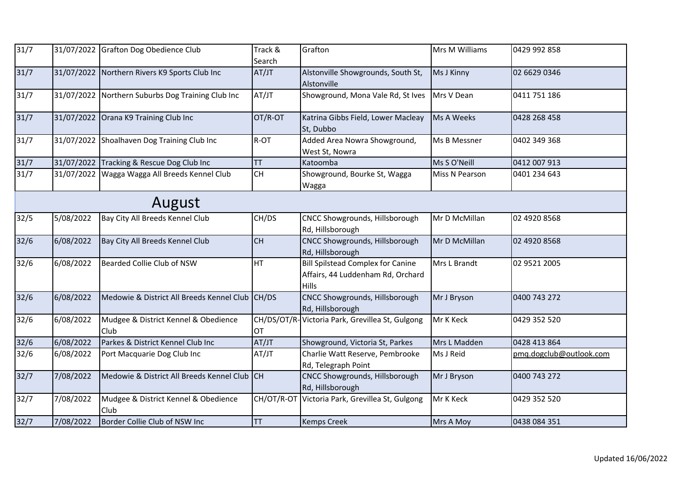| 31/7           |            | 31/07/2022 Grafton Dog Obedience Club             | Track &<br>Search | Grafton                                                                                | Mrs M Williams | 0429 992 858            |  |  |  |  |
|----------------|------------|---------------------------------------------------|-------------------|----------------------------------------------------------------------------------------|----------------|-------------------------|--|--|--|--|
| $\frac{31}{7}$ |            | 31/07/2022 Northern Rivers K9 Sports Club Inc     | AT/JT             | Alstonville Showgrounds, South St,<br>Alstonville                                      | Ms J Kinny     | 02 6629 0346            |  |  |  |  |
| 31/7           |            | 31/07/2022 Northern Suburbs Dog Training Club Inc | AT/JT             | Showground, Mona Vale Rd, St Ives                                                      | Mrs V Dean     | 0411 751 186            |  |  |  |  |
| $\frac{31}{7}$ | 31/07/2022 | Orana K9 Training Club Inc                        | OT/R-OT           | Katrina Gibbs Field, Lower Macleay<br>St, Dubbo                                        | Ms A Weeks     | 0428 268 458            |  |  |  |  |
| 31/7           |            | 31/07/2022 Shoalhaven Dog Training Club Inc       | R-OT              | Added Area Nowra Showground,<br>West St, Nowra                                         | Ms B Messner   | 0402 349 368            |  |  |  |  |
| 31/7           |            | 31/07/2022 Tracking & Rescue Dog Club Inc         | <b>TT</b>         | Katoomba                                                                               | Ms S O'Neill   | 0412 007 913            |  |  |  |  |
| 31/7           | 31/07/2022 | Wagga Wagga All Breeds Kennel Club                | <b>CH</b>         | Showground, Bourke St, Wagga<br>Wagga                                                  | Miss N Pearson | 0401 234 643            |  |  |  |  |
|                | August     |                                                   |                   |                                                                                        |                |                         |  |  |  |  |
| $32/5$         | 5/08/2022  | Bay City All Breeds Kennel Club                   | CH/DS             | CNCC Showgrounds, Hillsborough<br>Rd, Hillsborough                                     | Mr D McMillan  | 02 4920 8568            |  |  |  |  |
| $32/6$         | 6/08/2022  | Bay City All Breeds Kennel Club                   | <b>CH</b>         | CNCC Showgrounds, Hillsborough<br>Rd, Hillsborough                                     | Mr D McMillan  | 02 4920 8568            |  |  |  |  |
| 32/6           | 6/08/2022  | Bearded Collie Club of NSW                        | <b>HT</b>         | <b>Bill Spilstead Complex for Canine</b><br>Affairs, 44 Luddenham Rd, Orchard<br>Hills | Mrs L Brandt   | 02 9521 2005            |  |  |  |  |
| $32/6$         | 6/08/2022  | Medowie & District All Breeds Kennel Club CH/DS   |                   | CNCC Showgrounds, Hillsborough<br>Rd, Hillsborough                                     | Mr J Bryson    | 0400 743 272            |  |  |  |  |
| $32/6$         | 6/08/2022  | Mudgee & District Kennel & Obedience<br>Club      | OT                | CH/DS/OT/R-Victoria Park, Grevillea St, Gulgong                                        | Mr K Keck      | 0429 352 520            |  |  |  |  |
| $32/6$         | 6/08/2022  | Parkes & District Kennel Club Inc                 | AT/JT             | Showground, Victoria St, Parkes                                                        | Mrs L Madden   | 0428 413 864            |  |  |  |  |
| $32/6$         | 6/08/2022  | Port Macquarie Dog Club Inc                       | AT/JT             | Charlie Watt Reserve, Pembrooke<br>Rd, Telegraph Point                                 | Ms J Reid      | pmg.dogclub@outlook.com |  |  |  |  |
| 32/7           | 7/08/2022  | Medowie & District All Breeds Kennel Club CH      |                   | CNCC Showgrounds, Hillsborough<br>Rd, Hillsborough                                     | Mr J Bryson    | 0400 743 272            |  |  |  |  |
| 32/7           | 7/08/2022  | Mudgee & District Kennel & Obedience<br>Club      | CH/OT/R-OT        | Victoria Park, Grevillea St, Gulgong                                                   | Mr K Keck      | 0429 352 520            |  |  |  |  |
| 32/7           | 7/08/2022  | Border Collie Club of NSW Inc                     | TT                | <b>Kemps Creek</b>                                                                     | Mrs A Moy      | 0438 084 351            |  |  |  |  |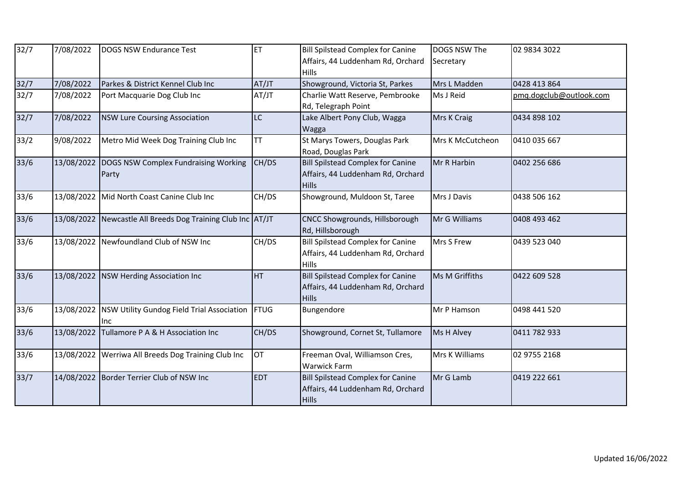| 32/7   | 7/08/2022  | <b>DOGS NSW Endurance Test</b>                    | <b>ET</b>  | <b>Bill Spilstead Complex for Canine</b><br>Affairs, 44 Luddenham Rd, Orchard | DOGS NSW The<br>Secretary | 02 9834 3022            |
|--------|------------|---------------------------------------------------|------------|-------------------------------------------------------------------------------|---------------------------|-------------------------|
|        |            |                                                   |            | <b>Hills</b>                                                                  |                           |                         |
| 32/7   | 7/08/2022  | Parkes & District Kennel Club Inc                 | AT/JT      | Showground, Victoria St, Parkes                                               | Mrs L Madden              | 0428 413 864            |
| 32/7   | 7/08/2022  | Port Macquarie Dog Club Inc                       | AT/JT      | Charlie Watt Reserve, Pembrooke                                               | Ms J Reid                 | pmq.dogclub@outlook.com |
|        |            |                                                   |            | Rd, Telegraph Point                                                           |                           |                         |
| 32/7   | 7/08/2022  | <b>NSW Lure Coursing Association</b>              | <b>LC</b>  | Lake Albert Pony Club, Wagga                                                  | Mrs K Craig               | 0434 898 102            |
|        |            |                                                   |            | Wagga                                                                         |                           |                         |
| 33/2   | 9/08/2022  | Metro Mid Week Dog Training Club Inc              | <b>TT</b>  | St Marys Towers, Douglas Park                                                 | Mrs K McCutcheon          | 0410 035 667            |
|        |            |                                                   |            | Road, Douglas Park                                                            |                           |                         |
| $33/6$ | 13/08/2022 | DOGS NSW Complex Fundraising Working              | CH/DS      | <b>Bill Spilstead Complex for Canine</b>                                      | Mr R Harbin               | 0402 256 686            |
|        |            | Party                                             |            | Affairs, 44 Luddenham Rd, Orchard                                             |                           |                         |
|        |            |                                                   |            | <b>Hills</b>                                                                  |                           |                         |
| 33/6   | 13/08/2022 | Mid North Coast Canine Club Inc                   | CH/DS      | Showground, Muldoon St, Taree                                                 | Mrs J Davis               | 0438 506 162            |
|        |            |                                                   |            |                                                                               |                           |                         |
| 33/6   | 13/08/2022 | Newcastle All Breeds Dog Training Club Inc AT/JT  |            | CNCC Showgrounds, Hillsborough                                                | Mr G Williams             | 0408 493 462            |
|        |            |                                                   |            | Rd, Hillsborough                                                              |                           |                         |
| $33/6$ |            | 13/08/2022 Newfoundland Club of NSW Inc           | CH/DS      | <b>Bill Spilstead Complex for Canine</b>                                      | Mrs S Frew                | 0439 523 040            |
|        |            |                                                   |            | Affairs, 44 Luddenham Rd, Orchard                                             |                           |                         |
|        |            |                                                   |            | Hills                                                                         |                           |                         |
| 33/6   |            | 13/08/2022   NSW Herding Association Inc          | <b>HT</b>  | <b>Bill Spilstead Complex for Canine</b>                                      | Ms M Griffiths            | 0422 609 528            |
|        |            |                                                   |            | Affairs, 44 Luddenham Rd, Orchard                                             |                           |                         |
|        |            |                                                   |            | <b>Hills</b>                                                                  |                           |                         |
| 33/6   | 13/08/2022 | NSW Utility Gundog Field Trial Association   FTUG |            | Bungendore                                                                    | Mr P Hamson               | 0498 441 520            |
|        |            | Inc                                               |            |                                                                               |                           |                         |
| $33/6$ | 13/08/2022 | Tullamore P A & H Association Inc                 | CH/DS      | Showground, Cornet St, Tullamore                                              | Ms H Alvey                | 0411 782 933            |
|        |            |                                                   |            |                                                                               |                           |                         |
| $33/6$ | 13/08/2022 | Werriwa All Breeds Dog Training Club Inc          | <b>OT</b>  | Freeman Oval, Williamson Cres,                                                | Mrs K Williams            | 02 9755 2168            |
|        |            |                                                   |            | <b>Warwick Farm</b>                                                           |                           |                         |
| 33/7   |            | 14/08/2022 Border Terrier Club of NSW Inc         | <b>EDT</b> | <b>Bill Spilstead Complex for Canine</b>                                      | Mr G Lamb                 | 0419 222 661            |
|        |            |                                                   |            | Affairs, 44 Luddenham Rd, Orchard                                             |                           |                         |
|        |            |                                                   |            | <b>Hills</b>                                                                  |                           |                         |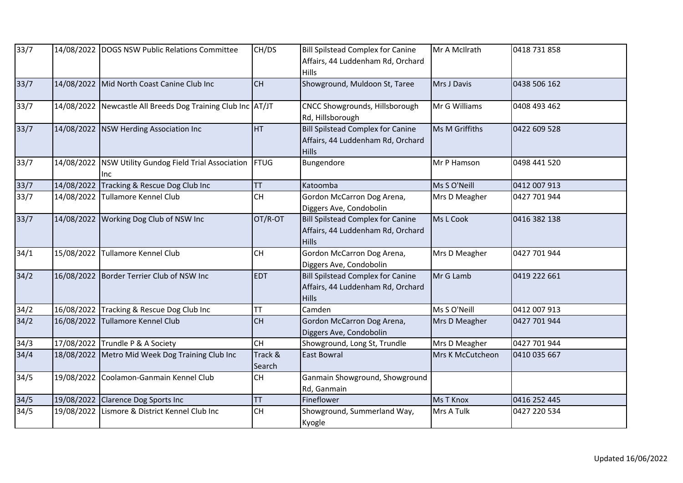| 33/7             |            | 14/08/2022 DOGS NSW Public Relations Committee              | CH/DS             | <b>Bill Spilstead Complex for Canine</b><br>Affairs, 44 Luddenham Rd, Orchard<br><b>Hills</b> | Mr A McIlrath    | 0418 731 858 |
|------------------|------------|-------------------------------------------------------------|-------------------|-----------------------------------------------------------------------------------------------|------------------|--------------|
| 33/7             |            | 14/08/2022 Mid North Coast Canine Club Inc                  | <b>CH</b>         | Showground, Muldoon St, Taree                                                                 | Mrs J Davis      | 0438 506 162 |
| 33/7             |            | 14/08/2022 Newcastle All Breeds Dog Training Club Inc AT/JT |                   | CNCC Showgrounds, Hillsborough<br>Rd, Hillsborough                                            | Mr G Williams    | 0408 493 462 |
| 33/7             |            | 14/08/2022 NSW Herding Association Inc                      | HT                | <b>Bill Spilstead Complex for Canine</b><br>Affairs, 44 Luddenham Rd, Orchard<br><b>Hills</b> | Ms M Griffiths   | 0422 609 528 |
| 33/7             | 14/08/2022 | NSW Utility Gundog Field Trial Association<br>lnc.          | FTUG              | Bungendore                                                                                    | Mr P Hamson      | 0498 441 520 |
| 33/7             | 14/08/2022 | Tracking & Rescue Dog Club Inc                              | <b>TT</b>         | Katoomba                                                                                      | Ms S O'Neill     | 0412 007 913 |
| 33/7             | 14/08/2022 | <b>Tullamore Kennel Club</b>                                | CH                | Gordon McCarron Dog Arena,<br>Diggers Ave, Condobolin                                         | Mrs D Meagher    | 0427 701 944 |
| 33/7             |            | 14/08/2022 Working Dog Club of NSW Inc                      | OT/R-OT           | <b>Bill Spilstead Complex for Canine</b><br>Affairs, 44 Luddenham Rd, Orchard<br><b>Hills</b> | Ms L Cook        | 0416 382 138 |
| $\frac{1}{3}4/1$ | 15/08/2022 | <b>Tullamore Kennel Club</b>                                | <b>CH</b>         | Gordon McCarron Dog Arena,<br>Diggers Ave, Condobolin                                         | Mrs D Meagher    | 0427 701 944 |
| 34/2             |            | 16/08/2022 Border Terrier Club of NSW Inc                   | <b>EDT</b>        | <b>Bill Spilstead Complex for Canine</b><br>Affairs, 44 Luddenham Rd, Orchard<br><b>Hills</b> | Mr G Lamb        | 0419 222 661 |
| 34/2             | 16/08/2022 | Tracking & Rescue Dog Club Inc                              | TT                | Camden                                                                                        | Ms S O'Neill     | 0412 007 913 |
| 34/2             | 16/08/2022 | Tullamore Kennel Club                                       | <b>CH</b>         | Gordon McCarron Dog Arena,<br>Diggers Ave, Condobolin                                         | Mrs D Meagher    | 0427 701 944 |
| 34/3             |            | 17/08/2022 Trundle P & A Society                            | CH                | Showground, Long St, Trundle                                                                  | Mrs D Meagher    | 0427 701 944 |
| 34/4             | 18/08/2022 | Metro Mid Week Dog Training Club Inc                        | Track &<br>Search | <b>East Bowral</b>                                                                            | Mrs K McCutcheon | 0410 035 667 |
| 34/5             |            | 19/08/2022 Coolamon-Ganmain Kennel Club                     | CH                | Ganmain Showground, Showground<br>Rd, Ganmain                                                 |                  |              |
| 34/5             |            | 19/08/2022 Clarence Dog Sports Inc                          | TT                | Fineflower                                                                                    | <b>Ms T Knox</b> | 0416 252 445 |
| 34/5             |            | 19/08/2022 Lismore & District Kennel Club Inc               | CH                | Showground, Summerland Way,<br>Kyogle                                                         | Mrs A Tulk       | 0427 220 534 |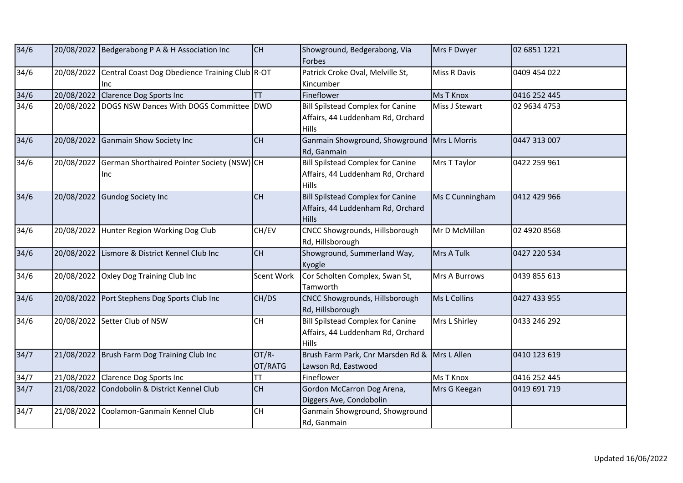| 34/6   |            | 20/08/2022 Bedgerabong P A & H Association Inc         | CH               | Showground, Bedgerabong, Via<br>Forbes                                                        | Mrs F Dwyer         | 02 6851 1221 |
|--------|------------|--------------------------------------------------------|------------------|-----------------------------------------------------------------------------------------------|---------------------|--------------|
| 34/6   | 20/08/2022 | Central Coast Dog Obedience Training Club R-OT<br>Inc. |                  | Patrick Croke Oval, Melville St,<br>Kincumber                                                 | <b>Miss R Davis</b> | 0409 454 022 |
| 34/6   |            | 20/08/2022 Clarence Dog Sports Inc                     | <b>TT</b>        | Fineflower                                                                                    | Ms T Knox           | 0416 252 445 |
| 34/6   | 20/08/2022 | DOGS NSW Dances With DOGS Committee   DWD              |                  | <b>Bill Spilstead Complex for Canine</b><br>Affairs, 44 Luddenham Rd, Orchard<br><b>Hills</b> | Miss J Stewart      | 02 9634 4753 |
| 34/6   | 20/08/2022 | Ganmain Show Society Inc                               | <b>CH</b>        | Ganmain Showground, Showground<br>Rd, Ganmain                                                 | Mrs L Morris        | 0447 313 007 |
| 34/6   | 20/08/2022 | German Shorthaired Pointer Society (NSW) CH<br>llnc    |                  | <b>Bill Spilstead Complex for Canine</b><br>Affairs, 44 Luddenham Rd, Orchard<br><b>Hills</b> | Mrs T Taylor        | 0422 259 961 |
| $34/6$ |            | 20/08/2022 Gundog Society Inc                          | <b>CH</b>        | <b>Bill Spilstead Complex for Canine</b><br>Affairs, 44 Luddenham Rd, Orchard<br><b>Hills</b> | Ms C Cunningham     | 0412 429 966 |
| $34/6$ | 20/08/2022 | Hunter Region Working Dog Club                         | CH/EV            | CNCC Showgrounds, Hillsborough<br>Rd, Hillsborough                                            | Mr D McMillan       | 02 4920 8568 |
| 34/6   | 20/08/2022 | Lismore & District Kennel Club Inc                     | <b>CH</b>        | Showground, Summerland Way,<br>Kyogle                                                         | Mrs A Tulk          | 0427 220 534 |
| 34/6   | 20/08/2022 | Oxley Dog Training Club Inc                            | Scent Work       | Cor Scholten Complex, Swan St,<br>Tamworth                                                    | Mrs A Burrows       | 0439 855 613 |
| 34/6   | 20/08/2022 | Port Stephens Dog Sports Club Inc                      | CH/DS            | CNCC Showgrounds, Hillsborough<br>Rd, Hillsborough                                            | Ms L Collins        | 0427 433 955 |
| 34/6   |            | 20/08/2022 Setter Club of NSW                          | <b>CH</b>        | <b>Bill Spilstead Complex for Canine</b><br>Affairs, 44 Luddenham Rd, Orchard<br><b>Hills</b> | Mrs L Shirley       | 0433 246 292 |
| 34/7   | 21/08/2022 | Brush Farm Dog Training Club Inc                       | OT/R-<br>OT/RATG | Brush Farm Park, Cnr Marsden Rd & Mrs L Allen<br>Lawson Rd, Eastwood                          |                     | 0410 123 619 |
| 34/7   |            | 21/08/2022 Clarence Dog Sports Inc                     | TT               | Fineflower                                                                                    | Ms T Knox           | 0416 252 445 |
| 34/7   |            | 21/08/2022 Condobolin & District Kennel Club           | CH               | Gordon McCarron Dog Arena,<br>Diggers Ave, Condobolin                                         | Mrs G Keegan        | 0419 691 719 |
| 34/7   | 21/08/2022 | Coolamon-Ganmain Kennel Club                           | <b>CH</b>        | Ganmain Showground, Showground<br>Rd, Ganmain                                                 |                     |              |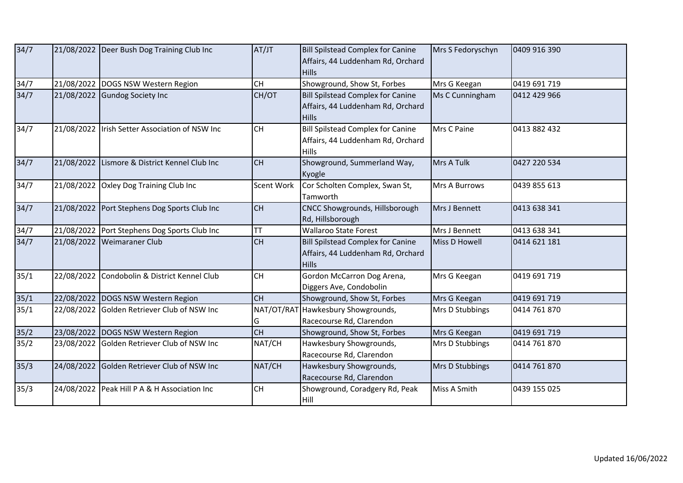| 34/7 |            | 21/08/2022 Deer Bush Dog Training Club Inc   | AT/JT      | <b>Bill Spilstead Complex for Canine</b><br>Affairs, 44 Luddenham Rd, Orchard<br><b>Hills</b> | Mrs S Fedoryschyn | 0409 916 390 |
|------|------------|----------------------------------------------|------------|-----------------------------------------------------------------------------------------------|-------------------|--------------|
| 34/7 |            | 21/08/2022 DOGS NSW Western Region           | <b>CH</b>  | Showground, Show St, Forbes                                                                   | Mrs G Keegan      | 0419 691 719 |
| 34/7 |            | 21/08/2022 Gundog Society Inc                | CH/OT      | <b>Bill Spilstead Complex for Canine</b><br>Affairs, 44 Luddenham Rd, Orchard<br><b>Hills</b> | Ms C Cunningham   | 0412 429 966 |
| 34/7 | 21/08/2022 | Irish Setter Association of NSW Inc          | <b>CH</b>  | <b>Bill Spilstead Complex for Canine</b><br>Affairs, 44 Luddenham Rd, Orchard<br>Hills        | Mrs C Paine       | 0413 882 432 |
| 34/7 | 21/08/2022 | Lismore & District Kennel Club Inc           | <b>CH</b>  | Showground, Summerland Way,<br>Kyogle                                                         | Mrs A Tulk        | 0427 220 534 |
| 34/7 |            | 21/08/2022 Oxley Dog Training Club Inc       | Scent Work | Cor Scholten Complex, Swan St,<br>Tamworth                                                    | Mrs A Burrows     | 0439 855 613 |
| 34/7 |            | 21/08/2022 Port Stephens Dog Sports Club Inc | <b>CH</b>  | CNCC Showgrounds, Hillsborough<br>Rd, Hillsborough                                            | Mrs J Bennett     | 0413 638 341 |
| 34/7 |            | 21/08/2022 Port Stephens Dog Sports Club Inc | <b>TT</b>  | <b>Wallaroo State Forest</b>                                                                  | Mrs J Bennett     | 0413 638 341 |
| 34/7 |            | 21/08/2022 Weimaraner Club                   | <b>CH</b>  | <b>Bill Spilstead Complex for Canine</b><br>Affairs, 44 Luddenham Rd, Orchard<br><b>Hills</b> | Miss D Howell     | 0414 621 181 |
| 35/1 |            | 22/08/2022 Condobolin & District Kennel Club | <b>CH</b>  | Gordon McCarron Dog Arena,<br>Diggers Ave, Condobolin                                         | Mrs G Keegan      | 0419 691 719 |
| 35/1 |            | 22/08/2022 DOGS NSW Western Region           | <b>CH</b>  | Showground, Show St, Forbes                                                                   | Mrs G Keegan      | 0419 691 719 |
| 35/1 |            | 22/08/2022 Golden Retriever Club of NSW Inc  | G          | NAT/OT/RAT Hawkesbury Showgrounds,<br>Racecourse Rd, Clarendon                                | Mrs D Stubbings   | 0414 761 870 |
| 35/2 |            | 23/08/2022 DOGS NSW Western Region           | CH         | Showground, Show St, Forbes                                                                   | Mrs G Keegan      | 0419 691 719 |
| 35/2 |            | 23/08/2022 Golden Retriever Club of NSW Inc  | NAT/CH     | Hawkesbury Showgrounds,<br>Racecourse Rd, Clarendon                                           | Mrs D Stubbings   | 0414 761 870 |
| 35/3 |            | 24/08/2022 Golden Retriever Club of NSW Inc  | NAT/CH     | Hawkesbury Showgrounds,<br>Racecourse Rd, Clarendon                                           | Mrs D Stubbings   | 0414 761 870 |
| 35/3 |            | 24/08/2022 Peak Hill P A & H Association Inc | <b>CH</b>  | Showground, Coradgery Rd, Peak<br>Hill                                                        | Miss A Smith      | 0439 155 025 |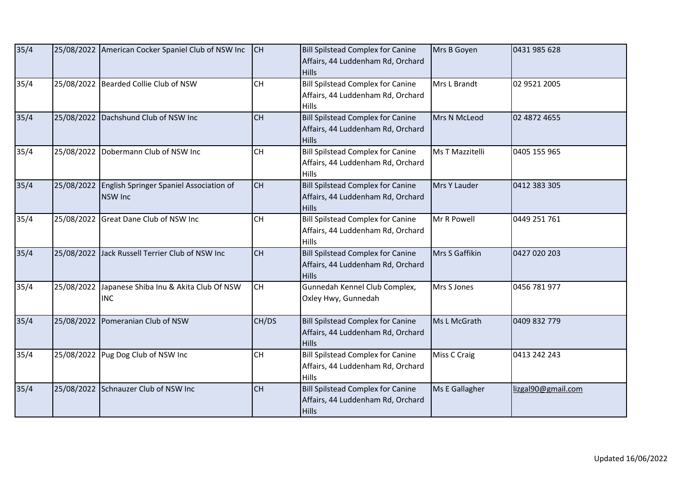| 35/4 |            | 25/08/2022 American Cocker Spaniel Club of NSW Inc              | CH        | <b>Bill Spilstead Complex for Canine</b><br>Affairs, 44 Luddenham Rd, Orchard<br><b>Hills</b> | Mrs B Goyen            | 0431 985 628       |
|------|------------|-----------------------------------------------------------------|-----------|-----------------------------------------------------------------------------------------------|------------------------|--------------------|
| 35/4 |            | 25/08/2022 Bearded Collie Club of NSW                           | CH        | <b>Bill Spilstead Complex for Canine</b><br>Affairs, 44 Luddenham Rd, Orchard<br><b>Hills</b> | Mrs L Brandt           | 02 9521 2005       |
| 35/4 |            | 25/08/2022 Dachshund Club of NSW Inc                            | <b>CH</b> | <b>Bill Spilstead Complex for Canine</b><br>Affairs, 44 Luddenham Rd, Orchard<br><b>Hills</b> | Mrs N McLeod           | 02 4872 4655       |
| 35/4 |            | 25/08/2022 Dobermann Club of NSW Inc                            | CH        | <b>Bill Spilstead Complex for Canine</b><br>Affairs, 44 Luddenham Rd, Orchard<br><b>Hills</b> | <b>Ms T Mazzitelli</b> | 0405 155 965       |
| 35/4 | 25/08/2022 | English Springer Spaniel Association of<br><b>NSW Inc</b>       | <b>CH</b> | <b>Bill Spilstead Complex for Canine</b><br>Affairs, 44 Luddenham Rd, Orchard<br><b>Hills</b> | Mrs Y Lauder           | 0412 383 305       |
| 35/4 |            | 25/08/2022 Great Dane Club of NSW Inc                           | CH        | <b>Bill Spilstead Complex for Canine</b><br>Affairs, 44 Luddenham Rd, Orchard<br>Hills        | Mr R Powell            | 0449 251 761       |
| 35/4 |            | 25/08/2022 Jack Russell Terrier Club of NSW Inc                 | <b>CH</b> | <b>Bill Spilstead Complex for Canine</b><br>Affairs, 44 Luddenham Rd, Orchard<br><b>Hills</b> | Mrs S Gaffikin         | 0427 020 203       |
| 35/4 |            | 25/08/2022 Japanese Shiba Inu & Akita Club Of NSW<br><b>INC</b> | <b>CH</b> | Gunnedah Kennel Club Complex,<br>Oxley Hwy, Gunnedah                                          | Mrs S Jones            | 0456 781 977       |
| 35/4 | 25/08/2022 | Pomeranian Club of NSW                                          | CH/DS     | <b>Bill Spilstead Complex for Canine</b><br>Affairs, 44 Luddenham Rd, Orchard<br><b>Hills</b> | Ms L McGrath           | 0409 832 779       |
| 35/4 |            | 25/08/2022 Pug Dog Club of NSW Inc                              | CH        | <b>Bill Spilstead Complex for Canine</b><br>Affairs, 44 Luddenham Rd, Orchard<br>Hills        | Miss C Craig           | 0413 242 243       |
| 35/4 |            | 25/08/2022 Schnauzer Club of NSW Inc                            | <b>CH</b> | <b>Bill Spilstead Complex for Canine</b><br>Affairs, 44 Luddenham Rd, Orchard<br><b>Hills</b> | Ms E Gallagher         | lizgal90@gmail.com |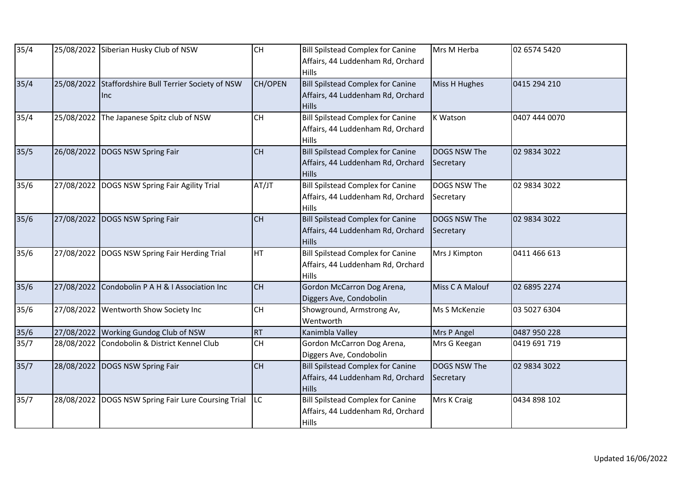| 35/4   | 25/08/2022 | Siberian Husky Club of NSW                                  | <b>CH</b> | <b>Bill Spilstead Complex for Canine</b><br>Affairs, 44 Luddenham Rd, Orchard<br><b>Hills</b> | Mrs M Herba               | 02 6574 5420  |
|--------|------------|-------------------------------------------------------------|-----------|-----------------------------------------------------------------------------------------------|---------------------------|---------------|
| 35/4   |            | 25/08/2022 Staffordshire Bull Terrier Society of NSW<br>Inc | CH/OPEN   | <b>Bill Spilstead Complex for Canine</b><br>Affairs, 44 Luddenham Rd, Orchard<br><b>Hills</b> | Miss H Hughes             | 0415 294 210  |
| 35/4   | 25/08/2022 | The Japanese Spitz club of NSW                              | <b>CH</b> | <b>Bill Spilstead Complex for Canine</b><br>Affairs, 44 Luddenham Rd, Orchard<br>Hills        | <b>K Watson</b>           | 0407 444 0070 |
| 35/5   | 26/08/2022 | DOGS NSW Spring Fair                                        | CH        | <b>Bill Spilstead Complex for Canine</b><br>Affairs, 44 Luddenham Rd, Orchard<br><b>Hills</b> | DOGS NSW The<br>Secretary | 02 9834 3022  |
| $35/6$ |            | 27/08/2022   DOGS NSW Spring Fair Agility Trial             | AT/JT     | <b>Bill Spilstead Complex for Canine</b><br>Affairs, 44 Luddenham Rd, Orchard<br><b>Hills</b> | DOGS NSW The<br>Secretary | 02 9834 3022  |
| $35/6$ | 27/08/2022 | DOGS NSW Spring Fair                                        | <b>CH</b> | <b>Bill Spilstead Complex for Canine</b><br>Affairs, 44 Luddenham Rd, Orchard<br><b>Hills</b> | DOGS NSW The<br>Secretary | 02 9834 3022  |
| 35/6   |            | 27/08/2022 DOGS NSW Spring Fair Herding Trial               | <b>HT</b> | <b>Bill Spilstead Complex for Canine</b><br>Affairs, 44 Luddenham Rd, Orchard<br>Hills        | Mrs J Kimpton             | 0411 466 613  |
| 35/6   | 27/08/2022 | Condobolin P A H & I Association Inc                        | CH        | Gordon McCarron Dog Arena,<br>Diggers Ave, Condobolin                                         | Miss C A Malouf           | 02 6895 2274  |
| $35/6$ | 27/08/2022 | Wentworth Show Society Inc                                  | <b>CH</b> | Showground, Armstrong Av,<br>Wentworth                                                        | Ms S McKenzie             | 03 5027 6304  |
| $35/6$ |            | 27/08/2022 Working Gundog Club of NSW                       | <b>RT</b> | Kanimbla Valley                                                                               | Mrs P Angel               | 0487 950 228  |
| 35/7   | 28/08/2022 | Condobolin & District Kennel Club                           | CH        | Gordon McCarron Dog Arena,<br>Diggers Ave, Condobolin                                         | Mrs G Keegan              | 0419 691 719  |
| 35/7   | 28/08/2022 | DOGS NSW Spring Fair                                        | <b>CH</b> | <b>Bill Spilstead Complex for Canine</b><br>Affairs, 44 Luddenham Rd, Orchard<br>Hills        | DOGS NSW The<br>Secretary | 02 9834 3022  |
| 35/7   |            | 28/08/2022   DOGS NSW Spring Fair Lure Coursing Trial       | <b>LC</b> | <b>Bill Spilstead Complex for Canine</b><br>Affairs, 44 Luddenham Rd, Orchard<br><b>Hills</b> | Mrs K Craig               | 0434 898 102  |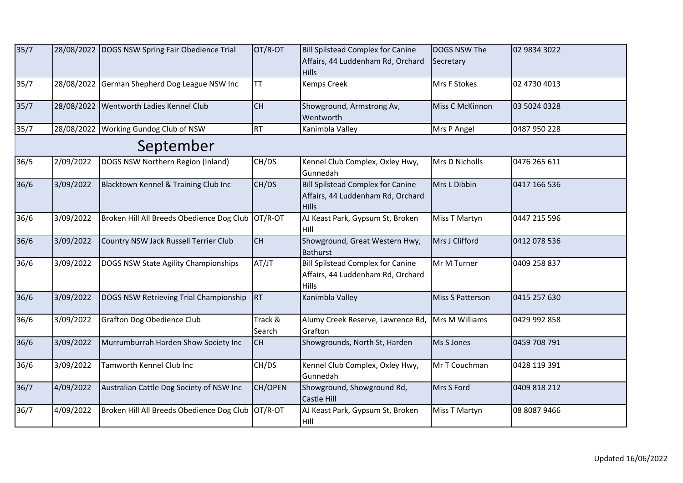| $35/7$    |           | 28/08/2022 DOGS NSW Spring Fair Obedience Trial   | OT/R-OT           | <b>Bill Spilstead Complex for Canine</b><br>Affairs, 44 Luddenham Rd, Orchard<br><b>Hills</b> | DOGS NSW The<br>Secretary | 02 9834 3022 |  |  |
|-----------|-----------|---------------------------------------------------|-------------------|-----------------------------------------------------------------------------------------------|---------------------------|--------------|--|--|
| 35/7      |           | 28/08/2022 German Shepherd Dog League NSW Inc     | <b>TT</b>         | <b>Kemps Creek</b>                                                                            | Mrs F Stokes              | 02 4730 4013 |  |  |
| 35/7      |           | 28/08/2022 Wentworth Ladies Kennel Club           | <b>CH</b>         | Showground, Armstrong Av,<br>Wentworth                                                        | Miss C McKinnon           | 03 5024 0328 |  |  |
| 35/7      |           | 28/08/2022 Working Gundog Club of NSW             | RT                | Kanimbla Valley                                                                               | Mrs P Angel               | 0487 950 228 |  |  |
| September |           |                                                   |                   |                                                                                               |                           |              |  |  |
| 36/5      | 2/09/2022 | DOGS NSW Northern Region (Inland)                 | CH/DS             | Kennel Club Complex, Oxley Hwy,<br>Gunnedah                                                   | Mrs D Nicholls            | 0476 265 611 |  |  |
| 36/6      | 3/09/2022 | Blacktown Kennel & Training Club Inc              | CH/DS             | <b>Bill Spilstead Complex for Canine</b><br>Affairs, 44 Luddenham Rd, Orchard<br><b>Hills</b> | Mrs L Dibbin              | 0417 166 536 |  |  |
| 36/6      | 3/09/2022 | Broken Hill All Breeds Obedience Dog Club OT/R-OT |                   | AJ Keast Park, Gypsum St, Broken<br>Hill                                                      | Miss T Martyn             | 0447 215 596 |  |  |
| 36/6      | 3/09/2022 | Country NSW Jack Russell Terrier Club             | <b>CH</b>         | Showground, Great Western Hwy,<br><b>Bathurst</b>                                             | Mrs J Clifford            | 0412 078 536 |  |  |
| 36/6      | 3/09/2022 | DOGS NSW State Agility Championships              | AT/JT             | <b>Bill Spilstead Complex for Canine</b><br>Affairs, 44 Luddenham Rd, Orchard<br><b>Hills</b> | Mr M Turner               | 0409 258 837 |  |  |
| 36/6      | 3/09/2022 | DOGS NSW Retrieving Trial Championship            | RT                | Kanimbla Valley                                                                               | Miss S Patterson          | 0415 257 630 |  |  |
| 36/6      | 3/09/2022 | Grafton Dog Obedience Club                        | Track &<br>Search | Alumy Creek Reserve, Lawrence Rd,<br>Grafton                                                  | Mrs M Williams            | 0429 992 858 |  |  |
| 36/6      | 3/09/2022 | Murrumburrah Harden Show Society Inc              | <b>CH</b>         | Showgrounds, North St, Harden                                                                 | Ms S Jones                | 0459 708 791 |  |  |
| 36/6      | 3/09/2022 | Tamworth Kennel Club Inc                          | CH/DS             | Kennel Club Complex, Oxley Hwy,<br>Gunnedah                                                   | Mr T Couchman             | 0428 119 391 |  |  |
| 36/7      | 4/09/2022 | Australian Cattle Dog Society of NSW Inc          | CH/OPEN           | Showground, Showground Rd,<br>Castle Hill                                                     | Mrs S Ford                | 0409 818 212 |  |  |
| 36/7      | 4/09/2022 | Broken Hill All Breeds Obedience Dog Club         | OT/R-OT           | AJ Keast Park, Gypsum St, Broken<br>Hill                                                      | Miss T Martyn             | 08 8087 9466 |  |  |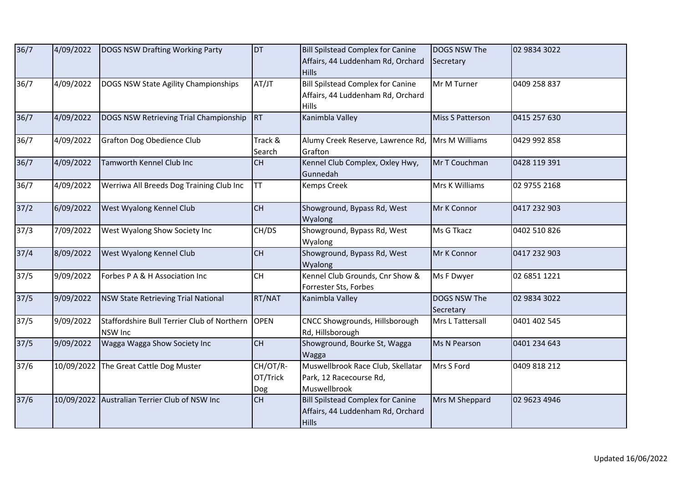| 36/7           | 4/09/2022 | DOGS NSW Drafting Working Party                             | <b>DT</b>                   | <b>Bill Spilstead Complex for Canine</b><br>Affairs, 44 Luddenham Rd, Orchard<br><b>Hills</b> | DOGS NSW The<br>Secretary | 02 9834 3022 |
|----------------|-----------|-------------------------------------------------------------|-----------------------------|-----------------------------------------------------------------------------------------------|---------------------------|--------------|
| 36/7           | 4/09/2022 | DOGS NSW State Agility Championships                        | AT/JT                       | <b>Bill Spilstead Complex for Canine</b><br>Affairs, 44 Luddenham Rd, Orchard<br>Hills        | Mr M Turner               | 0409 258 837 |
| 36/7           | 4/09/2022 | DOGS NSW Retrieving Trial Championship                      | RT                          | Kanimbla Valley                                                                               | Miss S Patterson          | 0415 257 630 |
| 36/7           | 4/09/2022 | Grafton Dog Obedience Club                                  | Track &<br>Search           | Alumy Creek Reserve, Lawrence Rd,<br>Grafton                                                  | Mrs M Williams            | 0429 992 858 |
| 36/7           | 4/09/2022 | Tamworth Kennel Club Inc                                    | CH                          | Kennel Club Complex, Oxley Hwy,<br>Gunnedah                                                   | Mr T Couchman             | 0428 119 391 |
| 36/7           | 4/09/2022 | Werriwa All Breeds Dog Training Club Inc                    | TT                          | Kemps Creek                                                                                   | Mrs K Williams            | 02 9755 2168 |
| 37/2           | 6/09/2022 | West Wyalong Kennel Club                                    | <b>CH</b>                   | Showground, Bypass Rd, West<br>Wyalong                                                        | Mr K Connor               | 0417 232 903 |
| 37/3           | 7/09/2022 | West Wyalong Show Society Inc                               | CH/DS                       | Showground, Bypass Rd, West<br>Wyalong                                                        | Ms G Tkacz                | 0402 510 826 |
| 37/4           | 8/09/2022 | West Wyalong Kennel Club                                    | CH                          | Showground, Bypass Rd, West<br>Wyalong                                                        | Mr K Connor               | 0417 232 903 |
| 37/5           | 9/09/2022 | Forbes P A & H Association Inc                              | <b>CH</b>                   | Kennel Club Grounds, Cnr Show &<br>Forrester Sts, Forbes                                      | Ms F Dwyer                | 02 6851 1221 |
| 37/5           | 9/09/2022 | <b>NSW State Retrieving Trial National</b>                  | RT/NAT                      | Kanimbla Valley                                                                               | DOGS NSW The<br>Secretary | 02 9834 3022 |
| 37/5           | 9/09/2022 | Staffordshire Bull Terrier Club of Northern OPEN<br>NSW Inc |                             | CNCC Showgrounds, Hillsborough<br>Rd, Hillsborough                                            | Mrs L Tattersall          | 0401 402 545 |
| $\frac{37}{5}$ | 9/09/2022 | Wagga Wagga Show Society Inc                                | CH                          | Showground, Bourke St, Wagga<br>Wagga                                                         | Ms N Pearson              | 0401 234 643 |
| 37/6           |           | 10/09/2022 The Great Cattle Dog Muster                      | CH/OT/R-<br>OT/Trick<br>Dog | Muswellbrook Race Club, Skellatar<br>Park, 12 Racecourse Rd,<br>Muswellbrook                  | Mrs S Ford                | 0409 818 212 |
| $37/6$         |           | 10/09/2022 Australian Terrier Club of NSW Inc               | CH                          | <b>Bill Spilstead Complex for Canine</b><br>Affairs, 44 Luddenham Rd, Orchard<br><b>Hills</b> | Mrs M Sheppard            | 02 9623 4946 |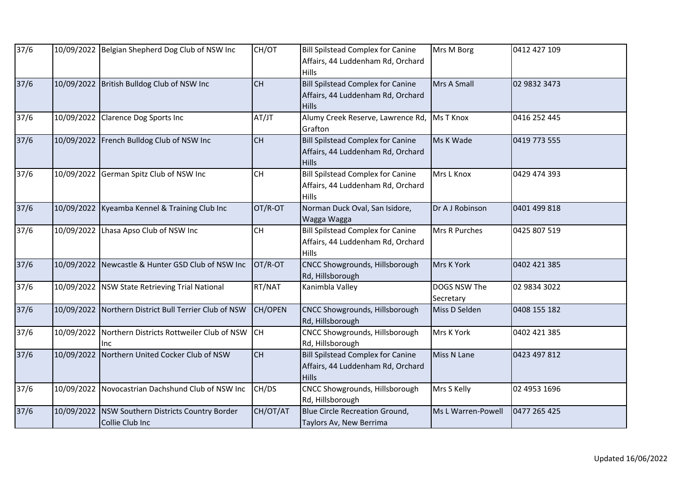| 37/6           |            | 10/09/2022 Belgian Shepherd Dog Club of NSW Inc          | CH/OT     | <b>Bill Spilstead Complex for Canine</b><br>Affairs, 44 Luddenham Rd, Orchard<br>Hills        | Mrs M Borg                | 0412 427 109 |
|----------------|------------|----------------------------------------------------------|-----------|-----------------------------------------------------------------------------------------------|---------------------------|--------------|
| $37/6$         |            | 10/09/2022 British Bulldog Club of NSW Inc               | <b>CH</b> | <b>Bill Spilstead Complex for Canine</b><br>Affairs, 44 Luddenham Rd, Orchard<br><b>Hills</b> | Mrs A Small               | 02 9832 3473 |
| $37/6$         | 10/09/2022 | <b>Clarence Dog Sports Inc</b>                           | AT/JT     | Alumy Creek Reserve, Lawrence Rd,<br>Grafton                                                  | <b>Ms T Knox</b>          | 0416 252 445 |
| $37/6$         |            | 10/09/2022 French Bulldog Club of NSW Inc                | <b>CH</b> | Bill Spilstead Complex for Canine<br>Affairs, 44 Luddenham Rd, Orchard<br>Hills               | Ms K Wade                 | 0419 773 555 |
| $37/6$         | 10/09/2022 | German Spitz Club of NSW Inc                             | <b>CH</b> | <b>Bill Spilstead Complex for Canine</b><br>Affairs, 44 Luddenham Rd, Orchard<br><b>Hills</b> | Mrs L Knox                | 0429 474 393 |
| $\frac{37}{6}$ |            | 10/09/2022 Kyeamba Kennel & Training Club Inc            | OT/R-OT   | Norman Duck Oval, San Isidore,<br>Wagga Wagga                                                 | Dr A J Robinson           | 0401 499 818 |
| $37/6$         | 10/09/2022 | Lhasa Apso Club of NSW Inc                               | <b>CH</b> | <b>Bill Spilstead Complex for Canine</b><br>Affairs, 44 Luddenham Rd, Orchard<br><b>Hills</b> | Mrs R Purches             | 0425 807 519 |
| $\frac{37}{6}$ |            | 10/09/2022 Newcastle & Hunter GSD Club of NSW Inc        | OT/R-OT   | CNCC Showgrounds, Hillsborough<br>Rd, Hillsborough                                            | Mrs K York                | 0402 421 385 |
| 37/6           | 10/09/2022 | NSW State Retrieving Trial National                      | RT/NAT    | Kanimbla Valley                                                                               | DOGS NSW The<br>Secretary | 02 9834 3022 |
| $\frac{37}{6}$ |            | 10/09/2022 Northern District Bull Terrier Club of NSW    | CH/OPEN   | CNCC Showgrounds, Hillsborough<br>Rd, Hillsborough                                            | Miss D Selden             | 0408 155 182 |
| 37/6           | 10/09/2022 | Northern Districts Rottweiler Club of NSW CH<br>Inc.     |           | CNCC Showgrounds, Hillsborough<br>Rd, Hillsborough                                            | Mrs K York                | 0402 421 385 |
| $37/6$         | 10/09/2022 | Northern United Cocker Club of NSW                       | CH        | <b>Bill Spilstead Complex for Canine</b><br>Affairs, 44 Luddenham Rd, Orchard<br><b>Hills</b> | Miss N Lane               | 0423 497 812 |
| 37/6           | 10/09/2022 | Novocastrian Dachshund Club of NSW Inc                   | CH/DS     | CNCC Showgrounds, Hillsborough<br>Rd, Hillsborough                                            | Mrs S Kelly               | 02 4953 1696 |
| 37/6           | 10/09/2022 | NSW Southern Districts Country Border<br>Collie Club Inc | CH/OT/AT  | Blue Circle Recreation Ground,<br>Taylors Av, New Berrima                                     | Ms L Warren-Powell        | 0477 265 425 |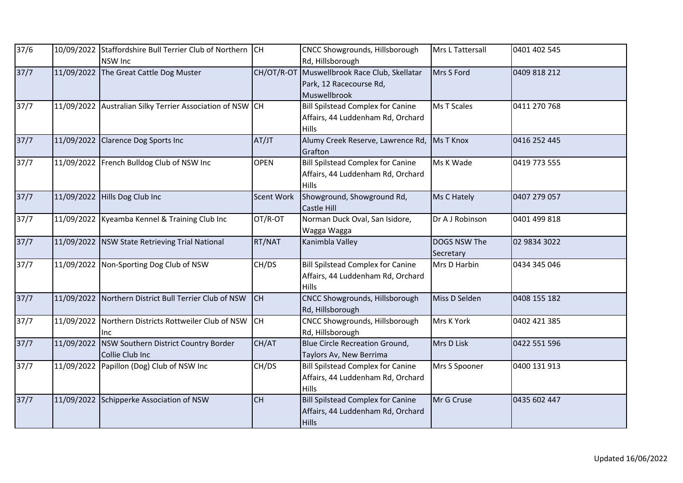| 37/6 |            | 10/09/2022 Staffordshire Bull Terrier Club of Northern CH<br><b>NSW Inc</b> |                   | <b>CNCC Showgrounds, Hillsborough</b><br>Rd, Hillsborough                                     | Mrs L Tattersall          | 0401 402 545 |
|------|------------|-----------------------------------------------------------------------------|-------------------|-----------------------------------------------------------------------------------------------|---------------------------|--------------|
| 37/7 | 11/09/2022 | The Great Cattle Dog Muster                                                 | CH/OT/R-OT        | Muswellbrook Race Club, Skellatar<br>Park, 12 Racecourse Rd,<br>Muswellbrook                  | Mrs S Ford                | 0409 818 212 |
| 37/7 |            | 11/09/2022 Australian Silky Terrier Association of NSW CH                   |                   | <b>Bill Spilstead Complex for Canine</b><br>Affairs, 44 Luddenham Rd, Orchard<br><b>Hills</b> | <b>Ms T Scales</b>        | 0411 270 768 |
| 37/7 | 11/09/2022 | Clarence Dog Sports Inc                                                     | AT/JT             | Alumy Creek Reserve, Lawrence Rd,<br>Grafton                                                  | <b>Ms T Knox</b>          | 0416 252 445 |
| 37/7 |            | 11/09/2022 French Bulldog Club of NSW Inc                                   | <b>OPEN</b>       | <b>Bill Spilstead Complex for Canine</b><br>Affairs, 44 Luddenham Rd, Orchard<br><b>Hills</b> | Ms K Wade                 | 0419 773 555 |
| 37/7 |            | 11/09/2022 Hills Dog Club Inc                                               | <b>Scent Work</b> | Showground, Showground Rd,<br><b>Castle Hill</b>                                              | Ms C Hately               | 0407 279 057 |
| 37/7 |            | 11/09/2022 Kyeamba Kennel & Training Club Inc                               | OT/R-OT           | Norman Duck Oval, San Isidore,<br>Wagga Wagga                                                 | Dr A J Robinson           | 0401 499 818 |
| 37/7 | 11/09/2022 | NSW State Retrieving Trial National                                         | RT/NAT            | Kanimbla Valley                                                                               | DOGS NSW The<br>Secretary | 02 9834 3022 |
| 37/7 |            | 11/09/2022 Non-Sporting Dog Club of NSW                                     | CH/DS             | <b>Bill Spilstead Complex for Canine</b><br>Affairs, 44 Luddenham Rd, Orchard<br><b>Hills</b> | Mrs D Harbin              | 0434 345 046 |
| 37/7 | 11/09/2022 | Northern District Bull Terrier Club of NSW                                  | <b>CH</b>         | <b>CNCC Showgrounds, Hillsborough</b><br>Rd, Hillsborough                                     | Miss D Selden             | 0408 155 182 |
| 37/7 |            | 11/09/2022 Northern Districts Rottweiler Club of NSW<br>lnc                 | <b>CH</b>         | CNCC Showgrounds, Hillsborough<br>Rd, Hillsborough                                            | Mrs K York                | 0402 421 385 |
| 37/7 | 11/09/2022 | NSW Southern District Country Border<br>Collie Club Inc                     | CH/AT             | Blue Circle Recreation Ground,<br>Taylors Av, New Berrima                                     | Mrs D Lisk                | 0422 551 596 |
| 37/7 |            | 11/09/2022 Papillon (Dog) Club of NSW Inc                                   | CH/DS             | <b>Bill Spilstead Complex for Canine</b><br>Affairs, 44 Luddenham Rd, Orchard<br><b>Hills</b> | Mrs S Spooner             | 0400 131 913 |
| 37/7 | 11/09/2022 | Schipperke Association of NSW                                               | <b>CH</b>         | <b>Bill Spilstead Complex for Canine</b><br>Affairs, 44 Luddenham Rd, Orchard<br><b>Hills</b> | Mr G Cruse                | 0435 602 447 |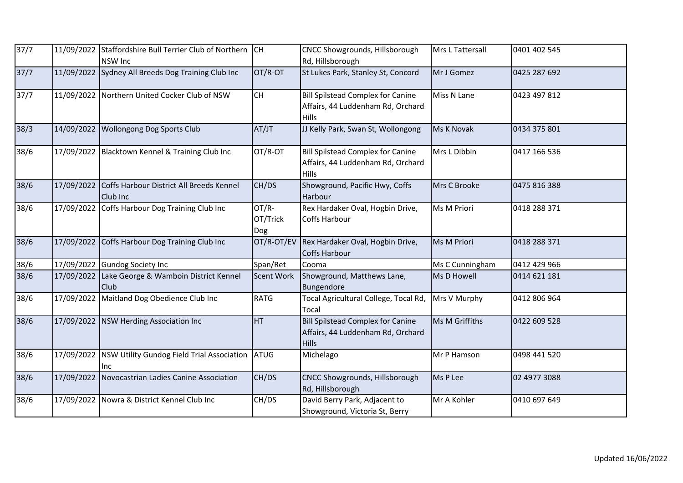| 37/7   |            | 11/09/2022 Staffordshire Bull Terrier Club of Northern CH<br><b>NSW Inc</b> |                          | CNCC Showgrounds, Hillsborough<br>Rd, Hillsborough                                            | Mrs L Tattersall | 0401 402 545 |
|--------|------------|-----------------------------------------------------------------------------|--------------------------|-----------------------------------------------------------------------------------------------|------------------|--------------|
| 37/7   |            | 11/09/2022 Sydney All Breeds Dog Training Club Inc                          | OT/R-OT                  | St Lukes Park, Stanley St, Concord                                                            | Mr J Gomez       | 0425 287 692 |
| 37/7   |            | 11/09/2022 Northern United Cocker Club of NSW                               | CH                       | <b>Bill Spilstead Complex for Canine</b><br>Affairs, 44 Luddenham Rd, Orchard<br>Hills        | Miss N Lane      | 0423 497 812 |
| 38/3   | 14/09/2022 | <b>Wollongong Dog Sports Club</b>                                           | AT/JT                    | JJ Kelly Park, Swan St, Wollongong                                                            | Ms K Novak       | 0434 375 801 |
| 38/6   |            | 17/09/2022 Blacktown Kennel & Training Club Inc                             | OT/R-OT                  | <b>Bill Spilstead Complex for Canine</b><br>Affairs, 44 Luddenham Rd, Orchard<br><b>Hills</b> | Mrs L Dibbin     | 0417 166 536 |
| 38/6   | 17/09/2022 | Coffs Harbour District All Breeds Kennel<br>Club Inc                        | CH/DS                    | Showground, Pacific Hwy, Coffs<br>Harbour                                                     | Mrs C Brooke     | 0475 816 388 |
| 38/6   |            | 17/09/2022 Coffs Harbour Dog Training Club Inc                              | OT/R-<br>OT/Trick<br>Dog | Rex Hardaker Oval, Hogbin Drive,<br>Coffs Harbour                                             | Ms M Priori      | 0418 288 371 |
| 38/6   |            | 17/09/2022 Coffs Harbour Dog Training Club Inc                              | OT/R-OT/EV               | Rex Hardaker Oval, Hogbin Drive,<br><b>Coffs Harbour</b>                                      | Ms M Priori      | 0418 288 371 |
| 38/6   |            | 17/09/2022 Gundog Society Inc                                               | Span/Ret                 | Cooma                                                                                         | Ms C Cunningham  | 0412 429 966 |
| 38/6   | 17/09/2022 | Lake George & Wamboin District Kennel<br><b>Club</b>                        | <b>Scent Work</b>        | Showground, Matthews Lane,<br>Bungendore                                                      | Ms D Howell      | 0414 621 181 |
| 38/6   |            | 17/09/2022 Maitland Dog Obedience Club Inc                                  | <b>RATG</b>              | Tocal Agricultural College, Tocal Rd,<br>Tocal                                                | Mrs V Murphy     | 0412 806 964 |
| $38/6$ |            | 17/09/2022 NSW Herding Association Inc                                      | <b>HT</b>                | <b>Bill Spilstead Complex for Canine</b><br>Affairs, 44 Luddenham Rd, Orchard<br><b>Hills</b> | Ms M Griffiths   | 0422 609 528 |
| 38/6   | 17/09/2022 | NSW Utility Gundog Field Trial Association<br>Inc                           | ATUG                     | Michelago                                                                                     | Mr P Hamson      | 0498 441 520 |
| $38/6$ |            | 17/09/2022 Novocastrian Ladies Canine Association                           | CH/DS                    | CNCC Showgrounds, Hillsborough<br>Rd, Hillsborough                                            | Ms P Lee         | 02 4977 3088 |
| 38/6   |            | 17/09/2022 Nowra & District Kennel Club Inc                                 | CH/DS                    | David Berry Park, Adjacent to<br>Showground, Victoria St, Berry                               | Mr A Kohler      | 0410 697 649 |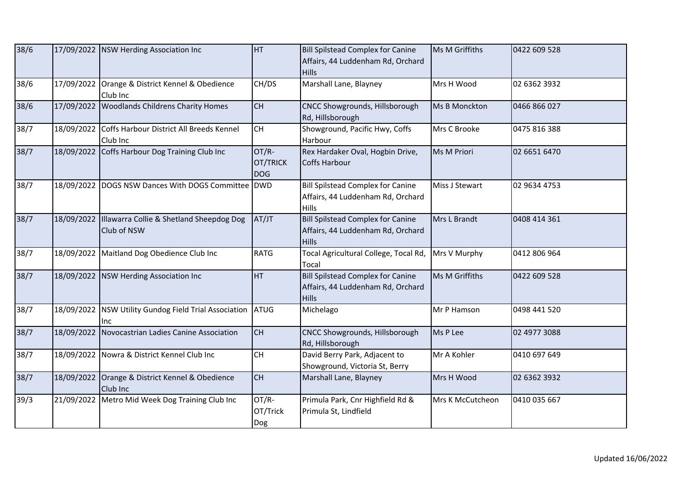| $38/6$ |            | 17/09/2022 NSW Herding Association Inc                      | <b>HT</b>                              | <b>Bill Spilstead Complex for Canine</b><br>Affairs, 44 Luddenham Rd, Orchard<br><b>Hills</b> | Ms M Griffiths   | 0422 609 528 |
|--------|------------|-------------------------------------------------------------|----------------------------------------|-----------------------------------------------------------------------------------------------|------------------|--------------|
| 38/6   |            | 17/09/2022 Orange & District Kennel & Obedience<br>Club Inc | CH/DS                                  | Marshall Lane, Blayney                                                                        | Mrs H Wood       | 02 6362 3932 |
| 38/6   | 17/09/2022 | <b>Woodlands Childrens Charity Homes</b>                    | <b>CH</b>                              | <b>CNCC Showgrounds, Hillsborough</b><br>Rd, Hillsborough                                     | Ms B Monckton    | 0466 866 027 |
| 38/7   | 18/09/2022 | Coffs Harbour District All Breeds Kennel<br>Club Inc        | <b>CH</b>                              | Showground, Pacific Hwy, Coffs<br>Harbour                                                     | Mrs C Brooke     | 0475 816 388 |
| 38/7   |            | 18/09/2022 Coffs Harbour Dog Training Club Inc              | OT/R-<br><b>OT/TRICK</b><br><b>DOG</b> | Rex Hardaker Oval, Hogbin Drive,<br><b>Coffs Harbour</b>                                      | Ms M Priori      | 02 6651 6470 |
| 38/7   |            | 18/09/2022 DOGS NSW Dances With DOGS Committee DWD          |                                        | <b>Bill Spilstead Complex for Canine</b><br>Affairs, 44 Luddenham Rd, Orchard<br><b>Hills</b> | Miss J Stewart   | 02 9634 4753 |
| 38/7   | 18/09/2022 | Illawarra Collie & Shetland Sheepdog Dog<br>Club of NSW     | AT/JT                                  | <b>Bill Spilstead Complex for Canine</b><br>Affairs, 44 Luddenham Rd, Orchard<br><b>Hills</b> | Mrs L Brandt     | 0408 414 361 |
| 38/7   |            | 18/09/2022 Maitland Dog Obedience Club Inc                  | <b>RATG</b>                            | Tocal Agricultural College, Tocal Rd,<br>Tocal                                                | Mrs V Murphy     | 0412 806 964 |
| 38/7   |            | 18/09/2022 NSW Herding Association Inc                      | <b>HT</b>                              | <b>Bill Spilstead Complex for Canine</b><br>Affairs, 44 Luddenham Rd, Orchard<br><b>Hills</b> | Ms M Griffiths   | 0422 609 528 |
| 38/7   | 18/09/2022 | NSW Utility Gundog Field Trial Association<br>Inc.          | ATUG                                   | Michelago                                                                                     | Mr P Hamson      | 0498 441 520 |
| 38/7   | 18/09/2022 | Novocastrian Ladies Canine Association                      | <b>CH</b>                              | CNCC Showgrounds, Hillsborough<br>Rd, Hillsborough                                            | Ms P Lee         | 02 4977 3088 |
| 38/7   |            | 18/09/2022 Nowra & District Kennel Club Inc                 | <b>CH</b>                              | David Berry Park, Adjacent to<br>Showground, Victoria St, Berry                               | Mr A Kohler      | 0410 697 649 |
| 38/7   |            | 18/09/2022 Orange & District Kennel & Obedience<br>Club Inc | <b>CH</b>                              | Marshall Lane, Blayney                                                                        | Mrs H Wood       | 02 6362 3932 |
| 39/3   |            | 21/09/2022 Metro Mid Week Dog Training Club Inc             | OT/R-<br>OT/Trick<br>Dog               | Primula Park, Cnr Highfield Rd &<br>Primula St, Lindfield                                     | Mrs K McCutcheon | 0410 035 667 |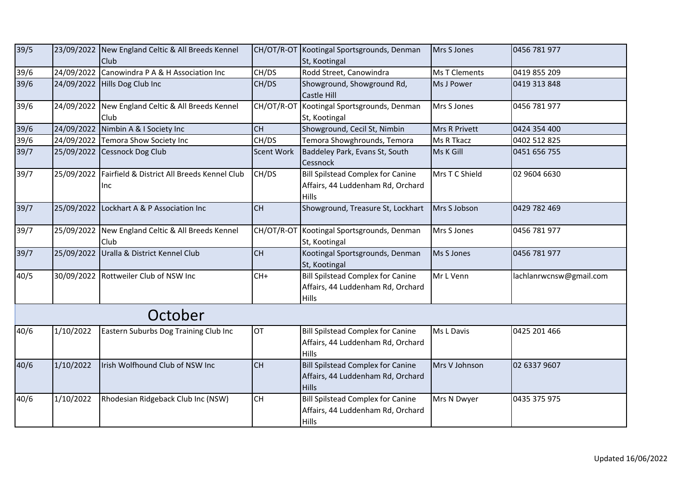| 39/5                             |            | 23/09/2022 New England Celtic & All Breeds Kennel<br>Club |                   | CH/OT/R-OT Kootingal Sportsgrounds, Denman<br>St, Kootingal                                   | Mrs S Jones          | 0456 781 977            |
|----------------------------------|------------|-----------------------------------------------------------|-------------------|-----------------------------------------------------------------------------------------------|----------------------|-------------------------|
| 39/6                             | 24/09/2022 | Canowindra P A & H Association Inc                        | CH/DS             | Rodd Street, Canowindra                                                                       | <b>Ms T Clements</b> | 0419 855 209            |
| 39/6                             |            | 24/09/2022 Hills Dog Club Inc                             | CH/DS             | Showground, Showground Rd,<br>Castle Hill                                                     | Ms J Power           | 0419 313 848            |
| $39/6$                           | 24/09/2022 | New England Celtic & All Breeds Kennel<br>Club            | CH/OT/R-OT        | Kootingal Sportsgrounds, Denman<br>St, Kootingal                                              | Mrs S Jones          | 0456 781 977            |
| $\frac{1}{39/6}$                 | 24/09/2022 | Nimbin A & I Society Inc                                  | <b>CH</b>         | Showground, Cecil St, Nimbin                                                                  | Mrs R Privett        | 0424 354 400            |
| $\frac{39}{6}$<br>$\frac{39}{7}$ |            | 24/09/2022 Temora Show Society Inc                        | CH/DS             | Temora Showghrounds, Temora                                                                   | Ms R Tkacz           | 0402 512 825            |
|                                  | 25/09/2022 | Cessnock Dog Club                                         | <b>Scent Work</b> | Baddeley Park, Evans St, South<br>Cessnock                                                    | Ms K Gill            | 0451 656 755            |
| 39/7                             | 25/09/2022 | Fairfield & District All Breeds Kennel Club<br>Inc        | CH/DS             | <b>Bill Spilstead Complex for Canine</b><br>Affairs, 44 Luddenham Rd, Orchard<br><b>Hills</b> | Mrs T C Shield       | 02 9604 6630            |
| 39/7                             | 25/09/2022 | Lockhart A & P Association Inc                            | <b>CH</b>         | Showground, Treasure St, Lockhart                                                             | Mrs S Jobson         | 0429 782 469            |
| 39/7                             | 25/09/2022 | New England Celtic & All Breeds Kennel<br>Club            | CH/OT/R-OT        | Kootingal Sportsgrounds, Denman<br>St, Kootingal                                              | Mrs S Jones          | 0456 781 977            |
| 39/7                             |            | 25/09/2022 Uralla & District Kennel Club                  | <b>CH</b>         | Kootingal Sportsgrounds, Denman<br>St, Kootingal                                              | Ms S Jones           | 0456 781 977            |
| 40/5                             |            | 30/09/2022 Rottweiler Club of NSW Inc                     | $CH+$             | <b>Bill Spilstead Complex for Canine</b><br>Affairs, 44 Luddenham Rd, Orchard<br>Hills        | Mr L Venn            | lachlanrwcnsw@gmail.com |
|                                  |            | October                                                   |                   |                                                                                               |                      |                         |
| 40/6                             | 1/10/2022  | Eastern Suburbs Dog Training Club Inc                     | <b>OT</b>         | <b>Bill Spilstead Complex for Canine</b><br>Affairs, 44 Luddenham Rd, Orchard<br>Hills        | Ms L Davis           | 0425 201 466            |
| 40/6                             | 1/10/2022  | Irish Wolfhound Club of NSW Inc                           | <b>CH</b>         | <b>Bill Spilstead Complex for Canine</b><br>Affairs, 44 Luddenham Rd, Orchard<br><b>Hills</b> | Mrs V Johnson        | 02 6337 9607            |
| 40/6                             | 1/10/2022  | Rhodesian Ridgeback Club Inc (NSW)                        | <b>CH</b>         | <b>Bill Spilstead Complex for Canine</b><br>Affairs, 44 Luddenham Rd, Orchard<br><b>Hills</b> | Mrs N Dwyer          | 0435 375 975            |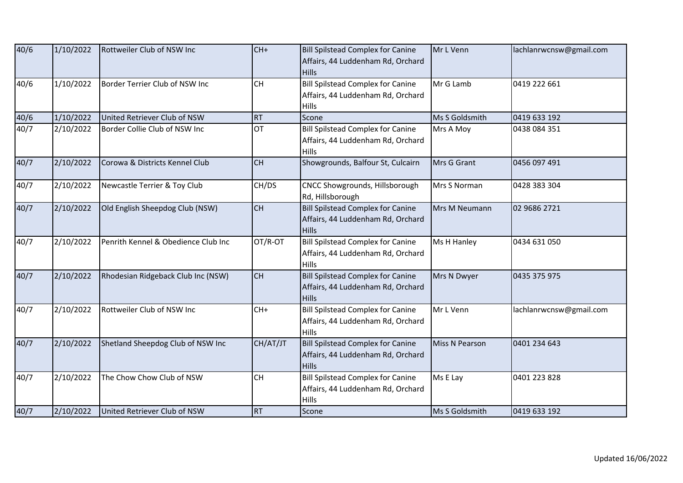| 40/6              | 1/10/2022 | Rottweiler Club of NSW Inc          | $CH+$     | <b>Bill Spilstead Complex for Canine</b><br>Affairs, 44 Luddenham Rd, Orchard<br><b>Hills</b> | Mr L Venn      | lachlanrwcnsw@gmail.com |
|-------------------|-----------|-------------------------------------|-----------|-----------------------------------------------------------------------------------------------|----------------|-------------------------|
| 40/6              | 1/10/2022 | Border Terrier Club of NSW Inc      | <b>CH</b> | <b>Bill Spilstead Complex for Canine</b><br>Affairs, 44 Luddenham Rd, Orchard<br><b>Hills</b> | Mr G Lamb      | 0419 222 661            |
| 40/6              | 1/10/2022 | United Retriever Club of NSW        | <b>RT</b> | Scone                                                                                         | Ms S Goldsmith | 0419 633 192            |
| 40/7              | 2/10/2022 | Border Collie Club of NSW Inc       | <b>OT</b> | <b>Bill Spilstead Complex for Canine</b><br>Affairs, 44 Luddenham Rd, Orchard<br><b>Hills</b> | Mrs A Moy      | 0438 084 351            |
| 40/7              | 2/10/2022 | Corowa & Districts Kennel Club      | <b>CH</b> | Showgrounds, Balfour St, Culcairn                                                             | Mrs G Grant    | 0456 097 491            |
| 40/7              | 2/10/2022 | Newcastle Terrier & Toy Club        | CH/DS     | CNCC Showgrounds, Hillsborough<br>Rd, Hillsborough                                            | Mrs S Norman   | 0428 383 304            |
| 40/7              | 2/10/2022 | Old English Sheepdog Club (NSW)     | <b>CH</b> | <b>Bill Spilstead Complex for Canine</b><br>Affairs, 44 Luddenham Rd, Orchard<br><b>Hills</b> | Mrs M Neumann  | 02 9686 2721            |
| 40/7              | 2/10/2022 | Penrith Kennel & Obedience Club Inc | OT/R-OT   | <b>Bill Spilstead Complex for Canine</b><br>Affairs, 44 Luddenham Rd, Orchard<br>Hills        | Ms H Hanley    | 0434 631 050            |
| $\overline{40}/7$ | 2/10/2022 | Rhodesian Ridgeback Club Inc (NSW)  | <b>CH</b> | <b>Bill Spilstead Complex for Canine</b><br>Affairs, 44 Luddenham Rd, Orchard<br><b>Hills</b> | Mrs N Dwyer    | 0435 375 975            |
| 40/7              | 2/10/2022 | Rottweiler Club of NSW Inc          | $CH+$     | <b>Bill Spilstead Complex for Canine</b><br>Affairs, 44 Luddenham Rd, Orchard<br><b>Hills</b> | Mr L Venn      | lachlanrwcnsw@gmail.com |
| 40/7              | 2/10/2022 | Shetland Sheepdog Club of NSW Inc   | CH/AT/JT  | <b>Bill Spilstead Complex for Canine</b><br>Affairs, 44 Luddenham Rd, Orchard<br><b>Hills</b> | Miss N Pearson | 0401 234 643            |
| 40/7              | 2/10/2022 | The Chow Chow Club of NSW           | <b>CH</b> | <b>Bill Spilstead Complex for Canine</b><br>Affairs, 44 Luddenham Rd, Orchard<br><b>Hills</b> | Ms E Lay       | 0401 223 828            |
| 40/7              | 2/10/2022 | United Retriever Club of NSW        | <b>RT</b> | Scone                                                                                         | Ms S Goldsmith | 0419 633 192            |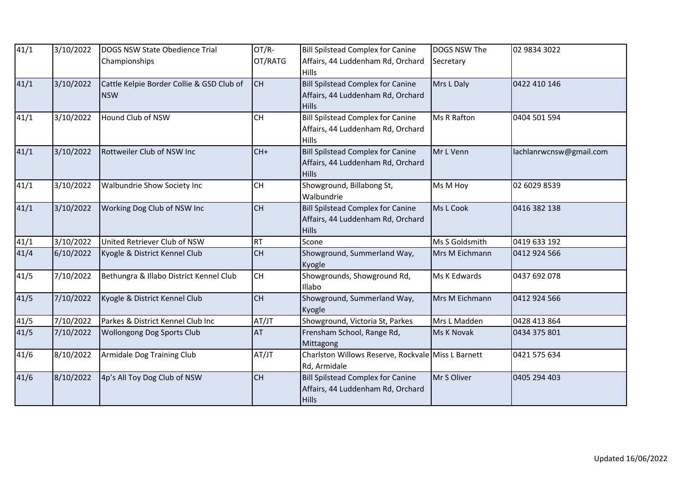| 41/1 | 3/10/2022 | DOGS NSW State Obedience Trial            | OT/R-     | <b>Bill Spilstead Complex for Canine</b>           | DOGS NSW The   | 02 9834 3022            |
|------|-----------|-------------------------------------------|-----------|----------------------------------------------------|----------------|-------------------------|
|      |           | Championships                             | OT/RATG   | Affairs, 44 Luddenham Rd, Orchard                  | Secretary      |                         |
|      |           |                                           |           | <b>Hills</b>                                       |                |                         |
| 41/1 | 3/10/2022 | Cattle Kelpie Border Collie & GSD Club of | <b>CH</b> | <b>Bill Spilstead Complex for Canine</b>           | Mrs L Daly     | 0422 410 146            |
|      |           | <b>NSW</b>                                |           | Affairs, 44 Luddenham Rd, Orchard                  |                |                         |
|      |           |                                           |           | <b>Hills</b>                                       |                |                         |
| 41/1 | 3/10/2022 | Hound Club of NSW                         | <b>CH</b> | <b>Bill Spilstead Complex for Canine</b>           | Ms R Rafton    | 0404 501 594            |
|      |           |                                           |           | Affairs, 44 Luddenham Rd, Orchard                  |                |                         |
|      |           |                                           |           | <b>Hills</b>                                       |                |                         |
| 41/1 | 3/10/2022 | Rottweiler Club of NSW Inc                | $CH+$     | <b>Bill Spilstead Complex for Canine</b>           | Mr L Venn      | lachlanrwcnsw@gmail.com |
|      |           |                                           |           | Affairs, 44 Luddenham Rd, Orchard                  |                |                         |
|      |           |                                           |           | <b>Hills</b>                                       |                |                         |
| 41/1 | 3/10/2022 | Walbundrie Show Society Inc               | <b>CH</b> | Showground, Billabong St,                          | Ms M Hoy       | 02 6029 8539            |
|      |           |                                           |           | Walbundrie                                         |                |                         |
| 41/1 | 3/10/2022 | Working Dog Club of NSW Inc               | CH        | <b>Bill Spilstead Complex for Canine</b>           | Ms L Cook      | 0416 382 138            |
|      |           |                                           |           | Affairs, 44 Luddenham Rd, Orchard                  |                |                         |
|      |           |                                           |           | <b>Hills</b>                                       |                |                         |
| 41/1 | 3/10/2022 | United Retriever Club of NSW              | <b>RT</b> | Scone                                              | Ms S Goldsmith | 0419 633 192            |
| 41/4 | 6/10/2022 | Kyogle & District Kennel Club             | <b>CH</b> | Showground, Summerland Way,                        | Mrs M Eichmann | 0412 924 566            |
|      |           |                                           |           | Kyogle                                             |                |                         |
| 41/5 | 7/10/2022 | Bethungra & Illabo District Kennel Club   | <b>CH</b> | Showgrounds, Showground Rd,                        | Ms K Edwards   | 0437 692 078            |
|      |           |                                           |           | Illabo                                             |                |                         |
| 41/5 | 7/10/2022 | Kyogle & District Kennel Club             | CH        | Showground, Summerland Way,                        | Mrs M Eichmann | 0412 924 566            |
|      |           |                                           |           | Kyogle                                             |                |                         |
| 41/5 | 7/10/2022 | Parkes & District Kennel Club Inc         | AT/JT     | Showground, Victoria St, Parkes                    | Mrs L Madden   | 0428 413 864            |
| 41/5 | 7/10/2022 | <b>Wollongong Dog Sports Club</b>         | AT        | Frensham School, Range Rd,                         | Ms K Novak     | 0434 375 801            |
|      |           |                                           |           | Mittagong                                          |                |                         |
| 41/6 | 8/10/2022 | Armidale Dog Training Club                | AT/JT     | Charlston Willows Reserve, Rockvale Miss L Barnett |                | 0421 575 634            |
|      |           |                                           |           | Rd, Armidale                                       |                |                         |
| 41/6 | 8/10/2022 | 4p's All Toy Dog Club of NSW              | <b>CH</b> | <b>Bill Spilstead Complex for Canine</b>           | Mr S Oliver    | 0405 294 403            |
|      |           |                                           |           | Affairs, 44 Luddenham Rd, Orchard                  |                |                         |
|      |           |                                           |           | <b>Hills</b>                                       |                |                         |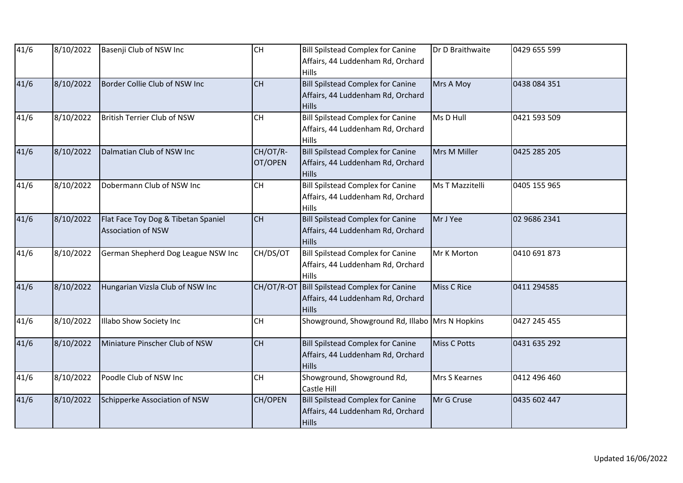| 41/6 | 8/10/2022 | Basenji Club of NSW Inc                                          | <b>CH</b>           | <b>Bill Spilstead Complex for Canine</b><br>Affairs, 44 Luddenham Rd, Orchard<br><b>Hills</b> | Dr D Braithwaite    | 0429 655 599 |
|------|-----------|------------------------------------------------------------------|---------------------|-----------------------------------------------------------------------------------------------|---------------------|--------------|
| 41/6 | 8/10/2022 | Border Collie Club of NSW Inc                                    | <b>CH</b>           | <b>Bill Spilstead Complex for Canine</b><br>Affairs, 44 Luddenham Rd, Orchard<br><b>Hills</b> | Mrs A Moy           | 0438 084 351 |
| 41/6 | 8/10/2022 | British Terrier Club of NSW                                      | CH                  | <b>Bill Spilstead Complex for Canine</b><br>Affairs, 44 Luddenham Rd, Orchard<br>Hills        | Ms D Hull           | 0421 593 509 |
| 41/6 | 8/10/2022 | Dalmatian Club of NSW Inc                                        | CH/OT/R-<br>OT/OPEN | <b>Bill Spilstead Complex for Canine</b><br>Affairs, 44 Luddenham Rd, Orchard<br><b>Hills</b> | Mrs M Miller        | 0425 285 205 |
| 41/6 | 8/10/2022 | Dobermann Club of NSW Inc                                        | CH                  | <b>Bill Spilstead Complex for Canine</b><br>Affairs, 44 Luddenham Rd, Orchard<br><b>Hills</b> | Ms T Mazzitelli     | 0405 155 965 |
| 41/6 | 8/10/2022 | Flat Face Toy Dog & Tibetan Spaniel<br><b>Association of NSW</b> | CH                  | <b>Bill Spilstead Complex for Canine</b><br>Affairs, 44 Luddenham Rd, Orchard<br><b>Hills</b> | Mr J Yee            | 02 9686 2341 |
| 41/6 | 8/10/2022 | German Shepherd Dog League NSW Inc                               | CH/DS/OT            | <b>Bill Spilstead Complex for Canine</b><br>Affairs, 44 Luddenham Rd, Orchard<br><b>Hills</b> | Mr K Morton         | 0410 691 873 |
| 41/6 | 8/10/2022 | Hungarian Vizsla Club of NSW Inc                                 | CH/OT/R-OT          | <b>Bill Spilstead Complex for Canine</b><br>Affairs, 44 Luddenham Rd, Orchard<br><b>Hills</b> | <b>Miss C Rice</b>  | 0411 294585  |
| 41/6 | 8/10/2022 | Illabo Show Society Inc                                          | CH                  | Showground, Showground Rd, Illabo Mrs N Hopkins                                               |                     | 0427 245 455 |
| 41/6 | 8/10/2022 | Miniature Pinscher Club of NSW                                   | CH                  | <b>Bill Spilstead Complex for Canine</b><br>Affairs, 44 Luddenham Rd, Orchard<br><b>Hills</b> | <b>Miss C Potts</b> | 0431 635 292 |
| 41/6 | 8/10/2022 | Poodle Club of NSW Inc                                           | CH                  | Showground, Showground Rd,<br>Castle Hill                                                     | Mrs S Kearnes       | 0412 496 460 |
| 41/6 | 8/10/2022 | Schipperke Association of NSW                                    | CH/OPEN             | <b>Bill Spilstead Complex for Canine</b><br>Affairs, 44 Luddenham Rd, Orchard<br><b>Hills</b> | Mr G Cruse          | 0435 602 447 |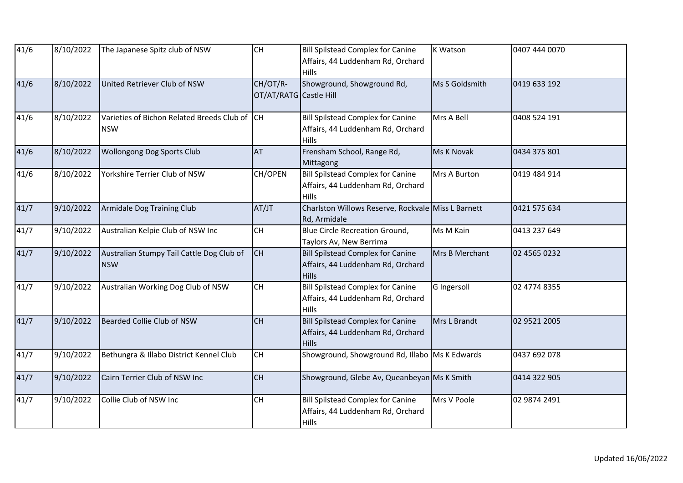| 41/6              | 8/10/2022 | The Japanese Spitz club of NSW                              | <b>CH</b>                          | <b>Bill Spilstead Complex for Canine</b><br>Affairs, 44 Luddenham Rd, Orchard<br><b>Hills</b> | <b>K Watson</b> | 0407 444 0070 |
|-------------------|-----------|-------------------------------------------------------------|------------------------------------|-----------------------------------------------------------------------------------------------|-----------------|---------------|
| 41/6              | 8/10/2022 | United Retriever Club of NSW                                | CH/OT/R-<br>OT/AT/RATG Castle Hill | Showground, Showground Rd,                                                                    | Ms S Goldsmith  | 0419 633 192  |
| 41/6              | 8/10/2022 | Varieties of Bichon Related Breeds Club of CH<br><b>NSW</b> |                                    | <b>Bill Spilstead Complex for Canine</b><br>Affairs, 44 Luddenham Rd, Orchard<br><b>Hills</b> | Mrs A Bell      | 0408 524 191  |
| 41/6              | 8/10/2022 | Wollongong Dog Sports Club                                  | AT                                 | Frensham School, Range Rd,<br>Mittagong                                                       | Ms K Novak      | 0434 375 801  |
| 41/6              | 8/10/2022 | Yorkshire Terrier Club of NSW                               | CH/OPEN                            | <b>Bill Spilstead Complex for Canine</b><br>Affairs, 44 Luddenham Rd, Orchard<br>Hills        | Mrs A Burton    | 0419 484 914  |
| 41/7              | 9/10/2022 | Armidale Dog Training Club                                  | AT/JT                              | Charlston Willows Reserve, Rockvale Miss L Barnett<br>Rd, Armidale                            |                 | 0421 575 634  |
| 41/7              | 9/10/2022 | Australian Kelpie Club of NSW Inc                           | <b>CH</b>                          | <b>Blue Circle Recreation Ground,</b><br>Taylors Av, New Berrima                              | Ms M Kain       | 0413 237 649  |
| 41/7              | 9/10/2022 | Australian Stumpy Tail Cattle Dog Club of<br><b>NSW</b>     | Iсн                                | <b>Bill Spilstead Complex for Canine</b><br>Affairs, 44 Luddenham Rd, Orchard<br><b>Hills</b> | Mrs B Merchant  | 02 4565 0232  |
| 41/7              | 9/10/2022 | Australian Working Dog Club of NSW                          | <b>CH</b>                          | <b>Bill Spilstead Complex for Canine</b><br>Affairs, 44 Luddenham Rd, Orchard<br>Hills        | G Ingersoll     | 02 4774 8355  |
| 41/7              | 9/10/2022 | Bearded Collie Club of NSW                                  | CH                                 | <b>Bill Spilstead Complex for Canine</b><br>Affairs, 44 Luddenham Rd, Orchard<br><b>Hills</b> | Mrs L Brandt    | 02 9521 2005  |
| $\frac{1}{41}$ /7 | 9/10/2022 | Bethungra & Illabo District Kennel Club                     | <b>CH</b>                          | Showground, Showground Rd, Illabo Ms K Edwards                                                |                 | 0437 692 078  |
| 41/7              | 9/10/2022 | Cairn Terrier Club of NSW Inc                               | <b>CH</b>                          | Showground, Glebe Av, Queanbeyan Ms K Smith                                                   |                 | 0414 322 905  |
| 41/7              | 9/10/2022 | Collie Club of NSW Inc                                      | <b>CH</b>                          | <b>Bill Spilstead Complex for Canine</b><br>Affairs, 44 Luddenham Rd, Orchard<br><b>Hills</b> | Mrs V Poole     | 02 9874 2491  |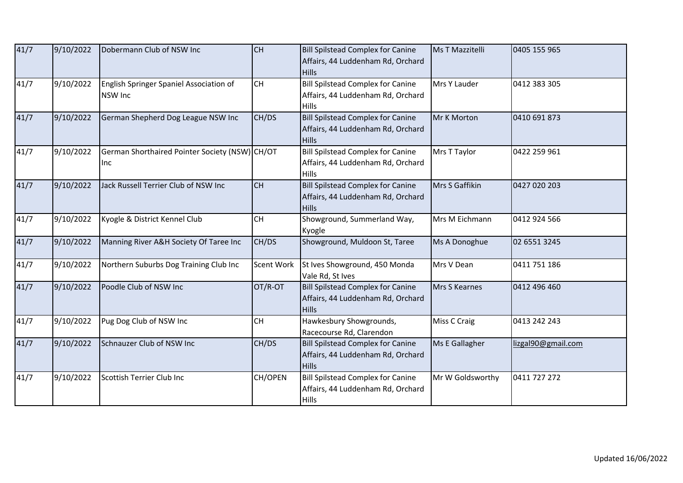| 41/7 | 9/10/2022 | Dobermann Club of NSW Inc                                 | <b>CH</b>  | <b>Bill Spilstead Complex for Canine</b><br>Affairs, 44 Luddenham Rd, Orchard<br><b>Hills</b> | <b>Ms T Mazzitelli</b> | 0405 155 965       |
|------|-----------|-----------------------------------------------------------|------------|-----------------------------------------------------------------------------------------------|------------------------|--------------------|
| 41/7 | 9/10/2022 | English Springer Spaniel Association of<br><b>NSW Inc</b> | CH         | <b>Bill Spilstead Complex for Canine</b><br>Affairs, 44 Luddenham Rd, Orchard<br><b>Hills</b> | Mrs Y Lauder           | 0412 383 305       |
| 41/7 | 9/10/2022 | German Shepherd Dog League NSW Inc                        | CH/DS      | <b>Bill Spilstead Complex for Canine</b><br>Affairs, 44 Luddenham Rd, Orchard<br><b>Hills</b> | Mr K Morton            | 0410 691 873       |
| 41/7 | 9/10/2022 | German Shorthaired Pointer Society (NSW) CH/OT<br>Inc     |            | <b>Bill Spilstead Complex for Canine</b><br>Affairs, 44 Luddenham Rd, Orchard<br><b>Hills</b> | Mrs T Taylor           | 0422 259 961       |
| 41/7 | 9/10/2022 | Jack Russell Terrier Club of NSW Inc                      | <b>CH</b>  | <b>Bill Spilstead Complex for Canine</b><br>Affairs, 44 Luddenham Rd, Orchard<br><b>Hills</b> | Mrs S Gaffikin         | 0427 020 203       |
| 41/7 | 9/10/2022 | Kyogle & District Kennel Club                             | CH         | Showground, Summerland Way,<br>Kyogle                                                         | Mrs M Eichmann         | 0412 924 566       |
| 41/7 | 9/10/2022 | Manning River A&H Society Of Taree Inc                    | CH/DS      | Showground, Muldoon St, Taree                                                                 | Ms A Donoghue          | 02 6551 3245       |
| 41/7 | 9/10/2022 | Northern Suburbs Dog Training Club Inc                    | Scent Work | St Ives Showground, 450 Monda<br>Vale Rd, St Ives                                             | Mrs V Dean             | 0411 751 186       |
| 41/7 | 9/10/2022 | Poodle Club of NSW Inc                                    | OT/R-OT    | <b>Bill Spilstead Complex for Canine</b><br>Affairs, 44 Luddenham Rd, Orchard<br><b>Hills</b> | Mrs S Kearnes          | 0412 496 460       |
| 41/7 | 9/10/2022 | Pug Dog Club of NSW Inc                                   | <b>CH</b>  | Hawkesbury Showgrounds,<br>Racecourse Rd, Clarendon                                           | Miss C Craig           | 0413 242 243       |
| 41/7 | 9/10/2022 | Schnauzer Club of NSW Inc                                 | CH/DS      | <b>Bill Spilstead Complex for Canine</b><br>Affairs, 44 Luddenham Rd, Orchard<br><b>Hills</b> | Ms E Gallagher         | lizgal90@gmail.com |
| 41/7 | 9/10/2022 | Scottish Terrier Club Inc                                 | CH/OPEN    | Bill Spilstead Complex for Canine<br>Affairs, 44 Luddenham Rd, Orchard<br><b>Hills</b>        | Mr W Goldsworthy       | 0411 727 272       |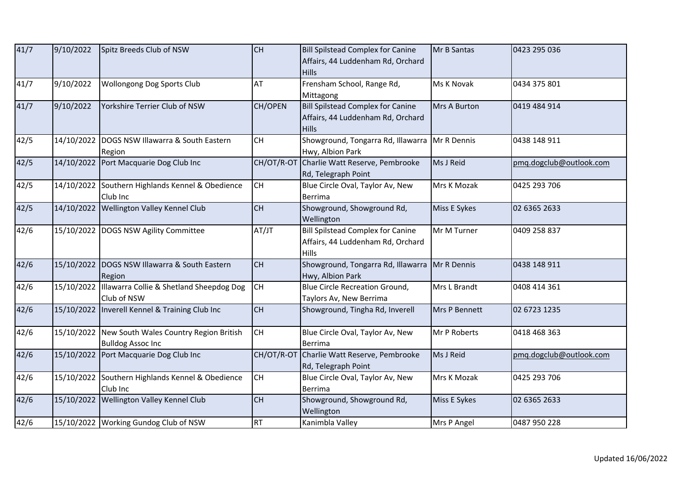| 41/7 | 9/10/2022  | Spitz Breeds Club of NSW                                                      | <b>CH</b>  | <b>Bill Spilstead Complex for Canine</b><br>Affairs, 44 Luddenham Rd, Orchard<br><b>Hills</b> | Mr B Santas         | 0423 295 036            |
|------|------------|-------------------------------------------------------------------------------|------------|-----------------------------------------------------------------------------------------------|---------------------|-------------------------|
| 41/7 | 9/10/2022  | <b>Wollongong Dog Sports Club</b>                                             | AT         | Frensham School, Range Rd,<br>Mittagong                                                       | Ms K Novak          | 0434 375 801            |
| 41/7 | 9/10/2022  | Yorkshire Terrier Club of NSW                                                 | CH/OPEN    | <b>Bill Spilstead Complex for Canine</b><br>Affairs, 44 Luddenham Rd, Orchard<br><b>Hills</b> | <b>Mrs A Burton</b> | 0419 484 914            |
| 42/5 |            | 14/10/2022 DOGS NSW Illawarra & South Eastern<br>Region                       | <b>CH</b>  | Showground, Tongarra Rd, Illawarra<br>Hwy, Albion Park                                        | Mr R Dennis         | 0438 148 911            |
| 42/5 |            | 14/10/2022 Port Macquarie Dog Club Inc                                        | CH/OT/R-OT | Charlie Watt Reserve, Pembrooke<br>Rd, Telegraph Point                                        | Ms J Reid           | pmg.dogclub@outlook.com |
| 42/5 |            | 14/10/2022 Southern Highlands Kennel & Obedience<br>Club Inc                  | <b>CH</b>  | Blue Circle Oval, Taylor Av, New<br><b>Berrima</b>                                            | Mrs K Mozak         | 0425 293 706            |
| 42/5 |            | 14/10/2022 Wellington Valley Kennel Club                                      | <b>CH</b>  | Showground, Showground Rd,<br>Wellington                                                      | Miss E Sykes        | 02 6365 2633            |
| 42/6 |            | 15/10/2022 DOGS NSW Agility Committee                                         | AT/JT      | <b>Bill Spilstead Complex for Canine</b><br>Affairs, 44 Luddenham Rd, Orchard<br>Hills        | Mr M Turner         | 0409 258 837            |
| 42/6 |            | 15/10/2022 DOGS NSW Illawarra & South Eastern<br>Region                       | CH         | Showground, Tongarra Rd, Illawarra<br>Hwy, Albion Park                                        | Mr R Dennis         | 0438 148 911            |
| 42/6 | 15/10/2022 | Illawarra Collie & Shetland Sheepdog Dog<br>Club of NSW                       | <b>CH</b>  | <b>Blue Circle Recreation Ground,</b><br>Taylors Av, New Berrima                              | Mrs L Brandt        | 0408 414 361            |
| 42/6 |            | 15/10/2022  Inverell Kennel & Training Club Inc                               | <b>CH</b>  | Showground, Tingha Rd, Inverell                                                               | Mrs P Bennett       | 02 6723 1235            |
| 42/6 |            | 15/10/2022 New South Wales Country Region British<br><b>Bulldog Assoc Inc</b> | <b>CH</b>  | Blue Circle Oval, Taylor Av, New<br><b>Berrima</b>                                            | Mr P Roberts        | 0418 468 363            |
| 42/6 | 15/10/2022 | Port Macquarie Dog Club Inc                                                   | CH/OT/R-OT | Charlie Watt Reserve, Pembrooke<br>Rd, Telegraph Point                                        | Ms J Reid           | pmq.dogclub@outlook.com |
| 42/6 |            | 15/10/2022 Southern Highlands Kennel & Obedience<br>Club Inc                  | <b>CH</b>  | Blue Circle Oval, Taylor Av, New<br>Berrima                                                   | Mrs K Mozak         | 0425 293 706            |
| 42/6 | 15/10/2022 | Wellington Valley Kennel Club                                                 | <b>CH</b>  | Showground, Showground Rd,<br>Wellington                                                      | Miss E Sykes        | 02 6365 2633            |
| 42/6 |            | 15/10/2022 Working Gundog Club of NSW                                         | <b>RT</b>  | Kanimbla Valley                                                                               | Mrs P Angel         | 0487 950 228            |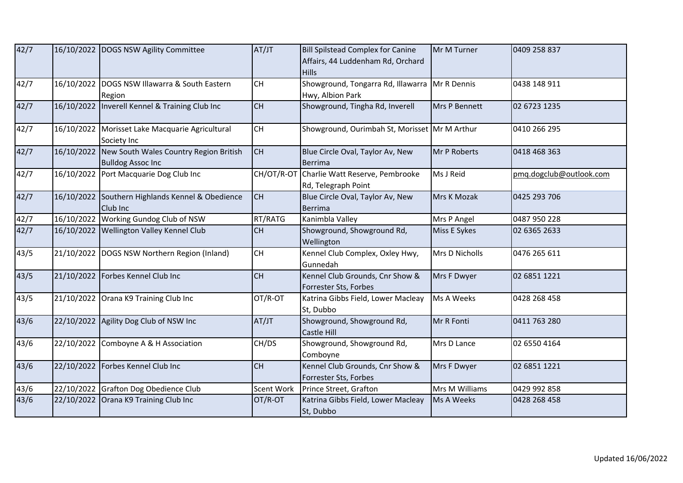| 42/7 |            | 16/10/2022 DOGS NSW Agility Committee                              | AT/JT      | <b>Bill Spilstead Complex for Canine</b><br>Affairs, 44 Luddenham Rd, Orchard<br><b>Hills</b> | Mr M Turner    | 0409 258 837            |
|------|------------|--------------------------------------------------------------------|------------|-----------------------------------------------------------------------------------------------|----------------|-------------------------|
| 42/7 |            | 16/10/2022 DOGS NSW Illawarra & South Eastern<br>Region            | <b>CH</b>  | Showground, Tongarra Rd, Illawarra<br>Hwy, Albion Park                                        | Mr R Dennis    | 0438 148 911            |
| 42/7 |            | 16/10/2022  Inverell Kennel & Training Club Inc                    | <b>CH</b>  | Showground, Tingha Rd, Inverell                                                               | Mrs P Bennett  | 02 6723 1235            |
| 42/7 |            | 16/10/2022 Morisset Lake Macquarie Agricultural<br>Society Inc     | <b>CH</b>  | Showground, Ourimbah St, Morisset Mr M Arthur                                                 |                | 0410 266 295            |
| 42/7 | 16/10/2022 | New South Wales Country Region British<br><b>Bulldog Assoc Inc</b> | <b>CH</b>  | Blue Circle Oval, Taylor Av, New<br>Berrima                                                   | Mr P Roberts   | 0418 468 363            |
| 42/7 |            | 16/10/2022 Port Macquarie Dog Club Inc                             | CH/OT/R-OT | Charlie Watt Reserve, Pembrooke<br>Rd, Telegraph Point                                        | Ms J Reid      | pmg.dogclub@outlook.com |
| 42/7 |            | 16/10/2022 Southern Highlands Kennel & Obedience<br>Club Inc       | <b>CH</b>  | Blue Circle Oval, Taylor Av, New<br>Berrima                                                   | Mrs K Mozak    | 0425 293 706            |
| 42/7 |            | 16/10/2022 Working Gundog Club of NSW                              | RT/RATG    | Kanimbla Valley                                                                               | Mrs P Angel    | 0487 950 228            |
| 42/7 |            | 16/10/2022 Wellington Valley Kennel Club                           | <b>CH</b>  | Showground, Showground Rd,<br>Wellington                                                      | Miss E Sykes   | 02 6365 2633            |
| 43/5 |            | 21/10/2022 DOGS NSW Northern Region (Inland)                       | <b>CH</b>  | Kennel Club Complex, Oxley Hwy,<br>Gunnedah                                                   | Mrs D Nicholls | 0476 265 611            |
| 43/5 |            | 21/10/2022 Forbes Kennel Club Inc                                  | CH         | Kennel Club Grounds, Cnr Show &<br>Forrester Sts, Forbes                                      | Mrs F Dwyer    | 02 6851 1221            |
| 43/5 |            | 21/10/2022 Orana K9 Training Club Inc                              | OT/R-OT    | Katrina Gibbs Field, Lower Macleay<br>St, Dubbo                                               | Ms A Weeks     | 0428 268 458            |
| 43/6 |            | 22/10/2022 Agility Dog Club of NSW Inc                             | AT/JT      | Showground, Showground Rd,<br>Castle Hill                                                     | Mr R Fonti     | 0411 763 280            |
| 43/6 |            | 22/10/2022 Comboyne A & H Association                              | CH/DS      | Showground, Showground Rd,<br>Comboyne                                                        | Mrs D Lance    | 02 6550 4164            |
| 43/6 |            | 22/10/2022 Forbes Kennel Club Inc                                  | <b>CH</b>  | Kennel Club Grounds, Cnr Show &<br>Forrester Sts, Forbes                                      | Mrs F Dwyer    | 02 6851 1221            |
| 43/6 |            | 22/10/2022 Grafton Dog Obedience Club                              | Scent Work | Prince Street, Grafton                                                                        | Mrs M Williams | 0429 992 858            |
| 43/6 |            | 22/10/2022 Orana K9 Training Club Inc                              | OT/R-OT    | Katrina Gibbs Field, Lower Macleay<br>St, Dubbo                                               | Ms A Weeks     | 0428 268 458            |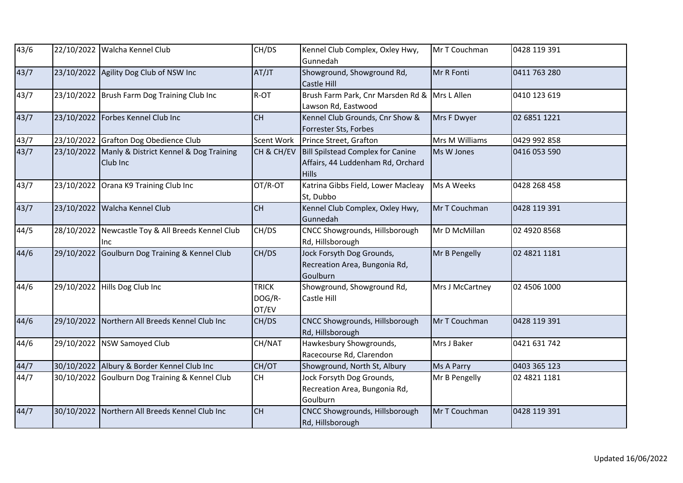| 43/6          |            | 22/10/2022 Walcha Kennel Club                                 | CH/DS                           | Kennel Club Complex, Oxley Hwy,<br>Gunnedah                                            | Mr T Couchman   | 0428 119 391 |
|---------------|------------|---------------------------------------------------------------|---------------------------------|----------------------------------------------------------------------------------------|-----------------|--------------|
| 43/7          |            | 23/10/2022 Agility Dog Club of NSW Inc                        | AT/JT                           | Showground, Showground Rd,<br>Castle Hill                                              | Mr R Fonti      | 0411 763 280 |
| 43/7          |            | 23/10/2022 Brush Farm Dog Training Club Inc                   | R-OT                            | Brush Farm Park, Cnr Marsden Rd & Mrs L Allen<br>Lawson Rd, Eastwood                   |                 | 0410 123 619 |
| 43/7          | 23/10/2022 | Forbes Kennel Club Inc                                        | CH                              | Kennel Club Grounds, Cnr Show &<br>Forrester Sts, Forbes                               | Mrs F Dwyer     | 02 6851 1221 |
| 43/7          |            | 23/10/2022 Grafton Dog Obedience Club                         | Scent Work                      | Prince Street, Grafton                                                                 | Mrs M Williams  | 0429 992 858 |
| 43/7          |            | 23/10/2022 Manly & District Kennel & Dog Training<br>Club Inc | CH & CH/EV                      | Bill Spilstead Complex for Canine<br>Affairs, 44 Luddenham Rd, Orchard<br><b>Hills</b> | Ms W Jones      | 0416 053 590 |
| $\sqrt{43}/7$ | 23/10/2022 | Orana K9 Training Club Inc                                    | OT/R-OT                         | Katrina Gibbs Field, Lower Macleay<br>St, Dubbo                                        | Ms A Weeks      | 0428 268 458 |
| 43/7          |            | 23/10/2022 Walcha Kennel Club                                 | <b>CH</b>                       | Kennel Club Complex, Oxley Hwy,<br>Gunnedah                                            | Mr T Couchman   | 0428 119 391 |
| 44/5          | 28/10/2022 | Newcastle Toy & All Breeds Kennel Club<br>Inc                 | CH/DS                           | CNCC Showgrounds, Hillsborough<br>Rd, Hillsborough                                     | Mr D McMillan   | 02 4920 8568 |
| 44/6          |            | 29/10/2022 Goulburn Dog Training & Kennel Club                | CH/DS                           | Jock Forsyth Dog Grounds,<br>Recreation Area, Bungonia Rd,<br>Goulburn                 | Mr B Pengelly   | 02 4821 1181 |
| 44/6          | 29/10/2022 | Hills Dog Club Inc                                            | <b>TRICK</b><br>DOG/R-<br>OT/EV | Showground, Showground Rd,<br>Castle Hill                                              | Mrs J McCartney | 02 4506 1000 |
| 44/6          |            | 29/10/2022 Northern All Breeds Kennel Club Inc                | CH/DS                           | CNCC Showgrounds, Hillsborough<br>Rd, Hillsborough                                     | Mr T Couchman   | 0428 119 391 |
| 44/6          | 29/10/2022 | <b>NSW Samoyed Club</b>                                       | CH/NAT                          | Hawkesbury Showgrounds,<br>Racecourse Rd, Clarendon                                    | Mrs J Baker     | 0421 631 742 |
| 44/7          |            | 30/10/2022 Albury & Border Kennel Club Inc                    | CH/OT                           | Showground, North St, Albury                                                           | Ms A Parry      | 0403 365 123 |
| 44/7          |            | 30/10/2022 Goulburn Dog Training & Kennel Club                | CH                              | Jock Forsyth Dog Grounds,<br>Recreation Area, Bungonia Rd,<br>Goulburn                 | Mr B Pengelly   | 02 4821 1181 |
| 44/7          | 30/10/2022 | Northern All Breeds Kennel Club Inc                           | <b>CH</b>                       | CNCC Showgrounds, Hillsborough<br>Rd, Hillsborough                                     | Mr T Couchman   | 0428 119 391 |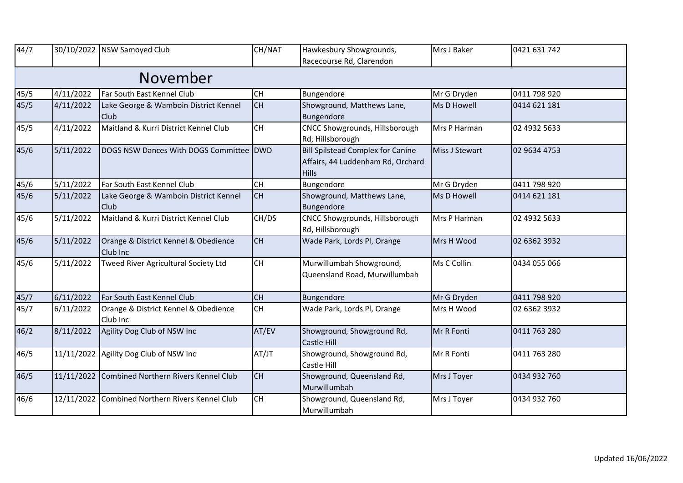| 44/7 |           | 30/10/2022   NSW Samoyed Club                        | CH/NAT    | Hawkesbury Showgrounds,<br>Racecourse Rd, Clarendon                                           | Mrs J Baker    | 0421 631 742 |
|------|-----------|------------------------------------------------------|-----------|-----------------------------------------------------------------------------------------------|----------------|--------------|
|      |           | November                                             |           |                                                                                               |                |              |
| 45/5 | 4/11/2022 | Far South East Kennel Club                           | <b>CH</b> | Bungendore                                                                                    | Mr G Dryden    | 0411 798 920 |
| 45/5 | 4/11/2022 | Lake George & Wamboin District Kennel<br>Club        | lсн       | Showground, Matthews Lane,<br>Bungendore                                                      | Ms D Howell    | 0414 621 181 |
| 45/5 | 4/11/2022 | Maitland & Kurri District Kennel Club                | <b>CH</b> | CNCC Showgrounds, Hillsborough<br>Rd, Hillsborough                                            | Mrs P Harman   | 02 4932 5633 |
| 45/6 | 5/11/2022 | DOGS NSW Dances With DOGS Committee DWD              |           | <b>Bill Spilstead Complex for Canine</b><br>Affairs, 44 Luddenham Rd, Orchard<br><b>Hills</b> | Miss J Stewart | 02 9634 4753 |
| 45/6 | 5/11/2022 | Far South East Kennel Club                           | <b>CH</b> | Bungendore                                                                                    | Mr G Dryden    | 0411 798 920 |
| 45/6 | 5/11/2022 | Lake George & Wamboin District Kennel<br><b>Club</b> | <b>CH</b> | Showground, Matthews Lane,<br>Bungendore                                                      | Ms D Howell    | 0414 621 181 |
| 45/6 | 5/11/2022 | Maitland & Kurri District Kennel Club                | CH/DS     | CNCC Showgrounds, Hillsborough<br>Rd, Hillsborough                                            | Mrs P Harman   | 02 4932 5633 |
| 45/6 | 5/11/2022 | Orange & District Kennel & Obedience<br>Club Inc     | <b>CH</b> | Wade Park, Lords Pl, Orange                                                                   | Mrs H Wood     | 02 6362 3932 |
| 45/6 | 5/11/2022 | Tweed River Agricultural Society Ltd                 | <b>CH</b> | Murwillumbah Showground,<br>Queensland Road, Murwillumbah                                     | Ms C Collin    | 0434 055 066 |
| 45/7 | 6/11/2022 | Far South East Kennel Club                           | <b>CH</b> | Bungendore                                                                                    | Mr G Dryden    | 0411 798 920 |
| 45/7 | 6/11/2022 | Orange & District Kennel & Obedience<br>Club Inc     | <b>CH</b> | Wade Park, Lords Pl, Orange                                                                   | Mrs H Wood     | 02 6362 3932 |
| 46/2 | 8/11/2022 | Agility Dog Club of NSW Inc                          | AT/EV     | Showground, Showground Rd,<br>Castle Hill                                                     | Mr R Fonti     | 0411 763 280 |
| 46/5 |           | 11/11/2022 Agility Dog Club of NSW Inc               | AT/JT     | Showground, Showground Rd,<br>Castle Hill                                                     | Mr R Fonti     | 0411 763 280 |
| 46/5 |           | 11/11/2022 Combined Northern Rivers Kennel Club      | <b>CH</b> | Showground, Queensland Rd,<br>Murwillumbah                                                    | Mrs J Toyer    | 0434 932 760 |
| 46/6 |           | 12/11/2022 Combined Northern Rivers Kennel Club      | <b>CH</b> | Showground, Queensland Rd,<br>Murwillumbah                                                    | Mrs J Toyer    | 0434 932 760 |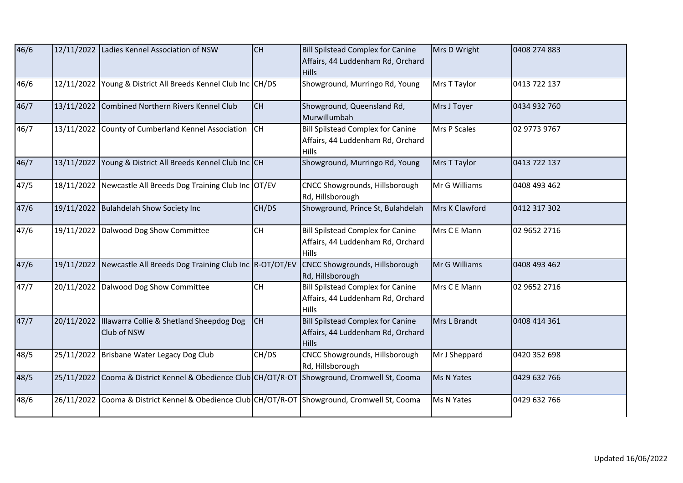| 46/6 |            | 12/11/2022 Ladies Kennel Association of NSW                      | <b>CH</b> | <b>Bill Spilstead Complex for Canine</b><br>Affairs, 44 Luddenham Rd, Orchard<br><b>Hills</b> | Mrs D Wright   | 0408 274 883 |
|------|------------|------------------------------------------------------------------|-----------|-----------------------------------------------------------------------------------------------|----------------|--------------|
| 46/6 | 12/11/2022 | Young & District All Breeds Kennel Club Inc CH/DS                |           | Showground, Murringo Rd, Young                                                                | Mrs T Taylor   | 0413 722 137 |
| 46/7 | 13/11/2022 | Combined Northern Rivers Kennel Club                             | <b>CH</b> | Showground, Queensland Rd,<br>Murwillumbah                                                    | Mrs J Toyer    | 0434 932 760 |
| 46/7 |            | 13/11/2022 County of Cumberland Kennel Association CH            |           | <b>Bill Spilstead Complex for Canine</b><br>Affairs, 44 Luddenham Rd, Orchard<br>Hills        | Mrs P Scales   | 02 9773 9767 |
| 46/7 | 13/11/2022 | Young & District All Breeds Kennel Club Inc CH                   |           | Showground, Murringo Rd, Young                                                                | Mrs T Taylor   | 0413 722 137 |
| 47/5 |            | 18/11/2022 Newcastle All Breeds Dog Training Club Inc OT/EV      |           | CNCC Showgrounds, Hillsborough<br>Rd, Hillsborough                                            | Mr G Williams  | 0408 493 462 |
| 47/6 |            | 19/11/2022 Bulahdelah Show Society Inc                           | CH/DS     | Showground, Prince St, Bulahdelah                                                             | Mrs K Clawford | 0412 317 302 |
| 47/6 |            | 19/11/2022 Dalwood Dog Show Committee                            | <b>CH</b> | <b>Bill Spilstead Complex for Canine</b><br>Affairs, 44 Luddenham Rd, Orchard<br><b>Hills</b> | Mrs C E Mann   | 02 9652 2716 |
| 47/6 |            | 19/11/2022 Newcastle All Breeds Dog Training Club Inc R-OT/OT/EV |           | CNCC Showgrounds, Hillsborough<br>Rd, Hillsborough                                            | Mr G Williams  | 0408 493 462 |
| 47/7 |            | 20/11/2022 Dalwood Dog Show Committee                            | CH        | <b>Bill Spilstead Complex for Canine</b><br>Affairs, 44 Luddenham Rd, Orchard<br>Hills        | Mrs C E Mann   | 02 9652 2716 |
| 47/7 | 20/11/2022 | Illawarra Collie & Shetland Sheepdog Dog<br>Club of NSW          | <b>CH</b> | <b>Bill Spilstead Complex for Canine</b><br>Affairs, 44 Luddenham Rd, Orchard<br><b>Hills</b> | Mrs L Brandt   | 0408 414 361 |
| 48/5 |            | 25/11/2022 Brisbane Water Legacy Dog Club                        | CH/DS     | CNCC Showgrounds, Hillsborough<br>Rd, Hillsborough                                            | Mr J Sheppard  | 0420 352 698 |
| 48/5 |            | 25/11/2022 Cooma & District Kennel & Obedience Club CH/OT/R-OT   |           | Showground, Cromwell St, Cooma                                                                | Ms N Yates     | 0429 632 766 |
| 48/6 |            | 26/11/2022 Cooma & District Kennel & Obedience Club CH/OT/R-OT   |           | Showground, Cromwell St, Cooma                                                                | Ms N Yates     | 0429 632 766 |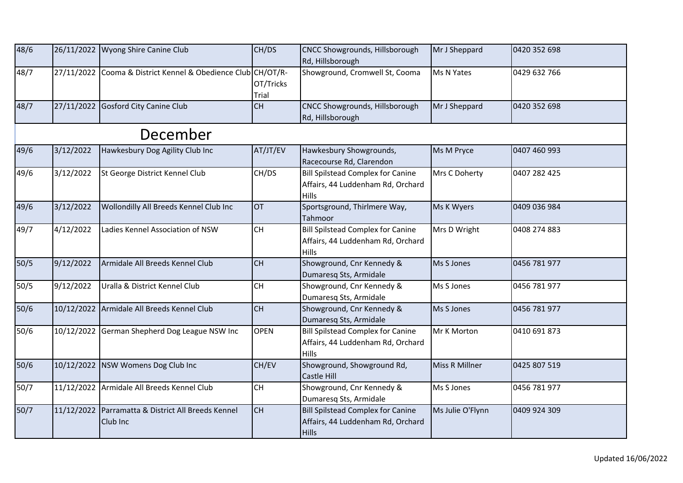| 48/6   |           | 26/11/2022 Wyong Shire Canine Club                             | CH/DS                                    | <b>CNCC Showgrounds, Hillsborough</b><br>Rd, Hillsborough                                     | Mr J Sheppard    | 0420 352 698 |
|--------|-----------|----------------------------------------------------------------|------------------------------------------|-----------------------------------------------------------------------------------------------|------------------|--------------|
| 48/7   |           | 27/11/2022 Cooma & District Kennel & Obedience Club CH/OT/R-   | OT/Tricks<br>Trial                       | Showground, Cromwell St, Cooma                                                                | Ms N Yates       | 0429 632 766 |
| 48/7   |           | 27/11/2022 Gosford City Canine Club                            | CH                                       | CNCC Showgrounds, Hillsborough<br>Rd, Hillsborough                                            | Mr J Sheppard    | 0420 352 698 |
|        |           | December                                                       |                                          |                                                                                               |                  |              |
| 49/6   | 3/12/2022 | Hawkesbury Dog Agility Club Inc                                | AT/JT/EV                                 | Hawkesbury Showgrounds,<br>Racecourse Rd, Clarendon                                           | Ms M Pryce       | 0407 460 993 |
| 49/6   | 3/12/2022 | St George District Kennel Club                                 | CH/DS                                    | <b>Bill Spilstead Complex for Canine</b><br>Affairs, 44 Luddenham Rd, Orchard<br><b>Hills</b> | Mrs C Doherty    | 0407 282 425 |
| 49/6   | 3/12/2022 | Wollondilly All Breeds Kennel Club Inc                         | <b>OT</b>                                | Sportsground, Thirlmere Way,<br>Tahmoor                                                       | Ms K Wyers       | 0409 036 984 |
| 49/7   | 4/12/2022 | Ladies Kennel Association of NSW                               | <b>CH</b>                                | <b>Bill Spilstead Complex for Canine</b><br>Affairs, 44 Luddenham Rd, Orchard<br><b>Hills</b> | Mrs D Wright     | 0408 274 883 |
| $50/5$ | 9/12/2022 | Armidale All Breeds Kennel Club                                | <b>CH</b>                                | Showground, Cnr Kennedy &<br>Dumaresq Sts, Armidale                                           | Ms S Jones       | 0456 781 977 |
| 50/5   | 9/12/2022 | Uralla & District Kennel Club                                  | <b>CH</b>                                | Showground, Cnr Kennedy &<br>Dumaresq Sts, Armidale                                           | Ms S Jones       | 0456 781 977 |
| $50/6$ |           | 10/12/2022 Armidale All Breeds Kennel Club                     | <b>CH</b>                                | Showground, Cnr Kennedy &<br>Dumaresq Sts, Armidale                                           | Ms S Jones       | 0456 781 977 |
| 50/6   |           | 10/12/2022 German Shepherd Dog League NSW Inc                  | <b>OPEN</b>                              | <b>Bill Spilstead Complex for Canine</b><br>Affairs, 44 Luddenham Rd, Orchard<br><b>Hills</b> | Mr K Morton      | 0410 691 873 |
| $50/6$ |           | 10/12/2022 NSW Womens Dog Club Inc                             | CH/EV                                    | Showground, Showground Rd,<br><b>Castle Hill</b>                                              | Miss R Millner   | 0425 807 519 |
| 50/7   |           | 11/12/2022 Armidale All Breeds Kennel Club                     | $\mathsf{CH}% \left( \mathcal{M}\right)$ | Showground, Cnr Kennedy &<br>Dumaresq Sts, Armidale                                           | Ms S Jones       | 0456 781 977 |
| $50/7$ |           | 11/12/2022 Parramatta & District All Breeds Kennel<br>Club Inc | <b>CH</b>                                | <b>Bill Spilstead Complex for Canine</b><br>Affairs, 44 Luddenham Rd, Orchard<br><b>Hills</b> | Ms Julie O'Flynn | 0409 924 309 |